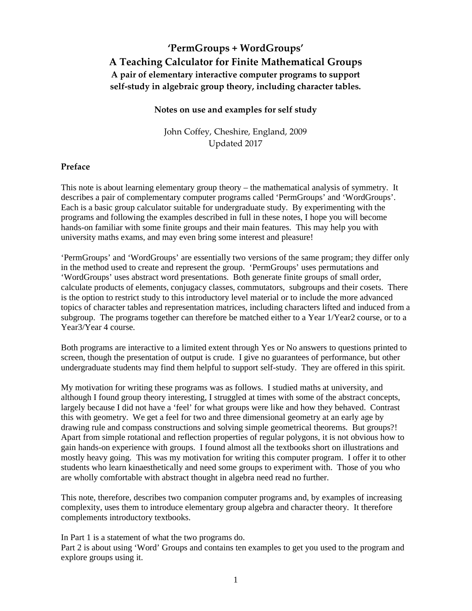# 'PermGroups + WordGroups' A Teaching Calculator for Finite Mathematical Groups A pair of elementary interactive computer programs to support self-study in algebraic group theory, including character tables.

## Notes on use and examples for self study

John Coffey, Cheshire, England, 2009 Updated 2017

## Preface

This note is about learning elementary group theory – the mathematical analysis of symmetry. It describes a pair of complementary computer programs called 'PermGroups' and 'WordGroups'. Each is a basic group calculator suitable for undergraduate study. By experimenting with the programs and following the examples described in full in these notes, I hope you will become hands-on familiar with some finite groups and their main features. This may help you with university maths exams, and may even bring some interest and pleasure!

'PermGroups' and 'WordGroups' are essentially two versions of the same program; they differ only in the method used to create and represent the group. 'PermGroups' uses permutations and 'WordGroups' uses abstract word presentations. Both generate finite groups of small order, calculate products of elements, conjugacy classes, commutators, subgroups and their cosets. There is the option to restrict study to this introductory level material or to include the more advanced topics of character tables and representation matrices, including characters lifted and induced from a subgroup. The programs together can therefore be matched either to a Year 1/Year2 course, or to a Year3/Year 4 course.

Both programs are interactive to a limited extent through Yes or No answers to questions printed to screen, though the presentation of output is crude. I give no guarantees of performance, but other undergraduate students may find them helpful to support self-study. They are offered in this spirit.

My motivation for writing these programs was as follows. I studied maths at university, and although I found group theory interesting, I struggled at times with some of the abstract concepts, largely because I did not have a 'feel' for what groups were like and how they behaved. Contrast this with geometry. We get a feel for two and three dimensional geometry at an early age by drawing rule and compass constructions and solving simple geometrical theorems. But groups?! Apart from simple rotational and reflection properties of regular polygons, it is not obvious how to gain hands-on experience with groups. I found almost all the textbooks short on illustrations and mostly heavy going. This was my motivation for writing this computer program. I offer it to other students who learn kinaesthetically and need some groups to experiment with. Those of you who are wholly comfortable with abstract thought in algebra need read no further.

This note, therefore, describes two companion computer programs and, by examples of increasing complexity, uses them to introduce elementary group algebra and character theory. It therefore complements introductory textbooks.

In Part 1 is a statement of what the two programs do.

Part 2 is about using 'Word' Groups and contains ten examples to get you used to the program and explore groups using it.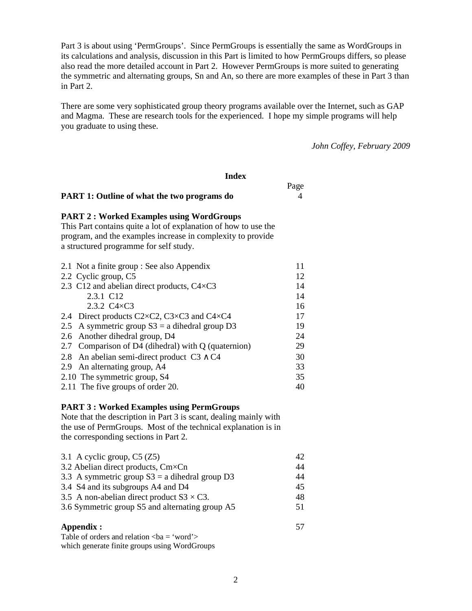Part 3 is about using 'PermGroups'. Since PermGroups is essentially the same as WordGroups in its calculations and analysis, discussion in this Part is limited to how PermGroups differs, so please also read the more detailed account in Part 2. However PermGroups is more suited to generating the symmetric and alternating groups, Sn and An, so there are more examples of these in Part 3 than in Part 2.

There are some very sophisticated group theory programs available over the Internet, such as GAP and Magma. These are research tools for the experienced. I hope my simple programs will help you graduate to using these.

*John Coffey, February 2009* 

### **Index**

Page **Page** 

# **PART 1: Outline of what the two programs do** 4

#### **PART 2 : Worked Examples using WordGroups**

This Part contains quite a lot of explanation of how to use the program, and the examples increase in complexity to provide a structured programme for self study.

| 2.1 Not a finite group : See also Appendix          | 11 |
|-----------------------------------------------------|----|
| 2.2 Cyclic group, C5                                | 12 |
| 2.3 C12 and abelian direct products, C4×C3          | 14 |
| 2.3.1 C12                                           | 14 |
| 2.3.2 $C4 \times C3$                                | 16 |
| 2.4 Direct products C2×C2, C3×C3 and C4×C4          | 17 |
| 2.5 A symmetric group $S3 = a$ dihedral group D3    | 19 |
| 2.6 Another dihedral group, D4                      | 24 |
| 2.7 Comparison of D4 (dihedral) with Q (quaternion) | 29 |
| 2.8 An abelian semi-direct product $C3 \wedge C4$   | 30 |
| 2.9 An alternating group, A4                        | 33 |
| 2.10 The symmetric group, S4                        | 35 |
| 2.11 The five groups of order 20.                   | 40 |

## **PART 3 : Worked Examples using PermGroups**

Note that the description in Part 3 is scant, dealing mainly with the use of PermGroups. Most of the technical explanation is in the corresponding sections in Part 2.

| 3.1 A cyclic group, $C5 (Z5)$                     | 42. |
|---------------------------------------------------|-----|
| 3.2 Abelian direct products, Cm×Cn                | 44  |
| 3.3 A symmetric group $S3 = a$ dihedral group D3  | 44  |
| 3.4 S4 and its subgroups A4 and D4                | 45  |
| 3.5 A non-abelian direct product $S3 \times C3$ . | 48  |
| 3.6 Symmetric group S5 and alternating group A5   | 51  |
|                                                   |     |

# **Appendix :** 57

Table of orders and relation  $\langle ba = 'word' \rangle$ which generate finite groups using WordGroups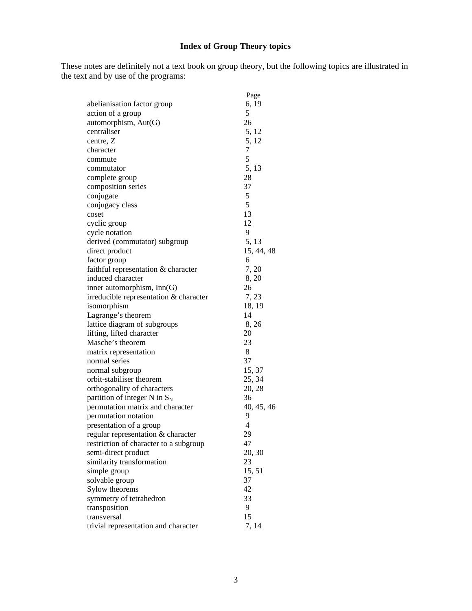# **Index of Group Theory topics**

These notes are definitely not a text book on group theory, but the following topics are illustrated in the text and by use of the programs:

|                                        | Page       |
|----------------------------------------|------------|
| abelianisation factor group            | 6, 19      |
| action of a group                      | 5          |
| automorphism, $Aut(G)$                 | 26         |
| centraliser                            | 5, 12      |
| centre, Z                              | 5, 12      |
| character                              | 7          |
| commute                                | 5          |
| commutator                             | 5, 13      |
| complete group                         | 28         |
| composition series                     | 37         |
| conjugate                              | 5          |
| conjugacy class                        | 5          |
| coset                                  | 13         |
| cyclic group                           | 12         |
| cycle notation                         | 9          |
| derived (commutator) subgroup          | 5, 13      |
| direct product                         | 15, 44, 48 |
| factor group                           | 6          |
| faithful representation & character    | 7, 20      |
| induced character                      | 8,20       |
| inner automorphism, Inn(G)             | 26         |
| irreducible representation & character | 7, 23      |
| isomorphism                            | 18, 19     |
| Lagrange's theorem                     | 14         |
|                                        |            |
| lattice diagram of subgroups           | 8, 26      |
| lifting, lifted character              | 20         |
| Masche's theorem                       | 23         |
| matrix representation                  | 8          |
| normal series                          | 37         |
| normal subgroup                        | 15, 37     |
| orbit-stabiliser theorem               | 25, 34     |
| orthogonality of characters            | 20, 28     |
| partition of integer N in $S_N$        | 36         |
| permutation matrix and character       | 40, 45, 46 |
| permutation notation                   | 9          |
| presentation of a group                | 4          |
| regular representation & character     | 29         |
| restriction of character to a subgroup | 47         |
| semi-direct product                    | 20, 30     |
| similarity transformation              | 23         |
| simple group                           | 15,51      |
| solvable group                         | 37         |
| Sylow theorems                         | 42         |
| symmetry of tetrahedron                | 33         |
| transposition                          | 9          |
| transversal                            | 15         |
| trivial representation and character   | 7, 14      |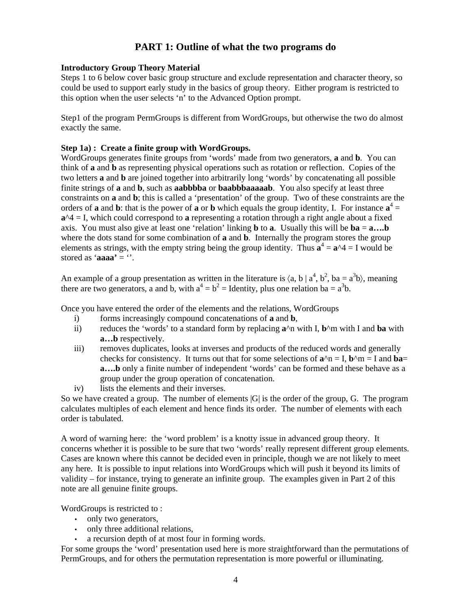# **PART 1: Outline of what the two programs do**

# **Introductory Group Theory Material**

Steps 1 to 6 below cover basic group structure and exclude representation and character theory, so could be used to support early study in the basics of group theory. Either program is restricted to this option when the user selects 'n' to the Advanced Option prompt.

Step1 of the program PermGroups is different from WordGroups, but otherwise the two do almost exactly the same.

# **Step 1a) : Create a finite group with WordGroups.**

WordGroups generates finite groups from 'words' made from two generators, **a** and **b**. You can think of **a** and **b** as representing physical operations such as rotation or reflection. Copies of the two letters **a** and **b** are joined together into arbitrarily long 'words' by concatenating all possible finite strings of **a** and **b**, such as **aabbbba** or **baabbbaaaaab**. You also specify at least three constraints on **a** and **b**; this is called a 'presentation' of the group. Two of these constraints are the orders of **a** and **b**: that is the power of **a** or **b** which equals the group identity, I. For instance  $\mathbf{a}^4 =$  $a^4 = I$ , which could correspond to **a** representing a rotation through a right angle about a fixed axis. You must also give at least one 'relation' linking **b** to **a**. Usually this will be **ba** = **a….b** where the dots stand for some combination of **a** and **b**. Internally the program stores the group elements as strings, with the empty string being the group identity. Thus  $\mathbf{a}^4 = \mathbf{a}^2 \cdot 4 = I$  would be stored as '**aaaa'** = ''.

An example of a group presentation as written in the literature is  $\langle a, b \mid a^4, b^2, ba = a^3b \rangle$ , meaning there are two generators, a and b, with  $a^4 = b^2 =$  Identity, plus one relation ba =  $a^3b$ .

Once you have entered the order of the elements and the relations, WordGroups

- i) forms increasingly compound concatenations of **a** and **b**,
- ii) reduces the 'words' to a standard form by replacing **a**^n with I, **b**^m with I and **ba** with **a…b** respectively.
- iii) removes duplicates, looks at inverses and products of the reduced words and generally checks for consistency. It turns out that for some selections of  $\mathbf{a}^n = \mathbf{I}$ ,  $\mathbf{b}^n = \mathbf{I}$  and  $\mathbf{ba} =$ **a....b** only a finite number of independent 'words' can be formed and these behave as a group under the group operation of concatenation.
- iv) lists the elements and their inverses.

So we have created a group. The number of elements |G| is the order of the group, G. The program calculates multiples of each element and hence finds its order. The number of elements with each order is tabulated.

A word of warning here: the 'word problem' is a knotty issue in advanced group theory. It concerns whether it is possible to be sure that two 'words' really represent different group elements. Cases are known where this cannot be decided even in principle, though we are not likely to meet any here. It is possible to input relations into WordGroups which will push it beyond its limits of validity – for instance, trying to generate an infinite group. The examples given in Part 2 of this note are all genuine finite groups.

WordGroups is restricted to :

- only two generators,
- only three additional relations,
- a recursion depth of at most four in forming words.

For some groups the 'word' presentation used here is more straightforward than the permutations of PermGroups, and for others the permutation representation is more powerful or illuminating.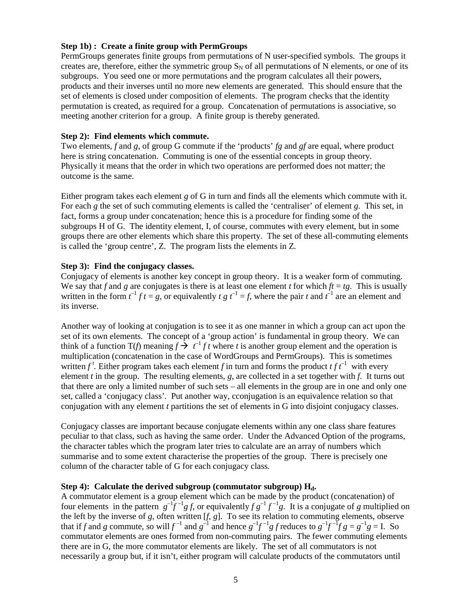## **Step 1b) : Create a finite group with PermGroups**

PermGroups generates finite groups from permutations of N user-specified symbols. The groups it creates are, therefore, either the symmetric group  $S_N$  of all permutations of N elements, or one of its subgroups. You seed one or more permutations and the program calculates all their powers, products and their inverses until no more new elements are generated. This should ensure that the set of elements is closed under composition of elements. The program checks that the identity permutation is created, as required for a group. Concatenation of permutations is associative, so meeting another criterion for a group. A finite group is thereby generated.

## **Step 2): Find elements which commute.**

Two elements, *f* and *g*, of group G commute if the 'products' *fg* and *gf* are equal, where product here is string concatenation. Commuting is one of the essential concepts in group theory. Physically it means that the order in which two operations are performed does not matter; the outcome is the same.

Either program takes each element *g* of G in turn and finds all the elements which commute with it. For each *g* the set of such commuting elements is called the 'centraliser' of element *g*. This set, in fact, forms a group under concatenation; hence this is a procedure for finding some of the subgroups H of G. The identity element, I, of course, commutes with every element, but in some groups there are other elements which share this property. The set of these all-commuting elements is called the 'group centre', Z. The program lists the elements in Z.

## **Step 3): Find the conjugacy classes.**

Conjugacy of elements is another key concept in group theory. It is a weaker form of commuting. We say that *f* and *g* are conjugates is there is at least one element *t* for which  $ft = tg$ . This is usually written in the form  $t^{-1} f t = g$ , or equivalently  $t g t^{-1} = f$ , where the pair  $t$  and  $t^{-1}$  are an element and its inverse.

Another way of looking at conjugation is to see it as one manner in which a group can act upon the set of its own elements. The concept of a 'group action' is fundamental in group theory. We can think of a function  $T(f)$  meaning  $f \rightarrow f^{-1} f t$  where *t* is another group element and the operation is multiplication (concatenation in the case of WordGroups and PermGroups). This is sometimes written  $f^t$ . Either program takes each element f in turn and forms the product  $t f t^{-1}$  with every element *t* in the group. The resulting elements, *g*, are collected in a set together with *f*. It turns out that there are only a limited number of such sets – all elements in the group are in one and only one set, called a 'conjugacy class'. Put another way, cconjugation is an equivalence relation so that conjugation with any element *t* partitions the set of elements in G into disjoint conjugacy classes.

Conjugacy classes are important because conjugate elements within any one class share features peculiar to that class, such as having the same order. Under the Advanced Option of the programs, the character tables which the program later tries to calculate are an array of numbers which summarise and to some extent characterise the properties of the group. There is precisely one column of the character table of G for each conjugacy class.

# **Step 4): Calculate the derived subgroup (commutator subgroup) Hd.**

A commutator element is a group element which can be made by the product (concatenation) of four elements in the pattern  $g^{-1}f^{-1}gf$ , or equivalently  $fg^{-1}f^{-1}g$ . It is a conjugate of *g* multiplied on the left by the inverse of *g*, often written [*f*, *g*]. To see its relation to commuting elements, observe that if f and g commute, so will  $f^{-1}$  and  $g^{-1}$  and hence  $g^{-1}f^{-1}g$  f reduces to  $g^{-1}f^{-1}fg = g^{-1}g = I$ . So commutator elements are ones formed from non-commuting pairs. The fewer commuting elements there are in G, the more commutator elements are likely. The set of all commutators is not necessarily a group but, if it isn't, either program will calculate products of the commutators until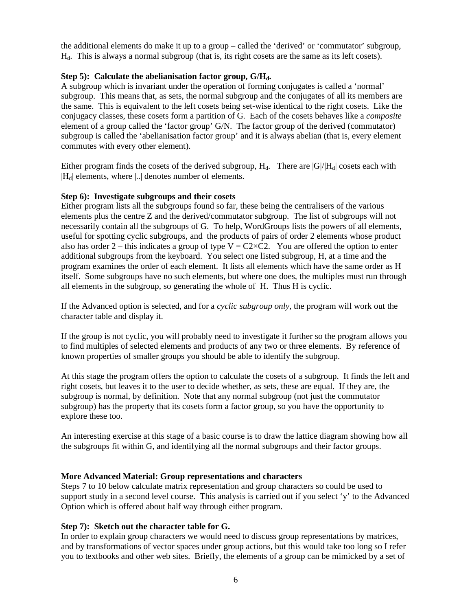the additional elements do make it up to a group – called the 'derived' or 'commutator' subgroup, Hd. This is always a normal subgroup (that is, its right cosets are the same as its left cosets).

# **Step 5): Calculate the abelianisation factor group, G/Hd.**

A subgroup which is invariant under the operation of forming conjugates is called a 'normal' subgroup. This means that, as sets, the normal subgroup and the conjugates of all its members are the same. This is equivalent to the left cosets being set-wise identical to the right cosets. Like the conjugacy classes, these cosets form a partition of G. Each of the cosets behaves like a *composite*  element of a group called the 'factor group' G/N. The factor group of the derived (commutator) subgroup is called the 'abelianisation factor group' and it is always abelian (that is, every element commutes with every other element).

Either program finds the cosets of the derived subgroup,  $H_d$ . There are  $|G|/|H_d|$  cosets each with  $|H_d|$  elements, where  $|...|$  denotes number of elements.

### **Step 6): Investigate subgroups and their cosets**

Either program lists all the subgroups found so far, these being the centralisers of the various elements plus the centre Z and the derived/commutator subgroup. The list of subgroups will not necessarily contain all the subgroups of G. To help, WordGroups lists the powers of all elements, useful for spotting cyclic subgroups, and the products of pairs of order 2 elements whose product also has order 2 – this indicates a group of type  $V = C2 \times C2$ . You are offered the option to enter additional subgroups from the keyboard. You select one listed subgroup, H, at a time and the program examines the order of each element. It lists all elements which have the same order as H itself. Some subgroups have no such elements, but where one does, the multiples must run through all elements in the subgroup, so generating the whole of H. Thus H is cyclic.

If the Advanced option is selected, and for a *cyclic subgroup only*, the program will work out the character table and display it.

If the group is not cyclic, you will probably need to investigate it further so the program allows you to find multiples of selected elements and products of any two or three elements. By reference of known properties of smaller groups you should be able to identify the subgroup.

At this stage the program offers the option to calculate the cosets of a subgroup. It finds the left and right cosets, but leaves it to the user to decide whether, as sets, these are equal. If they are, the subgroup is normal, by definition. Note that any normal subgroup (not just the commutator subgroup) has the property that its cosets form a factor group, so you have the opportunity to explore these too.

An interesting exercise at this stage of a basic course is to draw the lattice diagram showing how all the subgroups fit within G, and identifying all the normal subgroups and their factor groups.

### **More Advanced Material: Group representations and characters**

Steps 7 to 10 below calculate matrix representation and group characters so could be used to support study in a second level course. This analysis is carried out if you select 'y' to the Advanced Option which is offered about half way through either program.

### **Step 7): Sketch out the character table for G.**

In order to explain group characters we would need to discuss group representations by matrices, and by transformations of vector spaces under group actions, but this would take too long so I refer you to textbooks and other web sites. Briefly, the elements of a group can be mimicked by a set of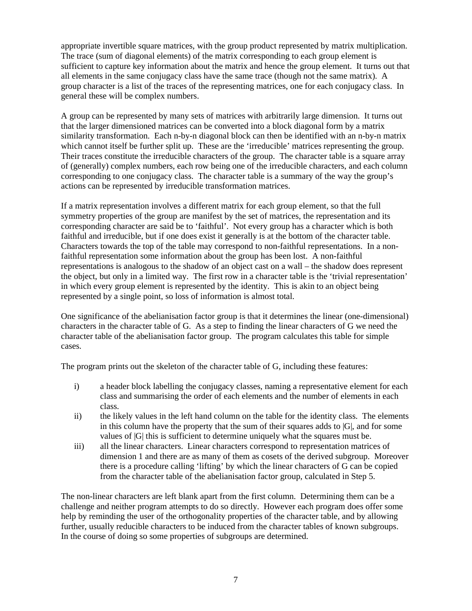appropriate invertible square matrices, with the group product represented by matrix multiplication. The trace (sum of diagonal elements) of the matrix corresponding to each group element is sufficient to capture key information about the matrix and hence the group element. It turns out that all elements in the same conjugacy class have the same trace (though not the same matrix). A group character is a list of the traces of the representing matrices, one for each conjugacy class. In general these will be complex numbers.

A group can be represented by many sets of matrices with arbitrarily large dimension. It turns out that the larger dimensioned matrices can be converted into a block diagonal form by a matrix similarity transformation. Each n-by-n diagonal block can then be identified with an n-by-n matrix which cannot itself be further split up. These are the 'irreducible' matrices representing the group. Their traces constitute the irreducible characters of the group. The character table is a square array of (generally) complex numbers, each row being one of the irreducible characters, and each column corresponding to one conjugacy class. The character table is a summary of the way the group's actions can be represented by irreducible transformation matrices.

If a matrix representation involves a different matrix for each group element, so that the full symmetry properties of the group are manifest by the set of matrices, the representation and its corresponding character are said be to 'faithful'. Not every group has a character which is both faithful and irreducible, but if one does exist it generally is at the bottom of the character table. Characters towards the top of the table may correspond to non-faithful representations. In a nonfaithful representation some information about the group has been lost. A non-faithful representations is analogous to the shadow of an object cast on a wall – the shadow does represent the object, but only in a limited way. The first row in a character table is the 'trivial representation' in which every group element is represented by the identity. This is akin to an object being represented by a single point, so loss of information is almost total.

One significance of the abelianisation factor group is that it determines the linear (one-dimensional) characters in the character table of G. As a step to finding the linear characters of G we need the character table of the abelianisation factor group. The program calculates this table for simple cases.

The program prints out the skeleton of the character table of G, including these features:

- i) a header block labelling the conjugacy classes, naming a representative element for each class and summarising the order of each elements and the number of elements in each class.
- ii) the likely values in the left hand column on the table for the identity class. The elements in this column have the property that the sum of their squares adds to  $|G|$ , and for some values of |G| this is sufficient to determine uniquely what the squares must be.
- iii) all the linear characters. Linear characters correspond to representation matrices of dimension 1 and there are as many of them as cosets of the derived subgroup. Moreover there is a procedure calling 'lifting' by which the linear characters of G can be copied from the character table of the abelianisation factor group, calculated in Step 5.

The non-linear characters are left blank apart from the first column. Determining them can be a challenge and neither program attempts to do so directly. However each program does offer some help by reminding the user of the orthogonality properties of the character table, and by allowing further, usually reducible characters to be induced from the character tables of known subgroups. In the course of doing so some properties of subgroups are determined.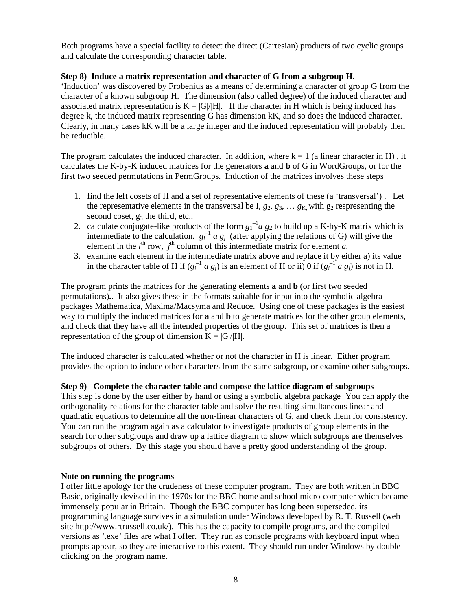Both programs have a special facility to detect the direct (Cartesian) products of two cyclic groups and calculate the corresponding character table.

## **Step 8) Induce a matrix representation and character of G from a subgroup H.**

'Induction' was discovered by Frobenius as a means of determining a character of group G from the character of a known subgroup H. The dimension (also called degree) of the induced character and associated matrix representation is  $K = |G|/|H|$ . If the character in H which is being induced has degree k, the induced matrix representing G has dimension kK, and so does the induced character. Clearly, in many cases kK will be a large integer and the induced representation will probably then be reducible.

The program calculates the induced character. In addition, where  $k = 1$  (a linear character in H), it calculates the K-by-K induced matrices for the generators **a** and **b** of G in WordGroups, or for the first two seeded permutations in PermGroups. Induction of the matrices involves these steps

- 1. find the left cosets of H and a set of representative elements of these (a 'transversal') . Let the representative elements in the transversal be I,  $g_2$ ,  $g_3$ , ...  $g_K$  with  $g_2$  respresenting the second coset,  $g_3$  the third, etc...
- 2. calculate conjugate-like products of the form  $g_1^{-1}a$   $g_2$  to build up a K-by-K matrix which is intermediate to the calculation.  $g_i^{-1}$  *a*  $g_j$  (after applying the relations of G) will give the element in the  $i^{\text{th}}$  row,  $j^{\text{th}}$  column of this intermediate matrix for element *a*.
- 3. examine each element in the intermediate matrix above and replace it by either a) its value in the character table of H if  $(g_i^{-1} a g_j)$  is an element of H or ii) 0 if  $(g_i^{-1} a g_j)$  is not in H.

The program prints the matrices for the generating elements **a** and **b** (or first two seeded permutations)**.**. It also gives these in the formats suitable for input into the symbolic algebra packages Mathematica, Maxima/Macsyma and Reduce. Using one of these packages is the easiest way to multiply the induced matrices for **a** and **b** to generate matrices for the other group elements, and check that they have all the intended properties of the group. This set of matrices is then a representation of the group of dimension  $K = |G|/|H|$ .

The induced character is calculated whether or not the character in H is linear. Either program provides the option to induce other characters from the same subgroup, or examine other subgroups.

### **Step 9) Complete the character table and compose the lattice diagram of subgroups**

This step is done by the user either by hand or using a symbolic algebra package You can apply the orthogonality relations for the character table and solve the resulting simultaneous linear and quadratic equations to determine all the non-linear characters of G, and check them for consistency. You can run the program again as a calculator to investigate products of group elements in the search for other subgroups and draw up a lattice diagram to show which subgroups are themselves subgroups of others. By this stage you should have a pretty good understanding of the group.

### **Note on running the programs**

I offer little apology for the crudeness of these computer program. They are both written in BBC Basic, originally devised in the 1970s for the BBC home and school micro-computer which became immensely popular in Britain. Though the BBC computer has long been superseded, its programming language survives in a simulation under Windows developed by R. T. Russell (web site http://www.rtrussell.co.uk/). This has the capacity to compile programs, and the compiled versions as '.exe' files are what I offer. They run as console programs with keyboard input when prompts appear, so they are interactive to this extent. They should run under Windows by double clicking on the program name.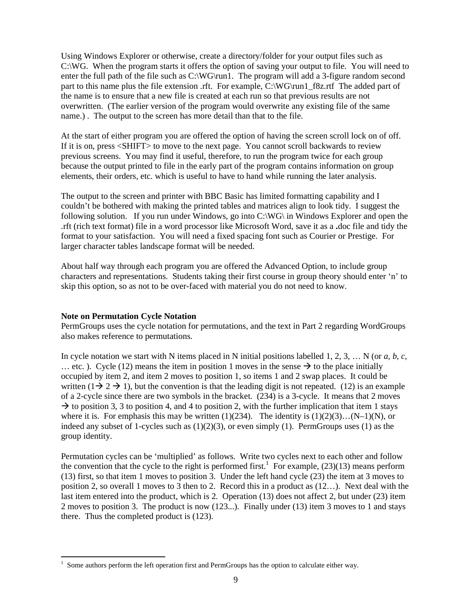Using Windows Explorer or otherwise, create a directory/folder for your output files such as C:\WG. When the program starts it offers the option of saving your output to file. You will need to enter the full path of the file such as C:\WG\run1. The program will add a 3-figure random second part to this name plus the file extension .rft. For example, C:\WG\run1\_f8z.rtf The added part of the name is to ensure that a new file is created at each run so that previous results are not overwritten. (The earlier version of the program would overwrite any existing file of the same name.) . The output to the screen has more detail than that to the file.

At the start of either program you are offered the option of having the screen scroll lock on of off. If it is on, press <SHIFT> to move to the next page. You cannot scroll backwards to review previous screens. You may find it useful, therefore, to run the program twice for each group because the output printed to file in the early part of the program contains information on group elements, their orders, etc. which is useful to have to hand while running the later analysis.

The output to the screen and printer with BBC Basic has limited formatting capability and I couldn't be bothered with making the printed tables and matrices align to look tidy. I suggest the following solution. If you run under Windows, go into  $C:\W G$  in Windows Explorer and open the .rft (rich text format) file in a word processor like Microsoft Word, save it as a **.**doc file and tidy the format to your satisfaction. You will need a fixed spacing font such as Courier or Prestige. For larger character tables landscape format will be needed.

About half way through each program you are offered the Advanced Option, to include group characters and representations. Students taking their first course in group theory should enter 'n' to skip this option, so as not to be over-faced with material you do not need to know.

### **Note on Permutation Cycle Notation**

 $\overline{a}$ 

PermGroups uses the cycle notation for permutations, and the text in Part 2 regarding WordGroups also makes reference to permutations.

In cycle notation we start with N items placed in N initial positions labelled 1, 2, 3, … N (or *a, b, c,* ... etc. ). Cycle (12) means the item in position 1 moves in the sense  $\rightarrow$  to the place initially occupied by item 2, and item 2 moves to position 1, so items 1 and 2 swap places. It could be written  $(1 \rightarrow 2 \rightarrow 1)$ , but the convention is that the leading digit is not repeated. (12) is an example of a 2-cycle since there are two symbols in the bracket. (234) is a 3-cycle. It means that 2 moves  $\rightarrow$  to position 3, 3 to position 4, and 4 to position 2, with the further implication that item 1 stays where it is. For emphasis this may be written  $(1)(234)$ . The identity is  $(1)(2)(3)...(N-1)(N)$ , or indeed any subset of 1-cycles such as  $(1)(2)(3)$ , or even simply  $(1)$ . PermGroups uses  $(1)$  as the group identity.

Permutation cycles can be 'multiplied' as follows. Write two cycles next to each other and follow the convention that the cycle to the right is performed first.<sup>1</sup> For example,  $(23)(13)$  means perform (13) first, so that item 1 moves to position 3. Under the left hand cycle (23) the item at 3 moves to position 2, so overall 1 moves to 3 then to 2. Record this in a product as (12…). Next deal with the last item entered into the product, which is 2. Operation (13) does not affect 2, but under (23) item 2 moves to position 3. The product is now (123...). Finally under (13) item 3 moves to 1 and stays there. Thus the completed product is (123).

<sup>&</sup>lt;sup>1</sup> Some authors perform the left operation first and PermGroups has the option to calculate either way.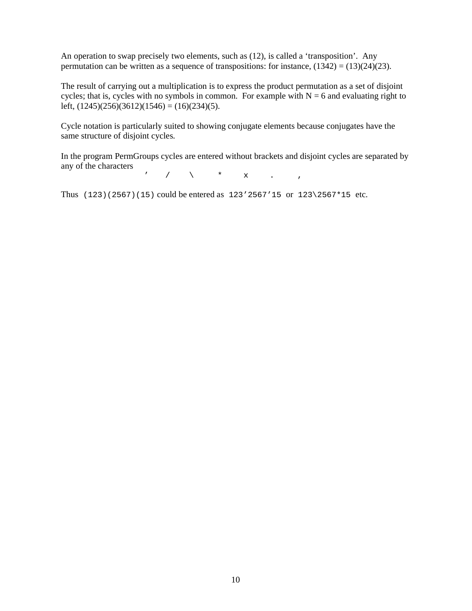An operation to swap precisely two elements, such as (12), is called a 'transposition'. Any permutation can be written as a sequence of transpositions: for instance,  $(1342) = (13)(24)(23)$ .

The result of carrying out a multiplication is to express the product permutation as a set of disjoint cycles; that is, cycles with no symbols in common. For example with  $N = 6$  and evaluating right to left,  $(1245)(256)(3612)(1546) = (16)(234)(5)$ .

Cycle notation is particularly suited to showing conjugate elements because conjugates have the same structure of disjoint cycles.

In the program PermGroups cycles are entered without brackets and disjoint cycles are separated by any of the characters

 $\prime$  / \ \* x . ,

Thus (123)(2567)(15) could be entered as 123'2567'15 or 123\2567\*15 etc.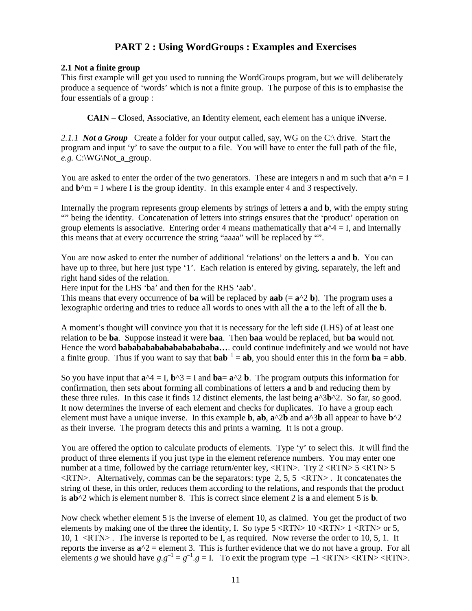# **PART 2 : Using WordGroups : Examples and Exercises**

## **2.1 Not a finite group**

This first example will get you used to running the WordGroups program, but we will deliberately produce a sequence of 'words' which is not a finite group. The purpose of this is to emphasise the four essentials of a group :

**CAIN** – **C**losed, **A**ssociative, an **I**dentity element, each element has a unique i**N**verse.

2.1.1 **Not a Group** Create a folder for your output called, say, WG on the C:\ drive. Start the program and input 'y' to save the output to a file. You will have to enter the full path of the file, *e.g.* C:\WG\Not\_a\_group.

You are asked to enter the order of the two generators. These are integers n and m such that  $a^2n = I$ and  $$ 

Internally the program represents group elements by strings of letters **a** and **b**, with the empty string "" being the identity. Concatenation of letters into strings ensures that the 'product' operation on group elements is associative. Entering order 4 means mathematically that  $\mathbf{a}^{\wedge} = \mathbf{I}$ , and internally this means that at every occurrence the string "aaaa" will be replaced by "".

You are now asked to enter the number of additional 'relations' on the letters **a** and **b**. You can have up to three, but here just type '1'. Each relation is entered by giving, separately, the left and right hand sides of the relation.

Here input for the LHS 'ba' and then for the RHS 'aab'.

This means that every occurrence of **ba** will be replaced by **aab** (=  $\mathbf{a}^{\wedge}2$  **b**). The program uses a lexographic ordering and tries to reduce all words to ones with all the **a** to the left of all the **b**.

A moment's thought will convince you that it is necessary for the left side (LHS) of at least one relation to be **ba**. Suppose instead it were **baa**. Then **baa** would be replaced, but **ba** would not. Hence the word **bababababababababababa…**. could continue indefinitely and we would not have a finite group. Thus if you want to say that  $bab^{-1} = ab$ , you should enter this in the form  $ba = abb$ .

So you have input that  $\mathbf{a}^4 = I$ ,  $\mathbf{b}^4 = I$  and  $\mathbf{b} = \mathbf{a}^4 = \mathbf{a}^4 = \mathbf{b}$ . The program outputs this information for confirmation, then sets about forming all combinations of letters **a** and **b** and reducing them by these three rules. In this case it finds 12 distinct elements, the last being **a**^3**b**^2. So far, so good. It now determines the inverse of each element and checks for duplicates. To have a group each element must have a unique inverse. In this example **b**, **ab**, **a**^2**b** and **a**^3**b** all appear to have **b**^2 as their inverse. The program detects this and prints a warning. It is not a group.

You are offered the option to calculate products of elements. Type 'y' to select this. It will find the product of three elements if you just type in the element reference numbers. You may enter one number at a time, followed by the carriage return/enter key,  $\langle RTN \rangle$ . Try 2  $\langle RTN \rangle$  5  $\langle RTN \rangle$  5  $\langle \text{RTN}\rangle$ . Alternatively, commas can be the separators: type 2, 5, 5  $\langle \text{RTN}\rangle$ . It concatenates the string of these, in this order, reduces them according to the relations, and responds that the product is **ab**^2 which is element number 8. This is correct since element 2 is **a** and element 5 is **b**.

Now check whether element 5 is the inverse of element 10, as claimed. You get the product of two elements by making one of the three the identity, I. So type  $5 \langle \text{RTN} \rangle 10 \langle \text{RTN} \rangle 1 \langle \text{RTN} \rangle$  or 5, 10, 1 <RTN> . The inverse is reported to be I, as required. Now reverse the order to 10, 5, 1. It reports the inverse as  $a^2 =$  element 3. This is further evidence that we do not have a group. For all elements *g* we should have  $g.g^{-1} = g^{-1}.g = I$ . To exit the program type  $-1 < RTN > < RTN > < RTN >$ .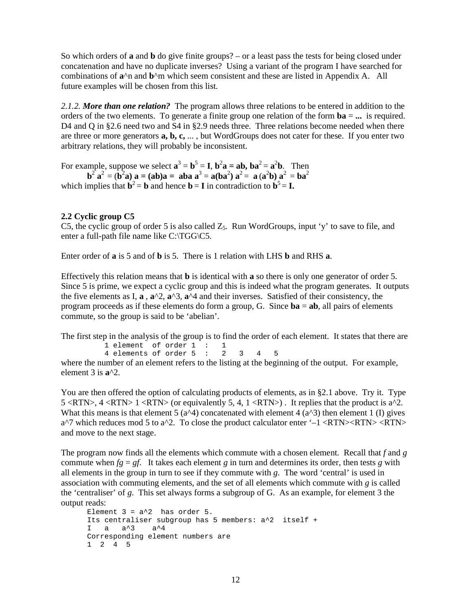So which orders of **a** and **b** do give finite groups? – or a least pass the tests for being closed under concatenation and have no duplicate inverses? Using a variant of the program I have searched for combinations of **a**^n and **b**^m which seem consistent and these are listed in Appendix A. All future examples will be chosen from this list.

*2.1.2. More than one relation?* The program allows three relations to be entered in addition to the orders of the two elements. To generate a finite group one relation of the form **ba** = **...** is required. D4 and Q in §2.6 need two and S4 in §2.9 needs three. Three relations become needed when there are three or more generators **a, b, c,** ... , but WordGroups does not cater for these. If you enter two arbitrary relations, they will probably be inconsistent.

For example, suppose we select  $\mathbf{a}^3 = \mathbf{b}^5 = \mathbf{I}$ ,  $\mathbf{b}^2 \mathbf{a} = \mathbf{a} \mathbf{b}$ ,  $\mathbf{b} \mathbf{a}^2 = \mathbf{a}^2 \mathbf{b}$ . Then  $\mathbf{b}^2 \mathbf{a}^2 = (\mathbf{b}^2 \mathbf{a}) \mathbf{a} = (\mathbf{a} \mathbf{b}) \mathbf{a} = \mathbf{a} \mathbf{b} \mathbf{a} \mathbf{a}^3 = \mathbf{a} (\mathbf{b} \mathbf{a}^2) \mathbf{a}^2 = \mathbf{a} (\mathbf{a}^2 \mathbf{b}) \mathbf{a}^2 = \mathbf{b} \mathbf{a}^2$ 

# which implies that  $\mathbf{b}^2 = \mathbf{b}$  and hence  $\mathbf{b} = \mathbf{I}$  in contradiction to  $\mathbf{b}^5 = \mathbf{I}$ .

#### **2.2 Cyclic group C5**

C5, the cyclic group of order 5 is also called  $Z_5$ . Run WordGroups, input 'y' to save to file, and enter a full-path file name like C:\TGG\C5.

Enter order of **a** is 5 and of **b** is 5. There is 1 relation with LHS **b** and RHS **a**.

Effectively this relation means that **b** is identical with **a** so there is only one generator of order 5. Since 5 is prime, we expect a cyclic group and this is indeed what the program generates. It outputs the five elements as I,  $\mathbf{a}$ ,  $\mathbf{a}^{\wedge}2$ ,  $\mathbf{a}^{\wedge}3$ ,  $\mathbf{a}^{\wedge}4$  and their inverses. Satisfied of their consistency, the program proceeds as if these elements do form a group, G. Since **ba** = **ab**, all pairs of elements commute, so the group is said to be 'abelian'.

The first step in the analysis of the group is to find the order of each element. It states that there are

 1 element of order 1 : 1 4 elements of order 5 : 2 3 4 5

where the number of an element refers to the listing at the beginning of the output. For example, element 3 is **a**^2.

You are then offered the option of calculating products of elements, as in §2.1 above. Try it. Type 5 <RTN>,  $4$  <RTN>  $1$  <RTN> (or equivalently 5, 4,  $1$  <RTN>). It replies that the product is a^2. What this means is that element 5 ( $a^{\wedge}4$ ) concatenated with element 4 ( $a^{\wedge}3$ ) then element 1 (I) gives  $a^2$  which reduces mod 5 to  $a^2$ . To close the product calculator enter '–1 <RTN><RTN> <RTN> and move to the next stage.

The program now finds all the elements which commute with a chosen element. Recall that *f* and *g* commute when  $fg = gf$ . It takes each element *g* in turn and determines its order, then tests *g* with all elements in the group in turn to see if they commute with *g*. The word 'central' is used in association with commuting elements, and the set of all elements which commute with *g* is called the 'centraliser' of *g*. This set always forms a subgroup of G. As an example, for element 3 the output reads:

```
Element 3 = a^2 has order 5.
Its centraliser subgroup has 5 members: a^2 itself + 
I a a^3 a^4 
Corresponding element numbers are 
1 2 4 5
```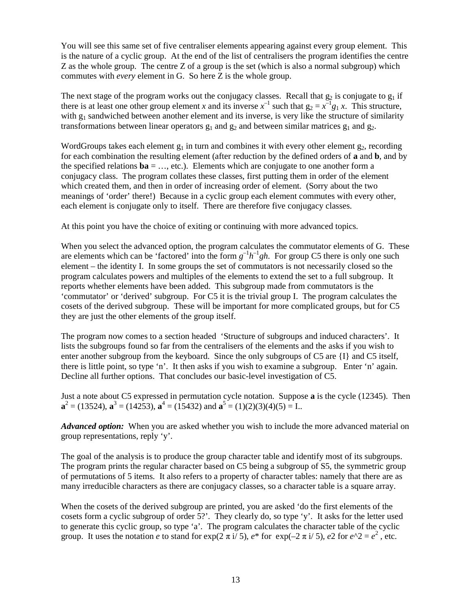You will see this same set of five centraliser elements appearing against every group element. This is the nature of a cyclic group. At the end of the list of centralisers the program identifies the centre Z as the whole group. The centre Z of a group is the set (which is also a normal subgroup) which commutes with *every* element in G. So here Z is the whole group.

The next stage of the program works out the conjugacy classes. Recall that  $g_2$  is conjugate to  $g_1$  if there is at least one other group element *x* and its inverse  $x^{-1}$  such that  $g_2 = x^{-1}g_1 x$ . This structure, with  $g_1$  sandwiched between another element and its inverse, is very like the structure of similarity transformations between linear operators  $g_1$  and  $g_2$  and between similar matrices  $g_1$  and  $g_2$ .

WordGroups takes each element  $g_1$  in turn and combines it with every other element  $g_2$ , recording for each combination the resulting element (after reduction by the defined orders of **a** and **b**, and by the specified relations **, etc.). Elements which are conjugate to one another form a** conjugacy class. The program collates these classes, first putting them in order of the element which created them, and then in order of increasing order of element. (Sorry about the two meanings of 'order' there!) Because in a cyclic group each element commutes with every other, each element is conjugate only to itself. There are therefore five conjugacy classes.

At this point you have the choice of exiting or continuing with more advanced topics.

When you select the advanced option, the program calculates the commutator elements of G. These are elements which can be 'factored' into the form  $g^{-1}h^{-1}gh$ . For group C5 there is only one such element – the identity I. In some groups the set of commutators is not necessarily closed so the program calculates powers and multiples of the elements to extend the set to a full subgroup. It reports whether elements have been added. This subgroup made from commutators is the 'commutator' or 'derived' subgroup. For C5 it is the trivial group I. The program calculates the cosets of the derived subgroup. These will be important for more complicated groups, but for C5 they are just the other elements of the group itself.

The program now comes to a section headed 'Structure of subgroups and induced characters'. It lists the subgroups found so far from the centralisers of the elements and the asks if you wish to enter another subgroup from the keyboard. Since the only subgroups of C5 are {I} and C5 itself, there is little point, so type 'n'. It then asks if you wish to examine a subgroup. Enter 'n' again. Decline all further options. That concludes our basic-level investigation of C5.

Just a note about C5 expressed in permutation cycle notation. Suppose **a** is the cycle (12345). Then  $\mathbf{a}^2 = (13524), \mathbf{a}^3 = (14253), \mathbf{a}^4 = (15432) \text{ and } \mathbf{a}^5 = (1)(2)(3)(4)(5) = \mathbf{I}$ ..

*Advanced option:* When you are asked whether you wish to include the more advanced material on group representations, reply 'y'.

The goal of the analysis is to produce the group character table and identify most of its subgroups. The program prints the regular character based on C5 being a subgroup of S5, the symmetric group of permutations of 5 items. It also refers to a property of character tables: namely that there are as many irreducible characters as there are conjugacy classes, so a character table is a square array.

When the cosets of the derived subgroup are printed, you are asked 'do the first elements of the cosets form a cyclic subgroup of order 5?'. They clearly do, so type 'y'. It asks for the letter used to generate this cyclic group, so type 'a'. The program calculates the character table of the cyclic group. It uses the notation *e* to stand for  $\exp(2 \pi i / 5)$ ,  $e^*$  for  $\exp(-2 \pi i / 5)$ ,  $e^2$  for  $e^2 = e^2$ , etc.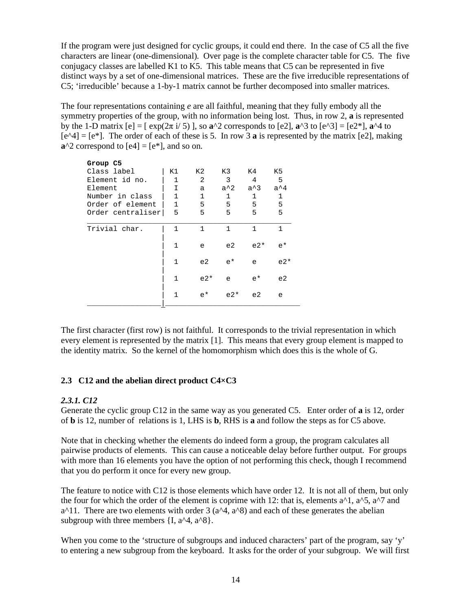If the program were just designed for cyclic groups, it could end there. In the case of C5 all the five characters are linear (one-dimensional). Over page is the complete character table for C5. The five conjugacy classes are labelled K1 to K5. This table means that C5 can be represented in five distinct ways by a set of one-dimensional matrices. These are the five irreducible representations of C5; 'irreducible' because a 1-by-1 matrix cannot be further decomposed into smaller matrices.

The four representations containing *e* are all faithful, meaning that they fully embody all the symmetry properties of the group, with no information being lost. Thus, in row 2, **a** is represented by the 1-D matrix [e] = [ exp(2π i/ 5) ], so **a**^2 corresponds to [e2], **a**^3 to [e^3] = [e2\*], **a**^4 to  $[e^4] = [e^*]$ . The order of each of these is 5. In row 3 **a** is represented by the matrix [e2], making  $a^2$  correspond to  $[e4] = [e^*]$ , and so on.

| Group C5          |              |              |             |              |              |
|-------------------|--------------|--------------|-------------|--------------|--------------|
| Class label       | K1           | K2           | K3          | K4           | K5           |
| Element id no.    | $\mathbf{1}$ | 2            | 3           | 4            | 5            |
| Element           | I            | a            | $a^2$       | $a^3$        | $a^4$        |
| Number in class   | $\mathbf{1}$ | $\mathbf{1}$ | 1           | 1            | $\mathbf{1}$ |
| Order of element  | $\mathbf{1}$ | 5            | 5           | 5            | 5            |
| Order centraliser | 5            | 5            | 5           | 5            | 5            |
| Trivial char.     | 1            | $\mathbf{1}$ | 1           | $\mathbf{1}$ | 1            |
|                   | 1            | e            | e2          | $e2*$        | $e^*$        |
|                   | 1            | e2           | $e^{\star}$ | e            | $e2*$        |
|                   | 1            | $e2*$        | e           | $e^{\star}$  | e2           |
|                   | $\mathbf{1}$ | $e^{\star}$  | $e2*$       | e2           | e            |
|                   |              |              |             |              |              |

The first character (first row) is not faithful. It corresponds to the trivial representation in which every element is represented by the matrix [1]. This means that every group element is mapped to the identity matrix. So the kernel of the homomorphism which does this is the whole of G.

### **2.3 C12 and the abelian direct product C4×C3**

### *2.3.1. C12*

Generate the cyclic group C12 in the same way as you generated C5. Enter order of **a** is 12, order of **b** is 12, number of relations is 1, LHS is **b**, RHS is **a** and follow the steps as for C5 above.

Note that in checking whether the elements do indeed form a group, the program calculates all pairwise products of elements. This can cause a noticeable delay before further output. For groups with more than 16 elements you have the option of not performing this check, though I recommend that you do perform it once for every new group.

The feature to notice with C12 is those elements which have order 12. It is not all of them, but only the four for which the order of the element is coprime with 12: that is, elements  $a^2$ ,  $a^2$ ,  $a^2$  and  $a^{\wedge}11$ . There are two elements with order 3 ( $a^{\wedge}4$ ,  $a^{\wedge}8$ ) and each of these generates the abelian subgroup with three members  $\{I, a^4, a^8\}.$ 

When you come to the 'structure of subgroups and induced characters' part of the program, say 'y' to entering a new subgroup from the keyboard. It asks for the order of your subgroup. We will first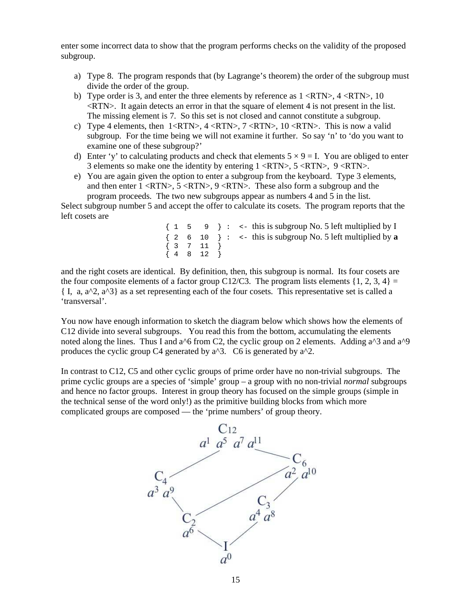enter some incorrect data to show that the program performs checks on the validity of the proposed subgroup.

- a) Type 8. The program responds that (by Lagrange's theorem) the order of the subgroup must divide the order of the group.
- b) Type order is 3, and enter the three elements by reference as  $1 \le RTN$ ,  $4 \le RTN$ ,  $10$  $\langle \text{RTN}\rangle$ . It again detects an error in that the square of element 4 is not present in the list. The missing element is 7. So this set is not closed and cannot constitute a subgroup.
- c) Type 4 elements, then  $1 < RTN$ ,  $4 < RTN$ ,  $7 < RTN$ ,  $10 < RTN$ . This is now a valid subgroup. For the time being we will not examine it further. So say 'n' to 'do you want to examine one of these subgroup?'
- d) Enter 'y' to calculating products and check that elements  $5 \times 9 = I$ . You are obliged to enter 3 elements so make one the identity by entering  $1 \le RTN$ ,  $5 \le RTN$ ,  $9 \le RTN$ .
- e) You are again given the option to enter a subgroup from the keyboard. Type 3 elements, and then enter  $1 \le RTN$ ,  $5 \le RTN$ ,  $9 \le RTN$ . These also form a subgroup and the program proceeds. The two new subgroups appear as numbers 4 and 5 in the list.

Select subgroup number 5 and accept the offer to calculate its cosets. The program reports that the left cosets are

> $\{ 1 \quad 5 \quad 9 \} : \leftarrow \text{this is subgroup No. 5 left multiplied by I}$ { 2 6 10 } : <- this is subgroup No. 5 left multiplied by **a**  $\{$  3 7 11  $\}$  $\{4 \quad 8 \quad 12 \}$

and the right cosets are identical. By definition, then, this subgroup is normal. Its four cosets are the four composite elements of a factor group C12/C3. The program lists elements  $\{1, 2, 3, 4\}$ { I, a, a^2, a^3} as a set representing each of the four cosets. This representative set is called a 'transversal'.

You now have enough information to sketch the diagram below which shows how the elements of C12 divide into several subgroups. You read this from the bottom, accumulating the elements noted along the lines. Thus I and a<sup> $\land$ 6</sup> from C2, the cyclic group on 2 elements. Adding a $\land$ 3 and a $\land$ 9 produces the cyclic group C4 generated by  $a^2$ . C6 is generated by  $a^2$ .

In contrast to C12, C5 and other cyclic groups of prime order have no non-trivial subgroups. The prime cyclic groups are a species of 'simple' group – a group with no non-trivial *normal* subgroups and hence no factor groups. Interest in group theory has focused on the simple groups (simple in the technical sense of the word only!) as the primitive building blocks from which more complicated groups are composed –– the 'prime numbers' of group theory.

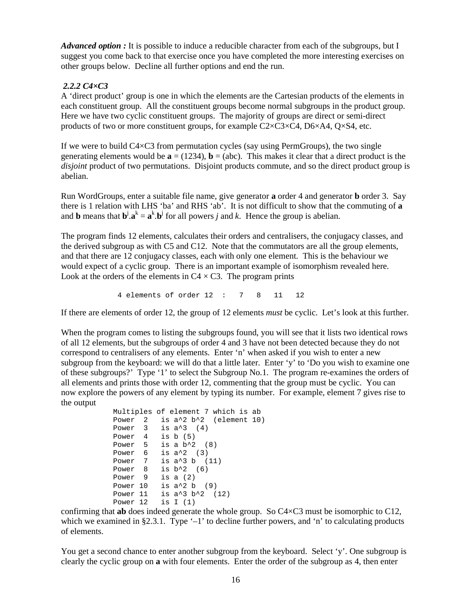*Advanced option*: It is possible to induce a reducible character from each of the subgroups, but I suggest you come back to that exercise once you have completed the more interesting exercises on other groups below. Decline all further options and end the run.

# *2.2.2 C4×C3*

A 'direct product' group is one in which the elements are the Cartesian products of the elements in each constituent group. All the constituent groups become normal subgroups in the product group. Here we have two cyclic constituent groups. The majority of groups are direct or semi-direct products of two or more constituent groups, for example  $C2 \times C3 \times C4$ ,  $D6 \times A4$ ,  $Q \times S4$ , etc.

If we were to build  $C4 \times C3$  from permutation cycles (say using PermGroups), the two single generating elements would be  $\mathbf{a} = (1234)$ ,  $\mathbf{b} = (abc)$ . This makes it clear that a direct product is the *disjoint* product of two permutations. Disjoint products commute, and so the direct product group is abelian.

Run WordGroups, enter a suitable file name, give generator **a** order 4 and generator **b** order 3. Say there is 1 relation with LHS 'ba' and RHS 'ab'. It is not difficult to show that the commuting of **a** and **b** means that  $\mathbf{b}^j \cdot \mathbf{a}^k = \mathbf{a}^k \cdot \mathbf{b}^j$  for all powers *j* and *k*. Hence the group is abelian.

The program finds 12 elements, calculates their orders and centralisers, the conjugacy classes, and the derived subgroup as with C5 and C12. Note that the commutators are all the group elements, and that there are 12 conjugacy classes, each with only one element. This is the behaviour we would expect of a cyclic group. There is an important example of isomorphism revealed here. Look at the orders of the elements in  $C4 \times C3$ . The program prints

4 elements of order 12 : 7 8 11 12

If there are elements of order 12, the group of 12 elements *must* be cyclic. Let's look at this further.

When the program comes to listing the subgroups found, you will see that it lists two identical rows of all 12 elements, but the subgroups of order 4 and 3 have not been detected because they do not correspond to centralisers of any elements. Enter 'n' when asked if you wish to enter a new subgroup from the keyboard: we will do that a little later. Enter 'y' to 'Do you wish to examine one of these subgroups?' Type '1' to select the Subgroup No.1. The program re-examines the orders of all elements and prints those with order 12, commenting that the group must be cyclic. You can now explore the powers of any element by typing its number. For example, element 7 gives rise to the output

```
Multiples of element 7 which is ab 
Power 2 is a<sup>2</sup> b<sup>2</sup> (element 10)
Power 3 is a^3 (4)Power 4 is b (5) 
Power 5 is a b^2 (8)
Power 6 is a^2 (3)
Power 7 is a^3 b (11)
Power 8 is b^2 (6)
Power 9 is a (2) 
Power 10 is a^2 b (9)
Power 11 is a^3 b<sup>2</sup> (12)
Power 12 is I (1)
```
confirming that **ab** does indeed generate the whole group. So C4×C3 must be isomorphic to C12, which we examined in §2.3.1. Type '-1' to decline further powers, and 'n' to calculating products of elements.

You get a second chance to enter another subgroup from the keyboard. Select 'y'. One subgroup is clearly the cyclic group on **a** with four elements. Enter the order of the subgroup as 4, then enter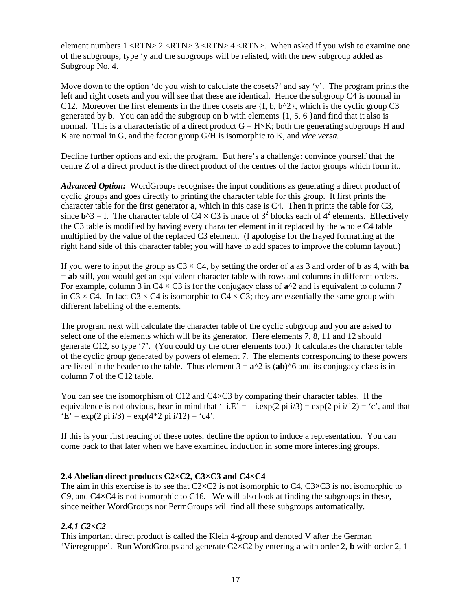element numbers  $1 < RTN$   $2 < RTN$   $3 < RTN$   $4 < RTN$ . When asked if you wish to examine one of the subgroups, type 'y and the subgroups will be relisted, with the new subgroup added as Subgroup No. 4.

Move down to the option 'do you wish to calculate the cosets?' and say 'y'. The program prints the left and right cosets and you will see that these are identical. Hence the subgroup C4 is normal in C12. Moreover the first elements in the three cosets are  $\{I, b, b^2\}$ , which is the cyclic group C3 generated by **b**. You can add the subgroup on **b** with elements {1, 5, 6 }and find that it also is normal. This is a characteristic of a direct product  $G = H \times K$ ; both the generating subgroups H and K are normal in G, and the factor group G/H is isomorphic to K, and *vice versa*.

Decline further options and exit the program. But here's a challenge: convince yourself that the centre Z of a direct product is the direct product of the centres of the factor groups which form it..

*Advanced Option:* WordGroups recognises the input conditions as generating a direct product of cyclic groups and goes directly to printing the character table for this group. It first prints the character table for the first generator **a**, which in this case is C4. Then it prints the table for C3, since  $\mathbf{b}^2 - 1$ . The character table of C4 × C3 is made of 3<sup>2</sup> blocks each of 4<sup>2</sup> elements. Effectively the C3 table is modified by having every character element in it replaced by the whole C4 table multiplied by the value of the replaced C3 element. (I apologise for the frayed formatting at the right hand side of this character table; you will have to add spaces to improve the column layout.)

If you were to input the group as  $C3 \times C4$ , by setting the order of **a** as 3 and order of **b** as 4, with **ba** = **ab** still, you would get an equivalent character table with rows and columns in different orders. For example, column 3 in  $C4 \times C3$  is for the conjugacy class of  $\mathbf{a}^{\wedge}2$  and is equivalent to column 7 in C3  $\times$  C4. In fact C3  $\times$  C4 is isomorphic to C4  $\times$  C3; they are essentially the same group with different labelling of the elements.

The program next will calculate the character table of the cyclic subgroup and you are asked to select one of the elements which will be its generator. Here elements 7, 8, 11 and 12 should generate C12, so type '7'. (You could try the other elements too.) It calculates the character table of the cyclic group generated by powers of element 7. The elements corresponding to these powers are listed in the header to the table. Thus element  $3 = \mathbf{a}^2/2$  is ( $\mathbf{a}$ **b**)<sup> $\wedge$ 6 and its conjugacy class is in</sup> column 7 of the C12 table.

You can see the isomorphism of C12 and C4×C3 by comparing their character tables. If the equivalence is not obvious, bear in mind that '–i.E' = –i.exp(2 pi i/3) = exp(2 pi i/12) = 'c', and that  $E' = \exp(2 \pi i i/3) = \exp(4 \times 2 \pi i i/12) = \text{`c4'}.$ 

If this is your first reading of these notes, decline the option to induce a representation. You can come back to that later when we have examined induction in some more interesting groups.

### **2.4 Abelian direct products C2×C2, C3×C3 and C4×C4**

The aim in this exercise is to see that C2×C2 is not isomorphic to C4, C3**×**C3 is not isomorphic to C9, and C4**×**C4 is not isomorphic to C16. We will also look at finding the subgroups in these, since neither WordGroups nor PermGroups will find all these subgroups automatically.

### *2.4.1 C2×C2*

This important direct product is called the Klein 4-group and denoted V after the German 'Vieregruppe'. Run WordGroups and generate C2×C2 by entering **a** with order 2, **b** with order 2, 1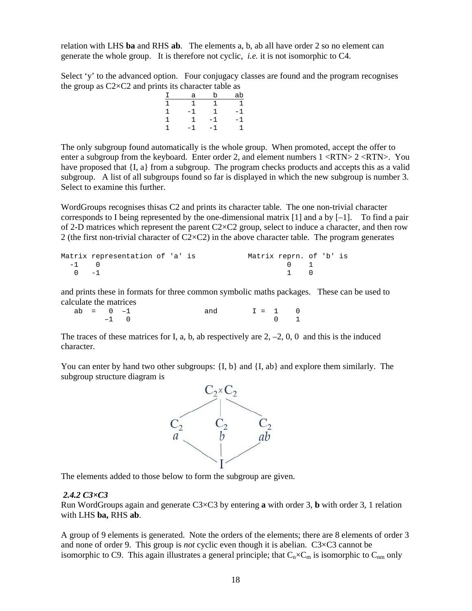relation with LHS **ba** and RHS **ab**. The elements a, b, ab all have order 2 so no element can generate the whole group. It is therefore not cyclic, *i.e.* it is not isomorphic to C4.

Select 'y' to the advanced option. Four conjugacy classes are found and the program recognises the group as  $C2 \times C2$  and prints its character table as

|   |   | -- |
|---|---|----|
| а | b | ab |
|   |   |    |
|   |   |    |
|   |   |    |
|   |   |    |

The only subgroup found automatically is the whole group. When promoted, accept the offer to enter a subgroup from the keyboard. Enter order 2, and element numbers  $1 \le RTN > 2 \le RTN$ . You have proposed that {I, a} from a subgroup. The program checks products and accepts this as a valid subgroup. A list of all subgroups found so far is displayed in which the new subgroup is number 3. Select to examine this further.

WordGroups recognises thisas C2 and prints its character table. The one non-trivial character corresponds to I being represented by the one-dimensional matrix  $[1]$  and a by  $[-1]$ . To find a pair of 2-D matrices which represent the parent  $C2 \times C2$  group, select to induce a character, and then row 2 (the first non-trivial character of  $C2 \times C2$ ) in the above character table. The program generates

|        | Matrix representation of 'a' is |  | Matrix reprn. of 'b' is |                                              |  |  |
|--------|---------------------------------|--|-------------------------|----------------------------------------------|--|--|
| $-1$ 0 |                                 |  |                         | $\begin{array}{ccc} & & 0 & & 1 \end{array}$ |  |  |
| $0 -1$ |                                 |  |                         | $\begin{array}{ccc} 1 & 0 \end{array}$       |  |  |

and prints these in formats for three common symbolic maths packages. These can be used to calculate the matrices

| $ab = 0 -1$ |        |  | and $I = 1 0$ |                                              |
|-------------|--------|--|---------------|----------------------------------------------|
|             | $-1$ 0 |  |               | $\begin{array}{ccc} & & 0 & & 1 \end{array}$ |

The traces of these matrices for I, a, b, ab respectively are  $2, -2, 0, 0$  and this is the induced character.

You can enter by hand two other subgroups:  $\{I, b\}$  and  $\{I, ab\}$  and explore them similarly. The subgroup structure diagram is



The elements added to those below to form the subgroup are given.

### *2.4.2 C3×C3*

Run WordGroups again and generate C3×C3 by entering **a** with order 3, **b** with order 3, 1 relation with LHS **ba,** RHS **ab**.

A group of 9 elements is generated. Note the orders of the elements; there are 8 elements of order 3 and none of order 9. This group is *not* cyclic even though it is abelian. C3×C3 cannot be isomorphic to C9. This again illustrates a general principle; that  $C_n \times C_m$  is isomorphic to  $C_{nm}$  only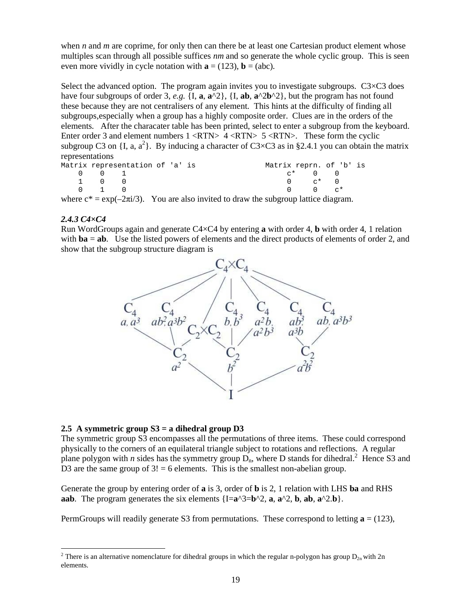when *n* and *m* are coprime, for only then can there be at least one Cartesian product element whose multiples scan through all possible suffices *nm* and so generate the whole cyclic group. This is seen even more vividly in cycle notation with  $\mathbf{a} = (123)$ ,  $\mathbf{b} = (abc)$ .

Select the advanced option. The program again invites you to investigate subgroups.  $C3 \times C3$  does have four subgroups of order 3, *e.g.* {I, **a**,  $\mathbf{a}^2$ }, {I, **ab**,  $\mathbf{a}^2 \cdot 2 \cdot 2$ }, but the program has not found these because they are not centralisers of any element. This hints at the difficulty of finding all subgroups,especially when a group has a highly composite order. Clues are in the orders of the elements. After the characater table has been printed, select to enter a subgroup from the keyboard. Enter order 3 and element numbers 1 <RTN> 4 <RTN> 5 <RTN>. These form the cyclic subgroup C3 on {I, a,  $a^2$ }. By inducing a character of C3×C3 as in §2.4.1 you can obtain the matrix representations

| Matrix representation of 'a' is |                                         |  |  |                                                                                            | Matrix reprn. of 'b' is |                                                  |  |
|---------------------------------|-----------------------------------------|--|--|--------------------------------------------------------------------------------------------|-------------------------|--------------------------------------------------|--|
|                                 | $0 \qquad 0 \qquad 1$                   |  |  |                                                                                            |                         | $C^*$ 0 0                                        |  |
|                                 | 1 0 0                                   |  |  |                                                                                            |                         | $0 \qquad \qquad \alpha^* \qquad 0$              |  |
|                                 | $\begin{matrix} 0 & 1 & 0 \end{matrix}$ |  |  |                                                                                            |                         | $\begin{matrix} 0 & 0 & \mathbf{0} \end{matrix}$ |  |
|                                 |                                         |  |  | where $c^* = \exp(-2\pi i/3)$ . You are also invited to draw the subgroup lattice diagram. |                         |                                                  |  |

#### *2.4.3 C4×C4*

 $\overline{a}$ 

Run WordGroups again and generate C4×C4 by entering **a** with order 4, **b** with order 4, 1 relation with **ba** = **ab**. Use the listed powers of elements and the direct products of elements of order 2, and show that the subgroup structure diagram is



#### **2.5 A symmetric group S3 = a dihedral group D3**

The symmetric group S3 encompasses all the permutations of three items. These could correspond physically to the corners of an equilateral triangle subject to rotations and reflections. A regular plane polygon with *n* sides has the symmetry group  $\overline{D}_n$ , where D stands for dihedral.<sup>2</sup> Hence S3 and D3 are the same group of  $3! = 6$  elements. This is the smallest non-abelian group.

Generate the group by entering order of **a** is 3, order of **b** is 2, 1 relation with LHS **ba** and RHS **aab**. The program generates the six elements  $\{I=a^{\wedge}3=b^{\wedge}2$ , **a**,  $a^{\wedge}2$ , **b**,  $ab$ ,  $a^{\wedge}2.b$ .

PermGroups will readily generate S3 from permutations. These correspond to letting  $\mathbf{a} = (123)$ ,

<sup>&</sup>lt;sup>2</sup> There is an alternative nomenclature for dihedral groups in which the regular n-polygon has group  $D_{2n}$  with 2n elements.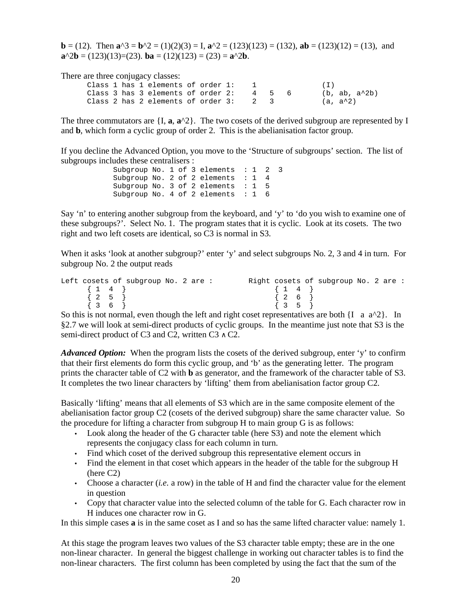**b** = (12). Then  $\mathbf{a}^2 = \mathbf{b}^2 = (1)(2)(3) = \mathbf{I}$ ,  $\mathbf{a}^2 = (123)(123) = (132)$ ,  $\mathbf{a}\mathbf{b} = (123)(12) = (13)$ , and **a**<sup> $\triangle$ 2**b** = (123)(13)=(23). **ba** = (12)(123) = (23) = **a**<sup> $\triangle$ 2**b**.</sup></sup>

There are three conjugacy classes:

Class 1 has 1 elements of order  $1: 1$  (I) Class 3 has 3 elements of order 2:  $4 \quad 5 \quad 6$  (b, ab, a^2b) Class 2 has 2 elements of order  $3: 2 \quad 3 \quad (a, a^2)$ 

The three commutators are  $\{I, \mathbf{a}, \mathbf{a}^{\wedge}2\}$ . The two cosets of the derived subgroup are represented by I and **b**, which form a cyclic group of order 2. This is the abelianisation factor group.

If you decline the Advanced Option, you move to the 'Structure of subgroups' section. The list of subgroups includes these centralisers :

> Subgroup No. 1 of 3 elements : 1 2 3 Subgroup No. 2 of 2 elements : 1 4 Subgroup No. 3 of 2 elements : 1 5 Subgroup No. 4 of 2 elements : 1 6

Say 'n' to entering another subgroup from the keyboard, and 'y' to 'do you wish to examine one of these subgroups?'. Select No. 1. The program states that it is cyclic. Look at its cosets. The two right and two left cosets are identical, so C3 is normal in S3.

When it asks 'look at another subgroup?' enter 'y' and select subgroups No. 2, 3 and 4 in turn. For subgroup No. 2 the output reads

```
Left cosets of subgroup No. 2 are : The Right cosets of subgroup No. 2 are :
         \left\{ \begin{array}{ccc} 1 & 4 \end{array} \right\}\{2\quad5\}{3 \t6}\{ 1 \ 4 \}\{2 \quad 6 \quad \}\begin{array}{cc} \{ & 3 & 5 \end{array}
```
So this is not normal, even though the left and right coset representatives are both  $\{I \text{ a } a^2 \}$ . In §2.7 we will look at semi-direct products of cyclic groups. In the meantime just note that S3 is the semi-direct product of C3 and C2, written C3  $\land$  C2.

*Advanced Option:* When the program lists the cosets of the derived subgroup, enter 'y' to confirm that their first elements do form this cyclic group, and 'b' as the generating letter. The program prints the character table of C2 with **b** as generator, and the framework of the character table of S3. It completes the two linear characters by 'lifting' them from abelianisation factor group C2.

Basically 'lifting' means that all elements of S3 which are in the same composite element of the abelianisation factor group C2 (cosets of the derived subgroup) share the same character value. So the procedure for lifting a character from subgroup H to main group G is as follows:

- Look along the header of the G character table (here S3) and note the element which represents the conjugacy class for each column in turn.
- Find which coset of the derived subgroup this representative element occurs in
- Find the element in that coset which appears in the header of the table for the subgroup H (here C2)
- Choose a character (*i.e.* a row) in the table of H and find the character value for the element in question
- Copy that character value into the selected column of the table for G. Each character row in H induces one character row in G.

In this simple cases **a** is in the same coset as I and so has the same lifted character value: namely 1.

At this stage the program leaves two values of the S3 character table empty; these are in the one non-linear character. In general the biggest challenge in working out character tables is to find the non-linear characters. The first column has been completed by using the fact that the sum of the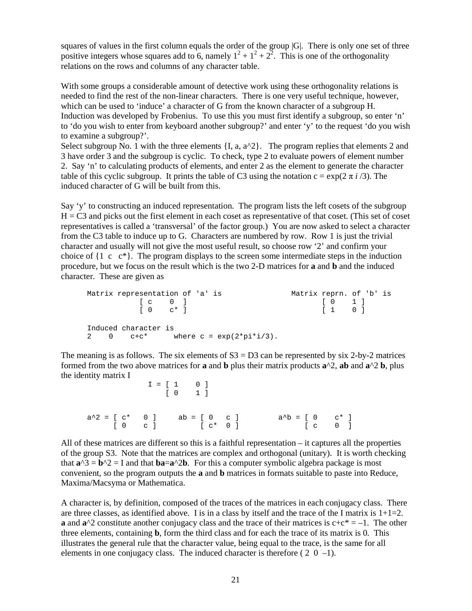squares of values in the first column equals the order of the group |G|. There is only one set of three positive integers whose squares add to 6, namely  $1^2 + 1^2 + 2^2$ . This is one of the orthogonality relations on the rows and columns of any character table.

With some groups a considerable amount of detective work using these orthogonality relations is needed to find the rest of the non-linear characters. There is one very useful technique, however, which can be used to 'induce' a character of G from the known character of a subgroup H. Induction was developed by Frobenius. To use this you must first identify a subgroup, so enter 'n' to 'do you wish to enter from keyboard another subgroup?' and enter 'y' to the request 'do you wish to examine a subgroup?'.

Select subgroup No. 1 with the three elements  $\{I, a, a^2\}$ . The program replies that elements 2 and 3 have order 3 and the subgroup is cyclic. To check, type 2 to evaluate powers of element number 2. Say 'n' to calculating products of elements, and enter 2 as the element to generate the character table of this cyclic subgroup. It prints the table of C3 using the notation  $c = \exp(2 \pi i / 3)$ . The induced character of G will be built from this.

Say 'y' to constructing an induced representation. The program lists the left cosets of the subgroup  $H = C<sub>3</sub>$  and picks out the first element in each coset as representative of that coset. (This set of coset representatives is called a 'transversal' of the factor group.) You are now asked to select a character from the C3 table to induce up to G. Characters are numbered by row. Row 1 is just the trivial character and usually will not give the most useful result, so choose row '2' and confirm your choice of  $\{1 \ c \ c^*\}$ . The program displays to the screen some intermediate steps in the induction procedure, but we focus on the result which is the two 2-D matrices for **a** and **b** and the induced character. These are given as

```
Matrix representation of 'a' is Matrix reprn. of 'b' is 
          [ 0 1 ]\begin{bmatrix} 0 & c^* \end{bmatrix} \qquad \qquad \begin{bmatrix} 1 & 0 \end{bmatrix}Induced character is 
2 0 c+c^* where c = exp(2*pi*1/3).
```
The meaning is as follows. The six elements of  $S3 = D3$  can be represented by six 2-by-2 matrices formed from the two above matrices for **a** and **b** plus their matrix products **a**^2, **ab** and **a**^2 **b**, plus the identity matrix I

 $I = [1 \ 0]$  [ 0 1 ]  $a^2 = [ c^* \ 0 ]$   $ab = [ 0 \ c ]$   $a^2b = [ 0 \ c^* ]$ [ 0 c ] [ c\* 0 ] [ c 0 ]

All of these matrices are different so this is a faithful representation – it captures all the properties of the group S3. Note that the matrices are complex and orthogonal (unitary). It is worth checking that  $a^3 = b^2 = I$  and that  $ba = a^2b$ . For this a computer symbolic algebra package is most convenient, so the program outputs the **a** and **b** matrices in formats suitable to paste into Reduce, Maxima/Macsyma or Mathematica.

A character is, by definition, composed of the traces of the matrices in each conjugacy class. There are three classes, as identified above. I is in a class by itself and the trace of the I matrix is  $1+1=2$ . **a** and  $\mathbf{a}^{\wedge}2$  constitute another conjugacy class and the trace of their matrices is  $c+c^* = -1$ . The other three elements, containing **b**, form the third class and for each the trace of its matrix is 0. This illustrates the general rule that the character value, being equal to the trace, is the same for all elements in one conjugacy class. The induced character is therefore ( $2 \ 0 \ -1$ ).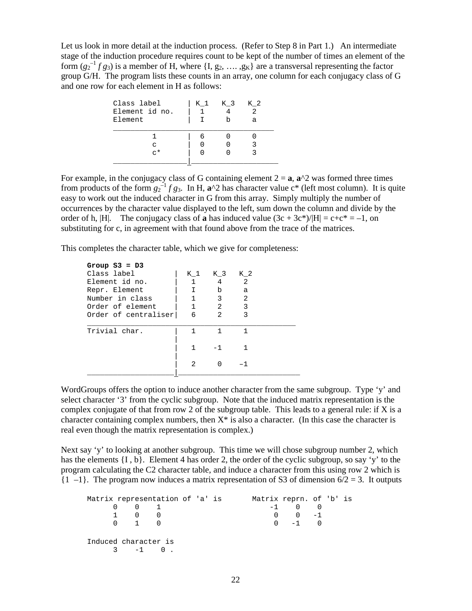Let us look in more detail at the induction process. (Refer to Step 8 in Part 1.) An intermediate stage of the induction procedure requires count to be kept of the number of times an element of the form  $(g_2^{-1} f g_3)$  is a member of H, where  $\{I, g_2, ..., g_K\}$  are a transversal representing the factor group G/H. The program lists these counts in an array, one column for each conjugacy class of G and one row for each element in H as follows:

| Class label<br>Element id no.<br>Element | K 1 | K 3 | K 2<br>$\mathfrak{D}$<br>a |  |
|------------------------------------------|-----|-----|----------------------------|--|
|                                          |     |     |                            |  |
| C                                        |     |     |                            |  |
| $\sim$ $\star$                           |     |     |                            |  |
|                                          |     |     |                            |  |

For example, in the conjugacy class of G containing element  $2 = a$ ,  $a^2$  was formed three times from products of the form  $g_2^{-1} f g_3$ . In H,  $\mathbf{a}^{\wedge 2}$  has character value c<sup>\*</sup> (left most column). It is quite easy to work out the induced character in G from this array. Simply multiply the number of occurrences by the character value displayed to the left, sum down the column and divide by the order of h, |H|. The conjugacy class of **a** has induced value  $(3c + 3c^*)/|H| = c + c^* = -1$ , on substituting for c, in agreement with that found above from the trace of the matrices.

This completes the character table, which we give for completeness:

| Group $S3 = D3$      |                |                |     |  |
|----------------------|----------------|----------------|-----|--|
| Class label          | K 1            | K 3            | K 2 |  |
| Element id no.       | 1              | 4              | 2   |  |
| Repr. Element        | I.             | b              | a   |  |
| Number in class      |                | 3              | 2   |  |
| Order of element     | $\mathbf{1}$   | $\overline{2}$ | 3   |  |
| Order of centraliser | 6              | $\mathfrak{D}$ | 3   |  |
|                      |                |                |     |  |
| Trivial char.        |                |                | 1   |  |
|                      |                |                |     |  |
|                      | 1              |                | 1   |  |
|                      |                |                |     |  |
|                      | $\mathfrak{D}$ |                |     |  |
|                      |                |                |     |  |

WordGroups offers the option to induce another character from the same subgroup. Type 'y' and select character '3' from the cyclic subgroup. Note that the induced matrix representation is the complex conjugate of that from row 2 of the subgroup table. This leads to a general rule: if X is a character containing complex numbers, then  $X^*$  is also a character. (In this case the character is real even though the matrix representation is complex.)

Next say 'y' to looking at another subgroup. This time we will chose subgroup number 2, which has the elements  $\{I, b\}$ . Element 4 has order 2, the order of the cyclic subgroup, so say 'y' to the program calculating the C2 character table, and induce a character from this using row 2 which is  $\{1 \text{ } -1\}$ . The program now induces a matrix representation of S3 of dimension  $6/2 = 3$ . It outputs

| Matrix representation of 'a' is |                     |          |  |  | Matrix reprn. of 'b' is |  |  |
|---------------------------------|---------------------|----------|--|--|-------------------------|--|--|
| $\Omega$                        | $0 \quad 1$         |          |  |  | $-1$ 0 0                |  |  |
|                                 | 1 0 0               |          |  |  | $0 \t 0 \t -1$          |  |  |
|                                 | $0 \quad 1 \quad 0$ |          |  |  | $0 \quad -1 \quad 0$    |  |  |
| Induced character is            |                     | $3 -1 0$ |  |  |                         |  |  |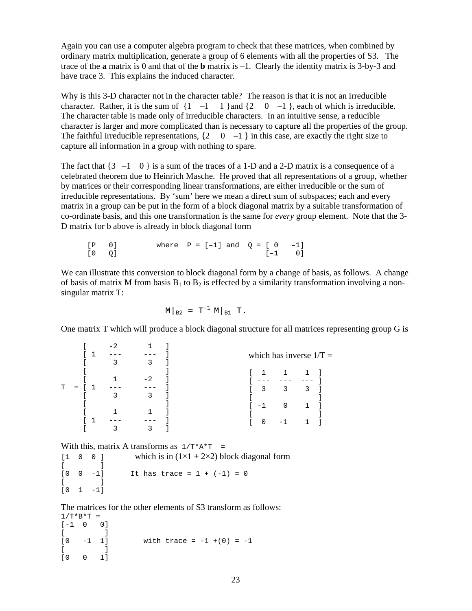Again you can use a computer algebra program to check that these matrices, when combined by ordinary matrix multiplication, generate a group of 6 elements with all the properties of S3. The trace of the **a** matrix is 0 and that of the **b** matrix is –1. Clearly the identity matrix is 3-by-3 and have trace 3. This explains the induced character.

Why is this 3-D character not in the character table? The reason is that it is not an irreducible character. Rather, it is the sum of  $\{1 \quad -1 \quad 1\}$  and  $\{2 \quad 0 \quad -1\}$ , each of which is irreducible. The character table is made only of irreducible characters. In an intuitive sense, a reducible character is larger and more complicated than is necessary to capture all the properties of the group. The faithful irreducible representations,  $\{2 \quad 0 \quad -1 \}$  in this case, are exactly the right size to capture all information in a group with nothing to spare.

The fact that  $\{3 \text{ } -1 \text{ } 0 \}$  is a sum of the traces of a 1-D and a 2-D matrix is a consequence of a celebrated theorem due to Heinrich Masche. He proved that all representations of a group, whether by matrices or their corresponding linear transformations, are either irreducible or the sum of irreducible representations. By 'sum' here we mean a direct sum of subspaces; each and every matrix in a group can be put in the form of a block diagonal matrix by a suitable transformation of co-ordinate basis, and this one transformation is the same for *every* group element. Note that the 3- D matrix for b above is already in block diagonal form

| $[P \t 0]$ |  | where $P = [-1]$ and $Q = [0 \t -1]$ |            |  |
|------------|--|--------------------------------------|------------|--|
| $[0 \t Q]$ |  |                                      | $[-1 \ 0]$ |  |

We can illustrate this conversion to block diagonal form by a change of basis, as follows. A change of basis of matrix M from basis  $B_1$  to  $B_2$  is effected by a similarity transformation involving a nonsingular matrix T:

$$
M|_{B2} = T^{-1} M|_{B1} T.
$$

One matrix T which will produce a block diagonal structure for all matrices representing group G is

|   |     | $\overline{\phantom{0}}$ | 3    | which has inverse $1/T =$      |
|---|-----|--------------------------|------|--------------------------------|
|   |     |                          | $-2$ | $\mathbf{1}$<br>1              |
| т | $=$ |                          | 3    | 3<br>-3<br>3                   |
|   |     |                          |      | $\Omega$<br>$\lceil -1 \rceil$ |
|   |     |                          |      | $\Omega$<br>- 1                |

With this, matrix A transforms as  $1/T^*A^*T =$ 

 $[1 \ 0 \ 0]$  which is in  $(1 \times 1 + 2 \times 2)$  block diagonal form  $\begin{bmatrix} 1 & 1 \\ 0 & 0 & -1 \end{bmatrix}$ It has trace =  $1 + (-1) = 0$  $[$   $]$  $[0 \ 1 \ -1]$ 

The matrices for the other elements of S3 transform as follows:  $1/T*B*T =$ 

```
[-1 \ 0 \ 0]\begin{bmatrix} 1 & 1 \\ 0 & -1 & 1 \end{bmatrix}[0 -1 1] with trace = -1 + (0) = -1[ ] ][0 0 1]
```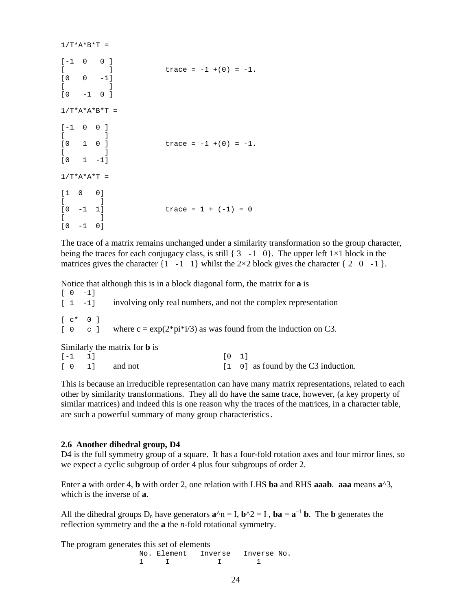```
1/T^*A^*B^*T =[-1 \ 0 \ 0]\begin{bmatrix} 1 & 1 & 1 \end{bmatrix} trace = -1 +(0) = -1.
[0 \ 0 \ -1][ ][0 -1 0 ]1/T^*A^*A^*B^*T =[-1 \ 0 \ 0]\begin{bmatrix} 1 & 1 \\ 0 & 1 & 0 \end{bmatrix}\text{trace} = -1 + (0) = -1.[ ][0 \t 1 \t -1]1/T^*A^*A^*T =[1 0 0] 
[ ][0 -1 1] trace = 1 + (-1) = 0[ ][0 -1 0]
```
The trace of a matrix remains unchanged under a similarity transformation so the group character, being the traces for each conjugacy class, is still  $\{3, -1, 0\}$ . The upper left 1×1 block in the matrices gives the character  $\{1 \text{ } -1 \text{ } 1\}$  whilst the 2×2 block gives the character  $\{2 \text{ } 0 \text{ } -1 \}$ .

Notice that although this is in a block diagonal form, the matrix for **a** is

|  | $\begin{bmatrix} 0 & -1 \end{bmatrix}$ |                                                                                                        |
|--|----------------------------------------|--------------------------------------------------------------------------------------------------------|
|  |                                        | $\begin{bmatrix} 1 & -1 \end{bmatrix}$ involving only real numbers, and not the complex representation |
|  | $c^*$ 0 1                              |                                                                                                        |
|  |                                        | [ 0 c ] where $c = \exp(2 \cdot \pi) \cdot i/3$ as was found from the induction on C3.                 |
|  |                                        | Similarly the matrix for <b>b</b> is                                                                   |
|  | .                                      |                                                                                                        |

| $[-1 \ 1]$ |                                               | $\begin{bmatrix} 0 & 1 \end{bmatrix}$ |                                     |
|------------|-----------------------------------------------|---------------------------------------|-------------------------------------|
|            | $\begin{bmatrix} 0 & 1 \end{bmatrix}$ and not |                                       | [1 0] as found by the C3 induction. |

This is because an irreducible representation can have many matrix representations, related to each other by similarity transformations. They all do have the same trace, however, (a key property of similar matrices) and indeed this is one reason why the traces of the matrices, in a character table, are such a powerful summary of many group characteristics.

#### **2.6 Another dihedral group, D4**

D4 is the full symmetry group of a square. It has a four-fold rotation axes and four mirror lines, so we expect a cyclic subgroup of order 4 plus four subgroups of order 2.

Enter **a** with order 4, **b** with order 2, one relation with LHS **ba** and RHS **aaab**. **aaa** means **a**^3, which is the inverse of **a**.

All the dihedral groups  $D_n$  have generators  $\mathbf{a}^n \cdot \mathbf{n} = \mathbf{I}$ ,  $\mathbf{b}^n \cdot \mathbf{a} = \mathbf{a}^{-1} \mathbf{b}$ . The **b** generates the reflection symmetry and the **a** the *n*-fold rotational symmetry.

The program generates this set of elements

No. Element Inverse Inverse No. 1 I 1 1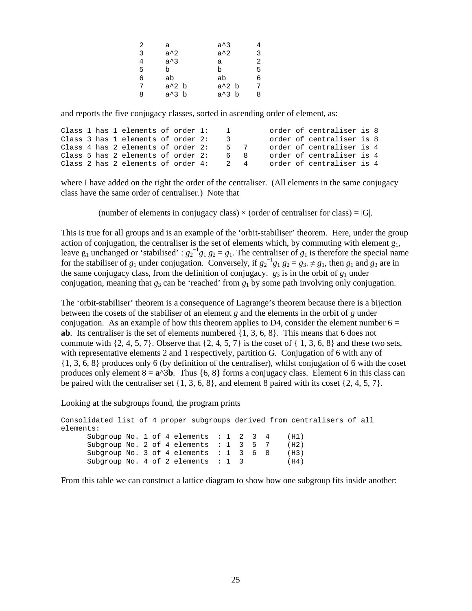| 2 | а             | $a^{\wedge}3$ |   |
|---|---------------|---------------|---|
| 3 | $a^2$         | $a^2$         | 3 |
| 4 | $a^{\wedge}3$ | a             | 2 |
| 5 | b             | h             | 5 |
| 6 | ab            | ab            | 6 |
| 7 | $a^2$ b       | $a^2$ b       | 7 |
| 8 | a^3 b         | $a^3$ b       | 8 |

and reports the five conjugacy classes, sorted in ascending order of element, as:

|  |  | Class 1 has 1 elements of order 1:    |  | $\mathbf{I}$ |  | order of centraliser is 8 |  |
|--|--|---------------------------------------|--|--------------|--|---------------------------|--|
|  |  | Class 3 has 1 elements of order 2:    |  | $\sim$       |  | order of centraliser is 8 |  |
|  |  | Class 4 has 2 elements of order 2:    |  | 57           |  | order of centraliser is 4 |  |
|  |  | Class 5 has 2 elements of order 2:    |  | 6 R          |  | order of centraliser is 4 |  |
|  |  | Class 2 has 2 elements of order $4$ : |  | 2. 4         |  | order of centraliser is 4 |  |

where I have added on the right the order of the centraliser. (All elements in the same conjugacy class have the same order of centraliser.) Note that

(number of elements in conjugacy class)  $\times$  (order of centraliser for class) = |G|.

This is true for all groups and is an example of the 'orbit-stabiliser' theorem. Here, under the group action of conjugation, the centraliser is the set of elements which, by commuting with element  $g_1$ , leave  $g_1$  unchanged or 'stabilised' :  $g_2^{-1}g_1 g_2 = g_1$ . The centraliser of  $g_1$  is therefore the special name for the stabiliser of  $g_1$  under conjugation. Conversely, if  $g_2^{-1}g_1 g_2 = g_3 \neq g_1$ , then  $g_1$  and  $g_3$  are in the same conjugacy class, from the definition of conjugacy.  $g_3$  is in the orbit of  $g_1$  under conjugation, meaning that  $g_3$  can be 'reached' from  $g_1$  by some path involving only conjugation.

The 'orbit-stabiliser' theorem is a consequence of Lagrange's theorem because there is a bijection between the cosets of the stabiliser of an element *g* and the elements in the orbit of *g* under conjugation. As an example of how this theorem applies to D4, consider the element number  $6 =$ **ab**. Its centraliser is the set of elements numbered {1, 3, 6, 8}. This means that 6 does not commute with  $\{2, 4, 5, 7\}$ . Observe that  $\{2, 4, 5, 7\}$  is the coset of  $\{1, 3, 6, 8\}$  and these two sets, with representative elements 2 and 1 respectively, partition G. Conjugation of 6 with any of {1, 3, 6, 8} produces only 6 (by definition of the centraliser), whilst conjugation of 6 with the coset produces only element  $8 = \mathbf{a}^{\wedge}3\mathbf{b}$ . Thus {6, 8} forms a conjugacy class. Element 6 in this class can be paired with the centraliser set {1, 3, 6, 8}, and element 8 paired with its coset {2, 4, 5, 7}.

Looking at the subgroups found, the program prints

```
Consolidated list of 4 proper subgroups derived from centralisers of all 
elements: 
     Subgroup No. 1 of 4 elements : 1 2 3 4 (H1)
     Subgroup No. 2 of 4 elements : 1 3 5 7 (H2)
     Subgroup No. 3 of 4 elements : 1 3 6 8 (H3)
     Subgroup No. 4 of 2 elements : 1 3 (H4)
```
From this table we can construct a lattice diagram to show how one subgroup fits inside another: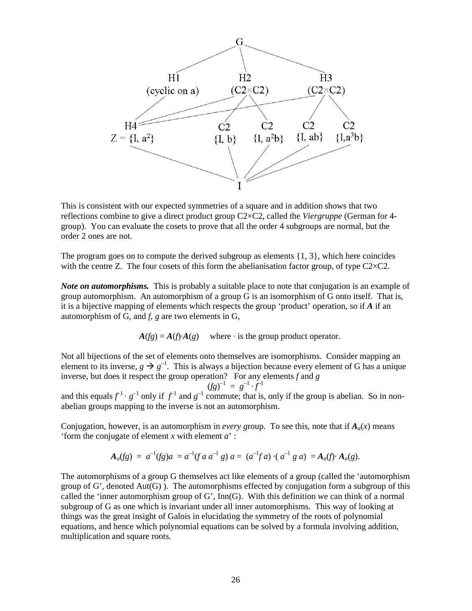

This is consistent with our expected symmetries of a square and in addition shows that two reflections combine to give a direct product group C2×C2, called the *Viergruppe* (German for 4 group). You can evaluate the cosets to prove that all the order 4 subgroups are normal, but the order 2 ones are not.

The program goes on to compute the derived subgroup as elements  $\{1, 3\}$ , which here coincides with the centre Z. The four cosets of this form the abelianisation factor group, of type  $C2 \times C2$ .

*Note on automorphisms.* This is probably a suitable place to note that conjugation is an example of group automorphism. An automorphism of a group G is an isomorphism of G onto itself. That is, it is a bijective mapping of elements which respects the group 'product' operation, so if *A* if an automorphism of G, and *f*, *g* are two elements in G,

$$
A(fg) = A(f) \cdot A(g)
$$
 where  $\cdot$  is the group product operator.

Not all bijections of the set of elements onto themselves are isomorphisms. Consider mapping an element to its inverse,  $g \to g^{-1}$ . This is always a bijection because every element of G has a unique inverse, but does it respect the group operation? For any elements *f* and *g* 

$$
(fg)^{-1} = g^{-1} \cdot f^{-1}
$$

and this equals  $f^{-1} \cdot g^{-1}$  only if  $f^{-1}$  and  $g^{-1}$  commute; that is, only if the group is abelian. So in nonabelian groups mapping to the inverse is not an automorphism.

Conjugation, however, is an automorphism in *every group*. To see this, note that if  $A_a(x)$  means 'form the conjugate of element *x* with element *a*' :

$$
\mathbf{A}_a(fg) = a^{-1}(fg)a = a^{-1}(fa \ a^{-1} g) \ a = (a^{-1}fa) \cdot (a^{-1}ga) = \mathbf{A}_a(f) \cdot \mathbf{A}_a(g).
$$

The automorphisms of a group G themselves act like elements of a group (called the 'automorphism group of  $G'$ , denoted  $Aut(G)$ ). The automorphisms effected by conjugation form a subgroup of this called the 'inner automorphism group of G', Inn(G). With this definition we can think of a normal subgroup of G as one which is invariant under all inner automorphisms. This way of looking at things was the great insight of Galois in elucidating the symmetry of the roots of polynomial equations, and hence which polynomial equations can be solved by a formula involving addition, multiplication and square roots.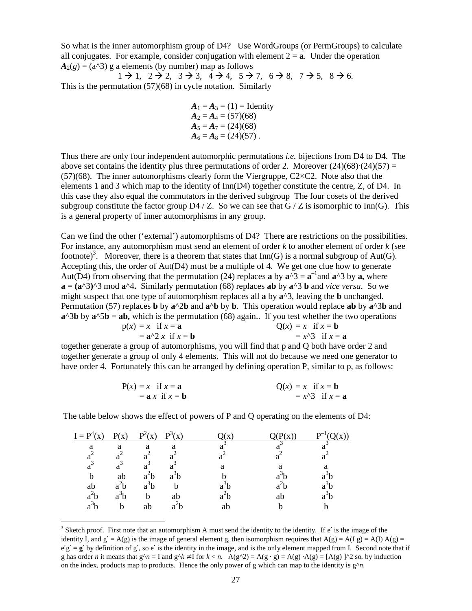So what is the inner automorphism group of D4? Use WordGroups (or PermGroups) to calculate all conjugates. For example, consider conjugation with element  $2 = a$ . Under the operation  $A_2(g) = (a^2/3)$  g a elements (by number) map as follows

 $1 \rightarrow 1$ ,  $2 \rightarrow 2$ ,  $3 \rightarrow 3$ ,  $4 \rightarrow 4$ ,  $5 \rightarrow 7$ ,  $6 \rightarrow 8$ ,  $7 \rightarrow 5$ ,  $8 \rightarrow 6$ . This is the permutation (57)(68) in cycle notation. Similarly

> $A_1 = A_3 = (1) =$ **Identity**  $A_2 = A_4 = (57)(68)$  $A_5 = A_7 = (24)(68)$  $A_6 = A_8 = (24)(57)$ .

Thus there are only four independent automorphic permutations *i.e.* bijections from D4 to D4. The above set contains the identity plus three permutations of order 2. Moreover  $(24)(68)(24)(57) =$  $(57)(68)$ . The inner automorphisms clearly form the Viergruppe, C2 $\times$ C2. Note also that the elements 1 and 3 which map to the identity of Inn(D4) together constitute the centre, Z, of D4. In this case they also equal the commutators in the derived subgroup The four cosets of the derived subgroup constitute the factor group  $D4/Z$ . So we can see that G / Z is isomorphic to Inn(G). This is a general property of inner automorphisms in any group.

Can we find the other ('external') automorphisms of D4? There are restrictions on the possibilities. For instance, any automorphism must send an element of order *k* to another element of order *k* (see footnote)<sup>3</sup>. Moreover, there is a theorem that states that  $Inn(G)$  is a normal subgroup of Aut(G). Accepting this, the order of  $Aut(D4)$  must be a multiple of 4. We get one clue how to generate Aut(D4) from observing that the permutation (24) replaces **a** by  $\mathbf{a}^{\wedge}3 = \mathbf{a}^{-1}$  and  $\mathbf{a}^{\wedge}3$  by  $\mathbf{a}$ , where  $\mathbf{a} = (\mathbf{a}^{\wedge}3)^{\wedge}3$  mod  $\mathbf{a}^{\wedge}4$ . Similarly permutation (68) replaces **ab** by  $\mathbf{a}^{\wedge}3$  **b** and *vice versa*. So we might suspect that one type of automorphism replaces all **a** by **a**^3, leaving the **b** unchanged. Permutation (57) replaces **b** by **a**^2**b** and **a**^**b** by **b**. This operation would replace **ab** by **a**^3**b** and  $\mathbf{a}^{\wedge}3\mathbf{b}$  by  $\mathbf{a}^{\wedge}5\mathbf{b} = \mathbf{a}\mathbf{b}$ , which is the permutation (68) again.. If you test whether the two operations

$$
p(x) = x \text{ if } x = a
$$
  
=  $a^2 2 x \text{ if } x = b$   

$$
Q(x) = x \text{ if } x = b
$$
  
=  $x^3 3 \text{ if } x = a$ 

together generate a group of automorphisms, you will find that p and Q both have order 2 and together generate a group of only 4 elements. This will not do because we need one generator to have order 4. Fortunately this can be arranged by defining operation P, similar to p, as follows:

$$
P(x) = x \text{ if } x = a
$$
  
= a x if x = b  

$$
Q(x) = x \text{ if } x = b
$$
  
= x<sup>2</sup>3 if x = a

The table below shows the effect of powers of P and Q operating on the elements of D4:

| $I = P^4(x)$     | $\mathbf{p}(\mathbf{v})$ | $P^2(x)$         | $\mathbf{p}^3(\mathbf{x})$ |     | ່ $\mathbf{v}$ ່ | $\mathbf{v}$ |
|------------------|--------------------------|------------------|----------------------------|-----|------------------|--------------|
| a                | a                        | a                | а                          |     |                  |              |
|                  |                          |                  |                            |     |                  |              |
| а                |                          |                  |                            | я   | я                | я            |
|                  | ab                       |                  |                            |     |                  |              |
| ab               |                          | a <sup>o</sup> b |                            |     |                  |              |
| a <sup>2</sup> b | ™b                       | b                | ab                         | a-b | ab               |              |
| a <sup>3</sup> b | b                        | ab               | a <sup>-</sup> b           | ab  |                  |              |
|                  |                          |                  |                            |     |                  |              |

 $\overline{a}$ 

 $3$  Sketch proof. First note that an automorphism A must send the identity to the identity. If e' is the image of the identity I, and  $g' = A(g)$  is the image of general element g, then isomorphism requires that  $A(g) = A(I|g) = A(I) A(g) =$  $e'g' = g'$  by definition of g', so e' is the identity in the image, and is the only element mapped from I. Second note that if g has order *n* it means that  $g^{\wedge}n = I$  and  $g^{\wedge}k \neq I$  for  $k < n$ . A( $g^{\wedge}2$ ) = A( $g \cdot g$ ) = A( $g \cdot g$ )  $\cdot$ A( $g$ ) = [A( $g$ )  $\uparrow$ 2 so, by induction on the index, products map to products. Hence the only power of g which can map to the identity is  $g^{\lambda}n$ .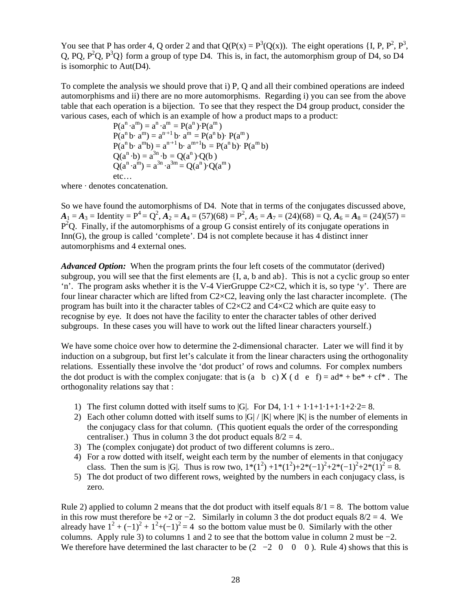You see that P has order 4, Q order 2 and that  $Q(P(x)) = P^3(Q(x))$ . The eight operations {I, P, P<sup>2</sup>, P<sup>3</sup>, Q, PQ,  $P^2Q$ ,  $P^3Q$ } form a group of type D4. This is, in fact, the automorphism group of D4, so D4 is isomorphic to Aut(D4).

To complete the analysis we should prove that i) P, Q and all their combined operations are indeed automorphisms and ii) there are no more automorphisms. Regarding i) you can see from the above table that each operation is a bijection. To see that they respect the D4 group product, consider the various cases, each of which is an example of how a product maps to a product:

 $P(a^n \cdot a^m) = a^n \cdot a^m = P(a^n) \cdot P(a^m)$  $P(a^{n} b \cdot a^{m}) = a^{n+1} b \cdot a^{m} = P(a^{n} b) \cdot P(a^{m})$  $P(a^{n} b \cdot a^{m} b) = a^{n+1} b \cdot a^{m+1} b = P(a^{n} b) \cdot P(a^{m} b)$  $Q(a^{n} \cdot b) = a^{3n} \cdot b = Q(a^{n}) \cdot Q(b)$  $Q(a^n \cdot a^m) = a^{3n} \cdot a^{3m} = Q(a^n) \cdot Q(a^m)$ etc…

where · denotes concatenation.

So we have found the automorphisms of D4. Note that in terms of the conjugates discussed above,  $A_1 = A_3 =$  Identity =  $P^4 = Q^2$ ,  $A_2 = A_4 = (57)(68) = P^2$ ,  $A_5 = A_7 = (24)(68) = Q$ ,  $A_6 = A_8 = (24)(57) =$  $P<sup>2</sup>Q$ . Finally, if the automorphisms of a group G consist entirely of its conjugate operations in Inn(G), the group is called 'complete'. D4 is not complete because it has 4 distinct inner automorphisms and 4 external ones.

*Advanced Option:* When the program prints the four left cosets of the commutator (derived) subgroup, you will see that the first elements are  $\{I, a, b \text{ and } ab\}$ . This is not a cyclic group so enter 'n'. The program asks whether it is the V-4 VierGruppe C2×C2, which it is, so type 'y'. There are four linear character which are lifted from C2×C2, leaving only the last character incomplete. (The program has built into it the character tables of C2×C2 and C4×C2 which are quite easy to recognise by eye. It does not have the facility to enter the character tables of other derived subgroups. In these cases you will have to work out the lifted linear characters yourself.)

We have some choice over how to determine the 2-dimensional character. Later we will find it by induction on a subgroup, but first let's calculate it from the linear characters using the orthogonality relations. Essentially these involve the 'dot product' of rows and columns. For complex numbers the dot product is with the complex conjugate: that is (a b c) X (d e f) =  $ad^* + be^* + cf^*$ . The orthogonality relations say that :

- 1) The first column dotted with itself sums to  $|G|$ . For D4,  $1 \cdot 1 + 1 \cdot 1 + 1 \cdot 1 + 1 \cdot 2 \cdot 2 = 8$ .
- 2) Each other column dotted with itself sums to  $|G| / |K|$  where  $|K|$  is the number of elements in the conjugacy class for that column. (This quotient equals the order of the corresponding centraliser.) Thus in column 3 the dot product equals  $8/2 = 4$ .
- 3) The (complex conjugate) dot product of two different columns is zero..
- 4) For a row dotted with itself, weight each term by the number of elements in that conjugacy class. Then the sum is |G|. Thus is row two,  $1*(1^2) + 1*(1^2) + 2*(-1)^2 + 2*(-1)^2 + 2*(1)^2 = 8$ .
- 5) The dot product of two different rows, weighted by the numbers in each conjugacy class, is zero.

Rule 2) applied to column 2 means that the dot product with itself equals  $8/1 = 8$ . The bottom value in this row must therefore be +2 or −2. Similarly in column 3 the dot product equals  $8/2 = 4$ . We already have  $1^2 + (-1)^2 + 1^2 + (-1)^2 = 4$  so the bottom value must be 0. Similarly with the other columns. Apply rule 3) to columns 1 and 2 to see that the bottom value in column 2 must be  $-2$ . We therefore have determined the last character to be  $(2 -2 0 0 0)$ . Rule 4) shows that this is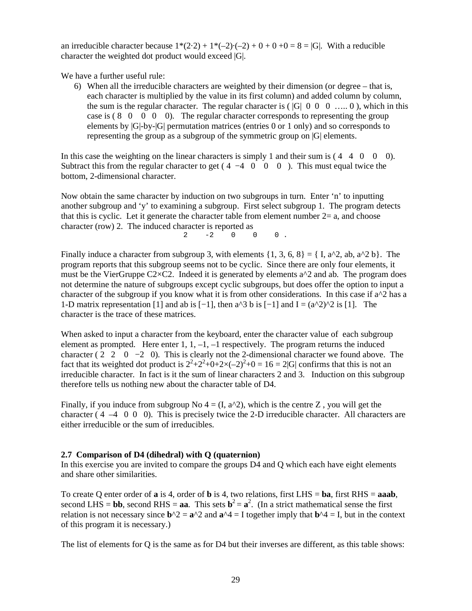an irreducible character because  $1*(2 \cdot 2) + 1*(-2) \cdot (-2) + 0 + 0 + 0 = 8 = |G|$ . With a reducible character the weighted dot product would exceed |G|.

We have a further useful rule:

6) When all the irreducible characters are weighted by their dimension (or degree – that is, each character is multiplied by the value in its first column) and added column by column, the sum is the regular character. The regular character is  $(|G| \ 0 \ 0 \ 0 \ \ldots \ 0)$ , which in this case is  $(8 \t 0 \t 0 \t 0)$ . The regular character corresponds to representing the group elements by |G|-by-|G| permutation matrices (entries 0 or 1 only) and so corresponds to representing the group as a subgroup of the symmetric group on |G| elements.

In this case the weighting on the linear characters is simply 1 and their sum is  $(4 \ 4 \ 0 \ 0 \ 0)$ . Subtract this from the regular character to get ( $4 -4 0 0 0$ ). This must equal twice the bottom, 2-dimensional character.

Now obtain the same character by induction on two subgroups in turn. Enter 'n' to inputting another subgroup and 'y' to examining a subgroup. First select subgroup 1. The program detects that this is cyclic. Let it generate the character table from element number  $2=$  a, and choose character (row) 2. The induced character is reported as  $2 -2 0 0 0 0$ 

Finally induce a character from subgroup 3, with elements  $\{1, 3, 6, 8\} = \{I, a^2, ab, a^2b\}$ . The program reports that this subgroup seems not to be cyclic. Since there are only four elements, it must be the VierGruppe C2 $\times$ C2. Indeed it is generated by elements a<sup> $\Delta$ </sup> and ab. The program does not determine the nature of subgroups except cyclic subgroups, but does offer the option to input a character of the subgroup if you know what it is from other considerations. In this case if  $a^2/2$  has a 1-D matrix representation [1] and ab is  $[-1]$ , then a^3 b is  $[-1]$  and  $I = (a^2/2)^2$  is [1]. The character is the trace of these matrices.

When asked to input a character from the keyboard, enter the character value of each subgroup element as prompted. Here enter 1,  $1, -1, -1$  respectively. The program returns the induced character ( 2 2 0  $-2$  0). This is clearly not the 2-dimensional character we found above. The fact that its weighted dot product is  $2^2+2^2+0+2\times(-2)^2+0=16=2|G|$  confirms that this is not an irreducible character. In fact is it the sum of linear characters 2 and 3. Induction on this subgroup therefore tells us nothing new about the character table of D4.

Finally, if you induce from subgroup No  $4 = (I, a^2)$ , which is the centre Z, you will get the character ( $4 \text{ } -4 \text{ } 0 \text{ } 0$ ). This is precisely twice the 2-D irreducible character. All characters are either irreducible or the sum of irreducibles.

### **2.7 Comparison of D4 (dihedral) with Q (quaternion)**

In this exercise you are invited to compare the groups D4 and Q which each have eight elements and share other similarities.

To create Q enter order of **a** is 4, order of **b** is 4, two relations, first LHS = **ba**, first RHS = **aaab**, second LHS = **bb**, second RHS = **aa**. This sets  $\mathbf{b}^2 = \mathbf{a}^2$ . (In a strict mathematical sense the first relation is not necessary since  $\mathbf{b}^2 = \mathbf{a}^2$  and  $\mathbf{a}^2 = 1$  together imply that  $\mathbf{b}^2 = 1$ , but in the context of this program it is necessary.)

The list of elements for Q is the same as for D4 but their inverses are different, as this table shows: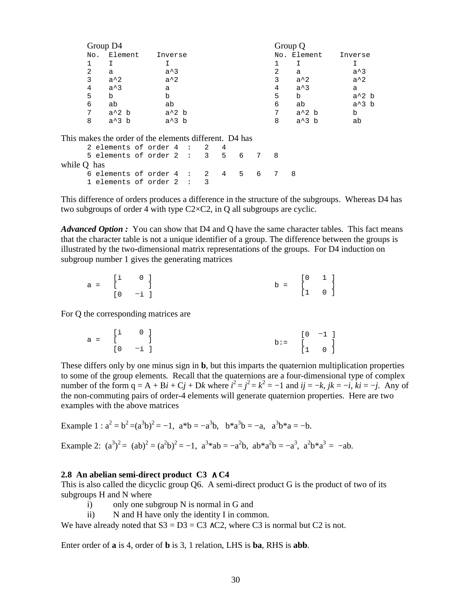|     | Group D4 |         | Group Q                |
|-----|----------|---------|------------------------|
| No. | Element  | Inverse | No. Element<br>Inverse |
|     |          |         |                        |
| 2   | a        | $a^3$   | $a^3$<br>2<br>a        |
| 3   | $a^2$    | $a^2$   | $a^2$<br>3<br>$a^2$    |
| 4   | $a^3$    | a       | $a^3$<br>4<br>a        |
| 5   | b        | b       | $a^2$ b<br>b<br>5      |
| 6   | ab       | ab      | $a^3$ b<br>6<br>ab     |
| 7   | $a^2$ b  | $a^2$ b | $a^2$ b<br>7<br>b      |
| 8   | $a^3$ b  | $a^3$ b | $a^3$ b<br>8<br>ab     |

This makes the order of the elements different. D4 has

|             | 2 elements of order $4:2:4$       |  |  |  |  |  |
|-------------|-----------------------------------|--|--|--|--|--|
|             | 5 elements of order $2:3:5:6:7:8$ |  |  |  |  |  |
| while Q has |                                   |  |  |  |  |  |
|             | 6 elements of order $4:2:4:5:6:7$ |  |  |  |  |  |
|             | 1 elements of order $2:3$         |  |  |  |  |  |

This difference of orders produces a difference in the structure of the subgroups. Whereas D4 has two subgroups of order 4 with type  $C2 \times C2$ , in Q all subgroups are cyclic.

*Advanced Option :* You can show that D4 and Q have the same character tables. This fact means that the character table is not a unique identifier of a group. The difference between the groups is illustrated by the two-dimensional matrix representations of the groups. For D4 induction on subgroup number 1 gives the generating matrices

|  | $\begin{bmatrix} 1 & 0 \end{bmatrix}$ |  | $[0 \quad 1]$ |  |
|--|---------------------------------------|--|---------------|--|
|  | $a = [$ ]                             |  | $b = [ ]$     |  |
|  | $[0 -i]$                              |  | $[1 \quad 0]$ |  |

For Q the corresponding matrices are

|  | $\begin{bmatrix} 1 & 0 \end{bmatrix}$ |  | $[0 -1]$      |
|--|---------------------------------------|--|---------------|
|  | a = [ ]                               |  | $b := [ ]$    |
|  | $[0 -i]$                              |  | $[1 \quad 0]$ |

These differs only by one minus sign in **b**, but this imparts the quaternion multiplication properties to some of the group elements. Recall that the quaternions are a four-dimensional type of complex number of the form  $q = A + B\mathbf{i} + C\mathbf{j} + D\mathbf{k}$  where  $\mathbf{i}^2 = \mathbf{j}^2 = \mathbf{k}^2 = -1$  and  $\mathbf{i}\mathbf{j} = -\mathbf{k}$ ,  $\mathbf{j}\mathbf{k} = -\mathbf{i}$ ,  $\mathbf{k}\mathbf{i} = -\mathbf{j}$ . Any of the non-commuting pairs of order-4 elements will generate quaternion properties. Here are two examples with the above matrices

Example  $1 : a^2 = b^2 = (a^3b)^2 = -1$ ,  $a^*b = -a^3b$ ,  $b^*a^3b = -a$ ,  $a^3b^*a = -b$ .

Example 2:  $(a^3)^2 = (ab)^2 = (a^2b)^2 = -1$ ,  $a^3 * ab = -a^2b$ ,  $ab * a^2b = -a^3$ ,  $a^2b * a^3 = -ab$ .

#### **2.8 An abelian semi-direct product C3** ∧ **C4**

This is also called the dicyclic group Q6. A semi-direct product G is the product of two of its subgroups H and N where

- i) only one subgroup N is normal in G and
- ii) N and H have only the identity I in common.

We have already noted that  $S3 = D3 = C3 \wedge C2$ , where C3 is normal but C2 is not.

Enter order of **a** is 4, order of **b** is 3, 1 relation, LHS is **ba**, RHS is **abb**.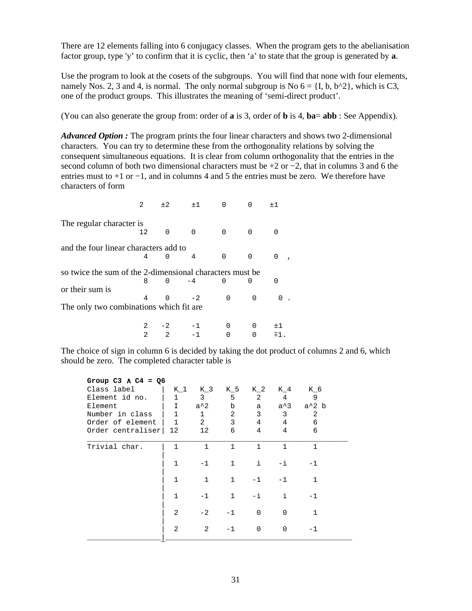There are 12 elements falling into 6 conjugacy classes. When the program gets to the abelianisation factor group, type 'y' to confirm that it is cyclic, then 'a' to state that the group is generated by **a**.

Use the program to look at the cosets of the subgroups. You will find that none with four elements, namely Nos. 2, 3 and 4, is normal. The only normal subgroup is No  $6 = \{I, b, b^2 \}$ , which is C3, one of the product groups. This illustrates the meaning of 'semi-direct product'.

(You can also generate the group from: order of **a** is 3, order of **b** is 4, **ba**= **abb** : See Appendix).

*Advanced Option :* The program prints the four linear characters and shows two 2-dimensional characters. You can try to determine these from the orthogonality relations by solving the consequent simultaneous equations. It is clear from column orthogonality that the entries in the second column of both two dimensional characters must be +2 or −2, that in columns 3 and 6 the entries must to +1 or −1, and in columns 4 and 5 the entries must be zero. We therefore have characters of form

|                                                          | $\mathfrak{D}$                           | ± 2      | ±1   |          |   | ±1       |  |  |
|----------------------------------------------------------|------------------------------------------|----------|------|----------|---|----------|--|--|
| The regular character is                                 |                                          |          |      |          |   |          |  |  |
|                                                          | 12.                                      | O        | O    |          | O |          |  |  |
| and the four linear characters add to                    |                                          |          |      |          |   |          |  |  |
|                                                          | 4                                        | U        | 4    |          | O | $\Omega$ |  |  |
| so twice the sum of the 2-dimensional characters must be |                                          |          |      |          |   |          |  |  |
|                                                          | 8                                        | $\Omega$ | $-4$ |          | U |          |  |  |
| or their sum is                                          |                                          |          |      |          |   |          |  |  |
|                                                          |                                          |          | $-2$ | $\Omega$ | 0 |          |  |  |
|                                                          | The only two combinations which fit are. |          |      |          |   |          |  |  |
|                                                          |                                          |          |      |          |   | $+1$     |  |  |

The choice of sign in column 6 is decided by taking the dot product of columns 2 and 6, which should be zero. The completed character table is

 $2$   $2$   $-1$  0 0  $\mp 1$ .

| Group C3 $\land$ C4 = Q6 |              |              |                |               |                 |                                     |  |  |  |  |  |
|--------------------------|--------------|--------------|----------------|---------------|-----------------|-------------------------------------|--|--|--|--|--|
| Class label              |              | K 1 K 3 K 5  |                |               | K 2 K 4 K 6     |                                     |  |  |  |  |  |
| Element id no.           | $\mathbf{1}$ | $\mathbf{3}$ | 5              | 2             | 4               | $\overline{9}$                      |  |  |  |  |  |
| Element                  | I            | $a^2$        | $\mathbf b$    |               |                 | a a <sup>2</sup> 3 a <sup>2</sup> b |  |  |  |  |  |
| Number in class          | $\mathbf{1}$ | $\mathbf{1}$ | $\overline{a}$ | 3             | $\mathbf{3}$    | 2                                   |  |  |  |  |  |
| Order of element   1     |              | 2            | $\mathbf{3}$   | 4             | $4\overline{ }$ | 6                                   |  |  |  |  |  |
| Order centraliser        | 12           | 12           | 6              | 4             | $\overline{4}$  | 6                                   |  |  |  |  |  |
| Trivial char.            | $\mathbf{1}$ | $\mathbf{1}$ | $\mathbf{1}$   | $\mathbf{1}$  | $\mathbf{1}$    | $\mathbf{1}$                        |  |  |  |  |  |
|                          | $\mathbf{1}$ |              | $-1$ 1         | $\mathbf{i}$  | $-\mathbf{i}$   | $-1$                                |  |  |  |  |  |
|                          | $\mathbf{1}$ | $\mathbf{1}$ | $\mathbf{1}$   | $-1$          | $-1$            | $\mathbf{1}$                        |  |  |  |  |  |
|                          | $\mathbf{1}$ | $-1$         | 1              | $-\mathbf{i}$ | $\pm$           | $-1$                                |  |  |  |  |  |
|                          | 2            | $-2$         | $-1$           | $\Omega$      | $\Omega$        | $\mathbf{1}$                        |  |  |  |  |  |
|                          | 2            | 2            | $-1$           | $\Omega$      | $\Omega$        | -1                                  |  |  |  |  |  |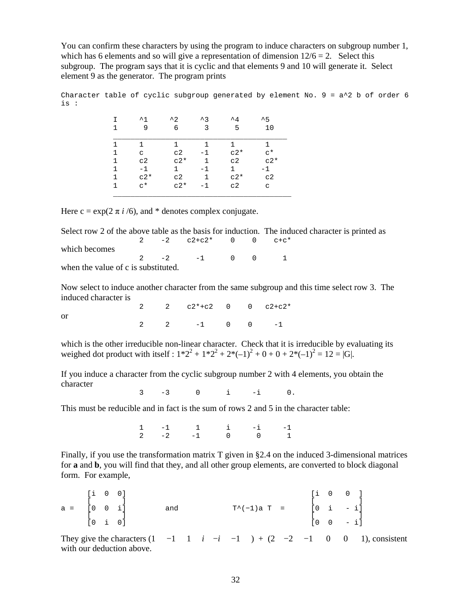You can confirm these characters by using the program to induce characters on subgroup number 1, which has 6 elements and so will give a representation of dimension  $12/6 = 2$ . Select this subgroup. The program says that it is cyclic and that elements 9 and 10 will generate it. Select element 9 as the generator. The program prints

Character table of cyclic subgroup generated by element No.  $9 = a^2$  b of order 6 is :

| т<br>1 | $^{\sim}$ 1<br>9     | $^{\sim}$ 2.<br>6 | $\lambda$ 3<br>3 | $^{\mathsf{A}}$<br>5 | $^{\sim}5$<br>10     |
|--------|----------------------|-------------------|------------------|----------------------|----------------------|
|        | 1.                   | 1                 |                  |                      |                      |
| 1      | $\mathsf{C}$         | C <sub>2</sub>    | $-1$             | $c2*$                | $\mathsf{C}^{\star}$ |
| 1      | C <sub>2</sub>       | $c2*$             | 1                | C <sub>2</sub>       | $c2*$                |
| 1      | $-1$                 | 1                 | $-1$             | 1.                   | $-1$                 |
| 1      | $c2*$                | C <sub>2</sub>    | 1                | $c2*$                | C <sub>2</sub>       |
| 1      | $\mathsf{c}^{\star}$ | $c2*$             | $-1$             | c2                   | C                    |

Here  $c = \exp(2 \pi i / 6)$ , and \* denotes complex conjugate.

Select row 2 of the above table as the basis for induction. The induced character is printed as 2  $-2$   $c2+c2$ \* 0 0  $c+c$ \* which becomes  $2 -2 -1 0 0 1$ when the value of c is substituted.

Now select to induce another character from the same subgroup and this time select row 3. The induced character is

|  | 2 2 $c2*+c2$ 0 0 $c2+c2*$      |  |  |
|--|--------------------------------|--|--|
|  | $2 \t 2 \t -1 \t 0 \t 0 \t -1$ |  |  |
|  |                                |  |  |

which is the other irreducible non-linear character. Check that it is irreducible by evaluating its weighed dot product with itself :  $1*2^2 + 1*2^2 + 2*(-1)^2 + 0 + 0 + 2*(-1)^2 = 12 = |G|$ .

If you induce a character from the cyclic subgroup number 2 with 4 elements, you obtain the character

3 -3 0 i -i 0.

This must be reducible and in fact is the sum of rows 2 and 5 in the character table:

 1 -1 1 i -i -1  $2 \t -2 \t -1 \t 0 \t 0 \t 1$ 

Finally, if you use the transformation matrix T given in §2.4 on the induced 3-dimensional matrices for **a** and **b**, you will find that they, and all other group elements, are converted to block diagonal form. For example,

|  | $\begin{bmatrix} 1 & 0 & 0 \end{bmatrix}$ |  |     |                | $\begin{bmatrix} 1 & 0 & 0 \end{bmatrix}$ |                |  |
|--|-------------------------------------------|--|-----|----------------|-------------------------------------------|----------------|--|
|  |                                           |  |     |                |                                           |                |  |
|  | $a = [0 \ 0 \ i]$                         |  | and | $T^*(-1)a T =$ |                                           | $[0 \t i - i]$ |  |
|  | $[0 \t i \t 0]$                           |  |     |                | LO.                                       | $0 - i$ ]      |  |

They give the characters  $(1 \quad -1 \quad 1 \quad i \quad -i \quad -1 \quad ) + (2 \quad -2 \quad -1 \quad 0 \quad 0 \quad 1)$ , consistent with our deduction above.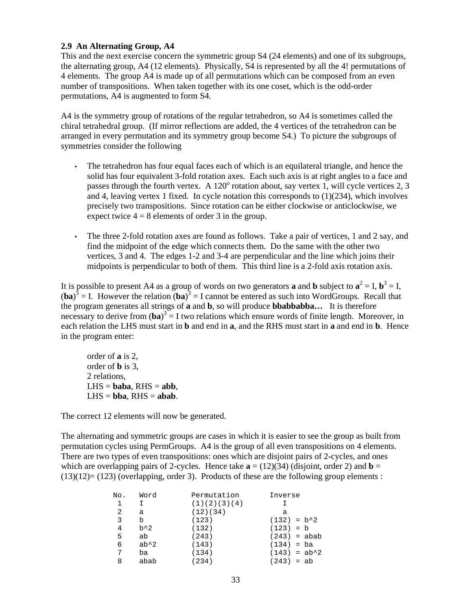## **2.9 An Alternating Group, A4**

This and the next exercise concern the symmetric group S4 (24 elements) and one of its subgroups, the alternating group, A4 (12 elements). Physically, S4 is represented by all the 4! permutations of 4 elements. The group A4 is made up of all permutations which can be composed from an even number of transpositions. When taken together with its one coset, which is the odd-order permutations, A4 is augmented to form S4.

A4 is the symmetry group of rotations of the regular tetrahedron, so A4 is sometimes called the chiral tetrahedral group. (If mirror reflections are added, the 4 vertices of the tetrahedron can be arranged in every permutation and its symmetry group become S4.) To picture the subgroups of symmetries consider the following

- The tetrahedron has four equal faces each of which is an equilateral triangle, and hence the solid has four equivalent 3-fold rotation axes. Each such axis is at right angles to a face and passes through the fourth vertex. A  $120^{\circ}$  rotation about, say vertex 1, will cycle vertices 2, 3 and 4, leaving vertex 1 fixed. In cycle notation this corresponds to  $(1)(234)$ , which involves precisely two transpositions. Since rotation can be either clockwise or anticlockwise, we expect twice  $4 = 8$  elements of order 3 in the group.
- The three 2-fold rotation axes are found as follows. Take a pair of vertices, 1 and 2 say, and find the midpoint of the edge which connects them. Do the same with the other two vertices, 3 and 4. The edges 1-2 and 3-4 are perpendicular and the line which joins their midpoints is perpendicular to both of them. This third line is a 2-fold axis rotation axis.

It is possible to present A4 as a group of words on two generators **a** and **b** subject to  $\mathbf{a}^2 = I$ ,  $\mathbf{b}^3 = I$ ,  $(ba)^3$  = I. However the relation  $(ba)^3$  = I cannot be entered as such into WordGroups. Recall that the program generates all strings of **a** and **b**, so will produce **bbabbabba…** It is therefore necessary to derive from  $(ba)^3 = I$  two relations which ensure words of finite length. Moreover, in each relation the LHS must start in **b** and end in **a**, and the RHS must start in **a** and end in **b**. Hence in the program enter:

order of **a** is 2, order of **b** is 3, 2 relations,  $LHS =$ **baba**,  $RHS =$ **abb**,  $LHS = bba$ ,  $RHS = abab$ .

The correct 12 elements will now be generated.

The alternating and symmetric groups are cases in which it is easier to see the group as built from permutation cycles using PermGroups. A4 is the group of all even transpositions on 4 elements. There are two types of even transpositions: ones which are disjoint pairs of 2-cycles, and ones which are overlapping pairs of 2-cycles. Hence take  $\mathbf{a} = (12)(34)$  (disjoint, order 2) and  $\mathbf{b} =$  $(13)(12) = (123)$  (overlapping, order 3). Products of these are the following group elements :

| No. | Word          | Permutation  | Inverse        |
|-----|---------------|--------------|----------------|
| 1   |               | (1)(2)(3)(4) |                |
| -2  | a             | (12)(34)     | а              |
| 3   | b             | (123)        | $(132) = b^2$  |
| 4   | $b^{\wedge}2$ | (132)        | $(123) = b$    |
| 5   | ab            | (243)        | $(243) = abab$ |
| 6   | $ab^2$        | (143)        | $(134) = ba$   |
| 7   | ba            | (134)        | $(143) = ab^2$ |
| 8   | abab          | (234)        | $(243) = ab$   |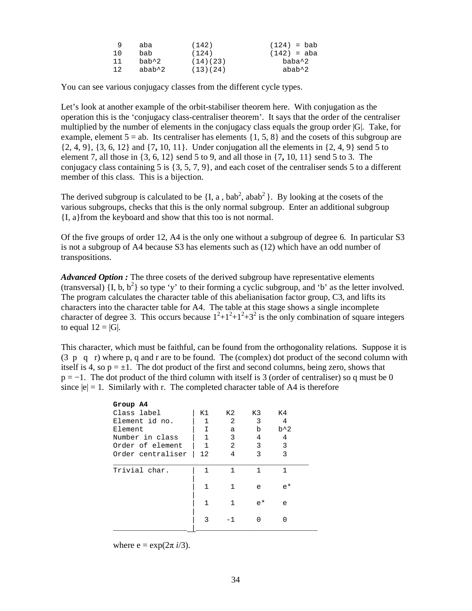| 9   | aba    | (142)    | $(124) =$ bab |
|-----|--------|----------|---------------|
| 10  | bab    | (124)    | (142) = aba   |
| -11 | bab^2  | (14)(23) | baba^2        |
| 12  | abab^2 | (13)(24) | $abab^2$      |

You can see various conjugacy classes from the different cycle types.

Let's look at another example of the orbit-stabiliser theorem here. With conjugation as the operation this is the 'conjugacy class-centraliser theorem'. It says that the order of the centraliser multiplied by the number of elements in the conjugacy class equals the group order |G|. Take, for example, element  $5 = ab$ . Its centraliser has elements  $\{1, 5, 8\}$  and the cosets of this subgroup are {2, 4, 9}, {3, 6, 12} and {7**,** 10, 11}. Under conjugation all the elements in {2, 4, 9} send 5 to element 7, all those in {3, 6, 12} send 5 to 9, and all those in {7**,** 10, 11} send 5 to 3. The conjugacy class containing 5 is  $\{3, 5, 7, 9\}$ , and each coset of the centraliser sends 5 to a different member of this class. This is a bijection.

The derived subgroup is calculated to be  $\{I, a, bab^2, abab^2\}$ . By looking at the cosets of the various subgroups, checks that this is the only normal subgroup. Enter an additional subgroup {I, a}from the keyboard and show that this too is not normal.

Of the five groups of order 12, A4 is the only one without a subgroup of degree 6. In particular S3 is not a subgroup of A4 because S3 has elements such as (12) which have an odd number of transpositions.

*Advanced Option :* The three cosets of the derived subgroup have representative elements (transversal)  $\{I, b, b^2\}$  so type 'y' to their forming a cyclic subgroup, and 'b' as the letter involved. The program calculates the character table of this abelianisation factor group, C3, and lifts its characters into the character table for A4. The table at this stage shows a single incomplete character of degree 3. This occurs because  $1^2+1^2+1^2+3^2$  is the only combination of square integers to equal  $12 = |G|$ .

This character, which must be faithful, can be found from the orthogonality relations. Suppose it is  $(3 \text{ p q r})$  where p, q and r are to be found. The (complex) dot product of the second column with itself is 4, so  $p = \pm 1$ . The dot product of the first and second columns, being zero, shows that  $p = -1$ . The dot product of the third column with itself is 3 (order of centraliser) so q must be 0 since  $|e| = 1$ . Similarly with r. The completed character table of A4 is therefore

| Group A4          |    |     |       |               |  |
|-------------------|----|-----|-------|---------------|--|
| Class label       | K1 | K 2 | K3    | K4            |  |
| Element id no.    | 1  | 2   | 3     | 4             |  |
| Element           | Ι  | а   | b     | $b^{\wedge}2$ |  |
| Number in class   |    | 3   | 4     | 4             |  |
| Order of element  | 1  | 2   | 3     | 3             |  |
| Order centraliser | 12 | 4   | 3     | 3             |  |
| Trivial char.     |    |     | 1     | 1             |  |
|                   |    |     | e     | $e^*$         |  |
|                   | 1  | 1   | $e^*$ | e             |  |
|                   | 3  |     |       |               |  |
|                   |    |     |       |               |  |

where  $e = \exp(2\pi i/3)$ .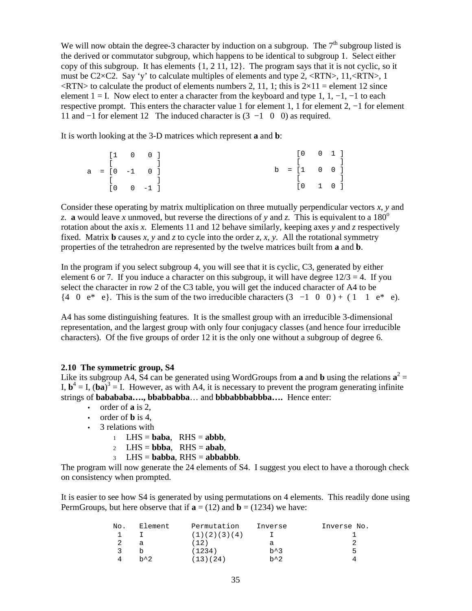We will now obtain the degree-3 character by induction on a subgroup. The  $7<sup>th</sup>$  subgroup listed is the derived or commutator subgroup, which happens to be identical to subgroup 1. Select either copy of this subgroup. It has elements  $\{1, 2, 11, 12\}$ . The program says that it is not cyclic, so it must be C2×C2. Say 'y' to calculate multiples of elements and type 2, <RTN>, 11,<RTN>, 1  $\langle \text{RTN}\rangle$  to calculate the product of elements numbers 2, 11, 1; this is  $2\times11$  = element 12 since element  $1 = I$ . Now elect to enter a character from the keyboard and type 1, 1, -1, -1 to each respective prompt. This enters the character value 1 for element 1, 1 for element 2, −1 for element 11 and −1 for element 12 The induced character is (3 −1 0 0) as required.

It is worth looking at the 3-D matrices which represent **a** and **b**:

|                                     | $\begin{bmatrix} 1 & 0 & 0 \end{bmatrix}$ |  |  | $\begin{bmatrix} 0 & 0 & 1 \end{bmatrix}$  |  |  |
|-------------------------------------|-------------------------------------------|--|--|--------------------------------------------|--|--|
| and the company of the company of   |                                           |  |  | $\begin{bmatrix} 1 & 1 & 1 \end{bmatrix}$  |  |  |
| $a = [0 -1 0]$                      |                                           |  |  | $b = [1 \ 0 \ 0]$                          |  |  |
| the contract of the contract of the |                                           |  |  | $\begin{array}{ccc} & & & & 1 \end{array}$ |  |  |
|                                     | $[0 \t 0 \t -1]$                          |  |  | $\begin{bmatrix} 0 & 1 & 0 \end{bmatrix}$  |  |  |

Consider these operating by matrix multiplication on three mutually perpendicular vectors *x*, *y* and *z*. **a** would leave *x* unmoved, but reverse the directions of *y* and *z*. This is equivalent to a 180<sup>o</sup> rotation about the axis *x*. Elements 11 and 12 behave similarly, keeping axes *y* and *z* respectively fixed. Matrix **b** causes *x*, *y* and *z* to cycle into the order *z*, *x*, *y*. All the rotational symmetry properties of the tetrahedron are represented by the twelve matrices built from **a** and **b**.

In the program if you select subgroup 4, you will see that it is cyclic, C3, generated by either element 6 or 7. If you induce a character on this subgroup, it will have degree  $12/3 = 4$ . If you select the character in row 2 of the C3 table, you will get the induced character of A4 to be  $\{4 \quad 0 \quad e^* \quad e\}.$  This is the sum of the two irreducible characters  $(3 \quad -1 \quad 0 \quad 0) + (1 \quad 1 \quad e^* \quad e).$ 

A4 has some distinguishing features. It is the smallest group with an irreducible 3-dimensional representation, and the largest group with only four conjugacy classes (and hence four irreducible characters). Of the five groups of order 12 it is the only one without a subgroup of degree 6.

#### **2.10 The symmetric group, S4**

Like its subgroup A4, S4 can be generated using WordGroups from **a** and **b** using the relations  $\mathbf{a}^2 = \mathbf{a}$ I,  $\mathbf{b}^4 = I$ ,  $(\mathbf{ba})^3 = I$ . However, as with A4, it is necessary to prevent the program generating infinite strings of **babababa…., bbabbabba**… and **bbbabbbabbba….** Hence enter:

- order of **a** is 2,
- order of **b** is 4,
- 3 relations with
	- 1 LHS =  $\mathbf{baba}$ , RHS =  $\mathbf{abbb}$ ,
	- 2 LHS =  $bbba$ , RHS =  $abab$ .
	- <sup>3</sup> LHS = **babba**, RHS = **abbabbb**.

The program will now generate the 24 elements of S4. I suggest you elect to have a thorough check on consistency when prompted.

It is easier to see how S4 is generated by using permutations on 4 elements. This readily done using PermGroups, but here observe that if  $\mathbf{a} = (12)$  and  $\mathbf{b} = (1234)$  we have:

| No. | Element        | Permutation  | Inverse         | Inverse No. |
|-----|----------------|--------------|-----------------|-------------|
|     |                | (1)(2)(3)(4) |                 |             |
|     | a              | (12)         | а               |             |
|     |                | (1234)       | $h^{\lambda}$ 3 | ь           |
|     | $h^{\prime}$ 2 | (13)(24)     | $b^{\wedge}2$   |             |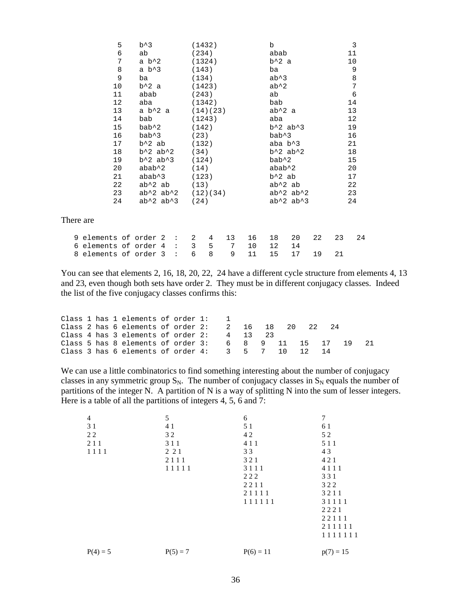| 5                       | $b^{\wedge}3$                      | (1432)   |   |    |         | $\mathbf b$     |                                    |    |    | 3  |
|-------------------------|------------------------------------|----------|---|----|---------|-----------------|------------------------------------|----|----|----|
| 6                       | ab                                 | (234)    |   |    |         | abab            |                                    |    |    | 11 |
| 7                       | a $b^2$                            | (1324)   |   |    |         | $b^2$ a         |                                    |    |    | 10 |
| 8                       | a $b^3$                            | (143)    |   |    |         | ba              |                                    |    |    | 9  |
| 9                       | ba                                 | (134)    |   |    |         | $ab^{\lambda}3$ |                                    |    |    | 8  |
| 10                      | $b^2$ a                            | (1423)   |   |    |         | $ab^2$          |                                    |    |    | 7  |
| 11                      | abab                               | (243)    |   |    |         | ab              |                                    |    |    | 6  |
| 12                      | aba                                | (1342)   |   |    |         | bab             |                                    |    |    | 14 |
| 13                      | a $b^2$ a                          | (14)(23) |   |    |         | $ab^2$ a        |                                    |    |    | 13 |
| 14                      | bab                                | (1243)   |   |    |         | aba             |                                    |    |    | 12 |
| 15                      | bab^2                              | (142)    |   |    |         |                 | $b^2$ ab <sup><math>3</math></sup> |    |    | 19 |
| 16                      | bab^3                              | (23)     |   |    |         | bab^3           |                                    |    |    | 16 |
| 17                      | b^2 ab                             | (132)    |   |    |         |                 | aba $b^3$                          |    |    | 21 |
| 18                      | $b^2$ ab <sup>2</sup> 2            | (34)     |   |    |         |                 | $b^2$ ab <sup>2</sup> 2            |    |    | 18 |
| 19                      | $b^2$ ab <sup><math>3</math></sup> | (124)    |   |    |         | bab^2           |                                    |    |    | 15 |
| 20                      | abab^2                             | (14)     |   |    |         | abab^2          |                                    |    |    | 20 |
| 21                      | abab^3                             | (123)    |   |    |         | b^2 ab          |                                    |    |    | 17 |
| 22                      | ab^2 ab                            | (13)     |   |    |         |                 | $ab^2$ ab                          |    |    | 22 |
| 23                      | $ab^2$ $ab^2$                      | (12)(34) |   |    |         |                 | $ab^2$ $ab^2$                      |    |    | 23 |
| 24                      | $ab^2$ $ab^3$                      | (24)     |   |    |         |                 | $ab^2$ $ab^3$                      |    |    | 24 |
| There are               |                                    |          |   |    |         |                 |                                    |    |    |    |
| 9 elements of order 2 : |                                    | 2        | 4 | 13 | 16      | 18              | 20                                 | 22 | 23 | 24 |
| 6 elements of order 4 : |                                    | 3        | 5 | 7  | $10 \,$ | 12              | 14                                 |    |    |    |
| 8 elements of order 3 : |                                    | 6        | 8 | 9  | 11      | 15              | 17                                 | 19 | 21 |    |

You can see that elements 2, 16, 18, 20, 22, 24 have a different cycle structure from elements 4, 13 and 23, even though both sets have order 2. They must be in different conjugacy classes. Indeed the list of the five conjugacy classes confirms this:

|  |  | Class 1 has 1 elements of order $1:$ 1                                  |  |  |  |  |  |  |
|--|--|-------------------------------------------------------------------------|--|--|--|--|--|--|
|  |  | Class 2 has 6 elements of order $2: 2 \t16 \t18 \t20 \t22 \t24$         |  |  |  |  |  |  |
|  |  | Class 4 has 3 elements of order 2: $4 \t 13 \t 23$                      |  |  |  |  |  |  |
|  |  | Class 5 has 8 elements of order $3: 68911115171921$                     |  |  |  |  |  |  |
|  |  | Class 3 has 6 elements of order $4:3 \quad 5 \quad 7 \quad 10 \quad 12$ |  |  |  |  |  |  |

We can use a little combinatorics to find something interesting about the number of conjugacy classes in any symmetric group  $S_N$ . The number of conjugacy classes in  $S_N$  equals the number of partitions of the integer N. A partition of N is a way of splitting N into the sum of lesser integers. Here is a table of all the partitions of integers 4, 5, 6 and 7:

| 4          | 5          | 6           | 7           |
|------------|------------|-------------|-------------|
| 31         | 41         | 5 1         | 61          |
| 22         | 32         | 42          | 52          |
| 211        | 3 1 1      | 4 1 1       | 5 1 1       |
| 1111       | 2 2 1      | 33          | 43          |
|            | 2111       | 321         | 421         |
|            | 11111      | 3111        | 4111        |
|            |            | 222         | 331         |
|            |            | 2211        | 322         |
|            |            | 21111       | 3211        |
|            |            | 111111      | 31111       |
|            |            |             | 2221        |
|            |            |             | 22111       |
|            |            |             | 211111      |
|            |            |             | 1111111     |
| $P(4) = 5$ | $P(5) = 7$ | $P(6) = 11$ | $p(7) = 15$ |
|            |            |             |             |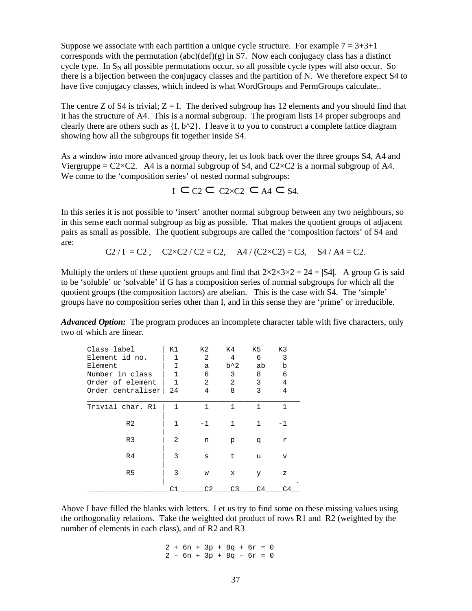Suppose we associate with each partition a unique cycle structure. For example  $7 = 3+3+1$ corresponds with the permutation (abc)(def)(g) in S7. Now each conjugacy class has a distinct cycle type. In  $S_N$  all possible permutations occur, so all possible cycle types will also occur. So there is a bijection between the conjugacy classes and the partition of N. We therefore expect S4 to have five conjugacy classes, which indeed is what WordGroups and PermGroups calculate..

The centre Z of S4 is trivial;  $Z = I$ . The derived subgroup has 12 elements and you should find that it has the structure of A4. This is a normal subgroup. The program lists 14 proper subgroups and clearly there are others such as  $\{I, b^{\wedge}2\}$ . I leave it to you to construct a complete lattice diagram showing how all the subgroups fit together inside S4.

As a window into more advanced group theory, let us look back over the three groups S4, A4 and Viergruppe =  $C2 \times C2$ . A4 is a normal subgroup of S4, and  $C2 \times C2$  is a normal subgroup of A4. We come to the 'composition series' of nested normal subgroups:

<sup>I</sup>⊂ C2 ⊂ C2×C2 ⊂ A4 ⊂ S4.

In this series it is not possible to 'insert' another normal subgroup between any two neighbours, so in this sense each normal subgroup as big as possible. That makes the quotient groups of adjacent pairs as small as possible. The quotient subgroups are called the 'composition factors' of S4 and are:

C2 / I = C2, C2×C2 / C2 = C2, A4 / (C2×C2) = C3, S4 / A4 = C2.

Multiply the orders of these quotient groups and find that  $2 \times 2 \times 3 \times 2 = 24 = |S4|$ . A group G is said to be 'soluble' or 'solvable' if G has a composition series of normal subgroups for which all the quotient groups (the composition factors) are abelian. This is the case with S4. The 'simple' groups have no composition series other than I, and in this sense they are 'prime' or irreducible.

*Advanced Option:* The program produces an incomplete character table with five characters, only two of which are linear.

| Class label       | K1             | K2   | K4             | K5             | K3   |
|-------------------|----------------|------|----------------|----------------|------|
| Element id no.    | 1              | 2    | 4              | 6              | 3    |
| Element           | Ι              | a    | $b^{\wedge}2$  | ab             | b    |
| Number in class   | 1              | 6    | 3              | 8              | 6    |
| Order of element  | 1              | 2    | 2              | 3              | 4    |
| Order centraliser | 24             | 4    | 8              | 3              | 4    |
|                   |                |      |                |                |      |
| Trivial char. R1  |                | 1    | 1              | 1              | 1    |
| R <sub>2</sub>    | 1              | $-1$ | 1              | 1              | $-1$ |
| R <sub>3</sub>    | $\overline{2}$ | n    | р              | đ              | r    |
| R <sub>4</sub>    | 3              | S    | t.             | u              | v    |
| R <sub>5</sub>    | 3              | W    | x              | У              | z    |
|                   | C 1            | C2   | C <sub>3</sub> | C <sub>4</sub> | C4   |

Above I have filled the blanks with letters. Let us try to find some on these missing values using the orthogonality relations. Take the weighted dot product of rows R1 and R2 (weighted by the number of elements in each class), and of R2 and R3

> $2 + 6n + 3p + 8q + 6r = 0$  $2 - 6n + 3p + 8q - 6r = 0$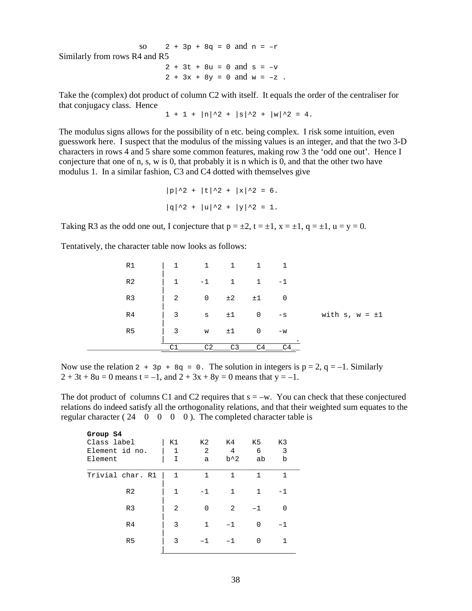so  $2 + 3p + 8q = 0$  and  $n = -r$ Similarly from rows R4 and R5  $2 + 3t + 8u = 0$  and  $s = -v$  $2 + 3x + 8y = 0$  and  $w = -z$ .

Take the (complex) dot product of column C2 with itself. It equals the order of the centraliser for that conjugacy class. Hence

 $1 + 1 + |\ln|\hat{2} + |\sin|\hat{2} + |\sin|\hat{2} = 4.$ 

The modulus signs allows for the possibility of n etc. being complex. I risk some intuition, even guesswork here. I suspect that the modulus of the missing values is an integer, and that the two 3-D characters in rows 4 and 5 share some common features, making row 3 the 'odd one out'. Hence I conjecture that one of n, s, w is 0, that probably it is n which is 0, and that the other two have modulus 1. In a similar fashion, C3 and C4 dotted with themselves give

$$
|p|^2 + |t|^2 + |x|^2 = 6.
$$
  

$$
|q|^2 + |u|^2 + |y|^2 = 1.
$$

Taking R3 as the odd one out, I conjecture that  $p = \pm 2$ ,  $t = \pm 1$ ,  $x = \pm 1$ ,  $q = \pm 1$ ,  $u = y = 0$ .

Tentatively, the character table now looks as follows:

| R1             | $\mathbf{1}$   | $\mathbf{1}$   | $\overline{1}$ | 1              | $\overline{1}$ |                        |
|----------------|----------------|----------------|----------------|----------------|----------------|------------------------|
| R <sub>2</sub> | $\mathbf{1}$   | $-1$           | $\mathbf{1}$   | $\mathbf{1}$   | $-1$           |                        |
| R <sub>3</sub> | 2              | $\mathsf{O}$   | ±2             | ±1             | $\overline{0}$ |                        |
| R <sub>4</sub> | $\overline{3}$ | S              | ±1             | 0              | $-\mathbf{S}$  | with $s$ , $w = \pm 1$ |
| R <sub>5</sub> | $\overline{3}$ | W              | ±1             | $\mathbf 0$    | $-w$           |                        |
|                | $\cap$ 1       | C <sub>2</sub> | C <sub>3</sub> | C <sub>4</sub> |                |                        |

Now use the relation 2 +  $3p + 8q = 0$ . The solution in integers is  $p = 2$ ,  $q = -1$ . Similarly  $2 + 3t + 8u = 0$  means  $t = -1$ , and  $2 + 3x + 8y = 0$  means that  $y = -1$ .

The dot product of columns C1 and C2 requires that  $s = -w$ . You can check that these conjectured relations do indeed satisfy all the orthogonality relations, and that their weighted sum equates to the regular character ( $24 \quad 0 \quad 0 \quad 0 \quad 0$ ). The completed character table is

| Group S4         |              |              |       |      |    |  |  |  |  |  |  |  |
|------------------|--------------|--------------|-------|------|----|--|--|--|--|--|--|--|
| Class label      | K1           | K2           | K4    | K5   | K3 |  |  |  |  |  |  |  |
| Element id no.   | $\mathbf{1}$ | 2            | 4     | 6    | 3  |  |  |  |  |  |  |  |
| Element          | I            | a            | $b^2$ | ab   | b  |  |  |  |  |  |  |  |
| Trivial char. R1 | 1            | $\mathbf{1}$ | 1     | 1    | 1  |  |  |  |  |  |  |  |
| R <sub>2</sub>   | 1            | $-1$         | 1     | 1    | -1 |  |  |  |  |  |  |  |
| R <sub>3</sub>   | 2            | $\Omega$     | 2     | $-1$ | U  |  |  |  |  |  |  |  |
| R <sub>4</sub>   | 3            | 1            | $-1$  | O    | -1 |  |  |  |  |  |  |  |
| R <sub>5</sub>   | 3            |              |       | U    | 1  |  |  |  |  |  |  |  |
|                  |              |              |       |      |    |  |  |  |  |  |  |  |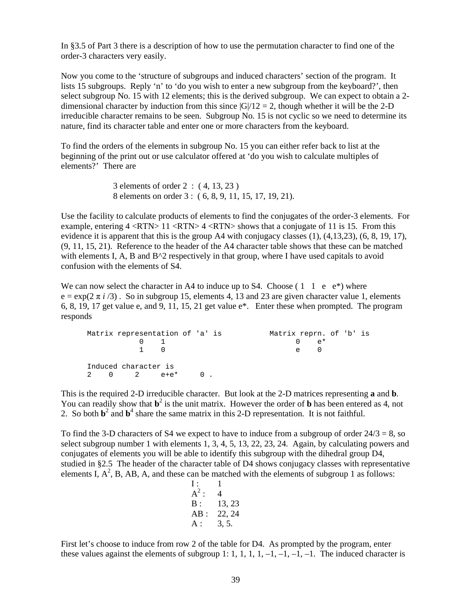In §3.5 of Part 3 there is a description of how to use the permutation character to find one of the order-3 characters very easily.

Now you come to the 'structure of subgroups and induced characters' section of the program. It lists 15 subgroups. Reply 'n' to 'do you wish to enter a new subgroup from the keyboard?', then select subgroup No. 15 with 12 elements; this is the derived subgroup. We can expect to obtain a 2 dimensional character by induction from this since  $|G|/12 = 2$ , though whether it will be the 2-D irreducible character remains to be seen. Subgroup No. 15 is not cyclic so we need to determine its nature, find its character table and enter one or more characters from the keyboard.

To find the orders of the elements in subgroup No. 15 you can either refer back to list at the beginning of the print out or use calculator offered at 'do you wish to calculate multiples of elements?' There are

> 3 elements of order 2 : ( 4, 13, 23 ) 8 elements on order 3 : ( 6, 8, 9, 11, 15, 17, 19, 21).

Use the facility to calculate products of elements to find the conjugates of the order-3 elements. For example, entering  $4 \langle RTN \rangle 11 \langle RTN \rangle 4 \langle RTN \rangle$  shows that a conjugate of 11 is 15. From this evidence it is apparent that this is the group A4 with conjugacy classes (1), (4,13,23), (6, 8, 19, 17), (9, 11, 15, 21). Reference to the header of the A4 character table shows that these can be matched with elements I, A, B and  $B^2$  respectively in that group, where I have used capitals to avoid confusion with the elements of S4.

We can now select the character in A4 to induce up to S4. Choose  $(1 \ 1 \ e \ e^*)$  where  $e = \exp(2 \pi i / 3)$ . So in subgroup 15, elements 4, 13 and 23 are given character value 1, elements 6, 8, 19, 17 get value e, and 9, 11, 15, 21 get value e\*. Enter these when prompted. The program responds

```
Matrix representation of 'a' is Matrix reprn. of 'b' is 
      0 1 0 e^*1 0 e 0
Induced character is 
2 0 2 e+e* 0 .
```
This is the required 2-D irreducible character. But look at the 2-D matrices representing **a** and **b**. You can readily show that  $\mathbf{b}^2$  is the unit matrix. However the order of **b** has been entered as 4, not 2. So both  $\mathbf{b}^2$  and  $\mathbf{b}^4$  share the same matrix in this 2-D representation. It is not faithful.

To find the 3-D characters of S4 we expect to have to induce from a subgroup of order  $24/3 = 8$ , so select subgroup number 1 with elements 1, 3, 4, 5, 13, 22, 23, 24. Again, by calculating powers and conjugates of elements you will be able to identify this subgroup with the dihedral group D4, studied in §2.5 The header of the character table of D4 shows conjugacy classes with representative elements I,  $A^2$ , B, AB, A, and these can be matched with the elements of subgroup 1 as follows:

I : 1 A 2 : 4 B : 13, 23 AB : 22, 24 A : 3, 5.

First let's choose to induce from row 2 of the table for D4. As prompted by the program, enter these values against the elements of subgroup 1: 1, 1, 1, 1, -1, -1, -1, -1. The induced character is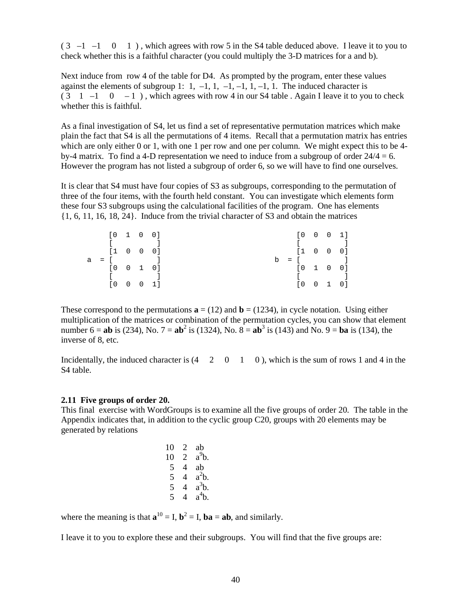$(3 -1 -1 0 1)$ , which agrees with row 5 in the S4 table deduced above. I leave it to you to check whether this is a faithful character (you could multiply the 3-D matrices for a and b).

Next induce from row 4 of the table for D4. As prompted by the program, enter these values against the elements of subgroup 1: 1,  $-1$ , 1,  $-1$ ,  $-1$ ,  $-1$ ,  $-1$ ,  $-1$ . The induced character is  $(3 \quad 1 \quad -1 \quad 0 \quad -1)$ , which agrees with row 4 in our S4 table. Again I leave it to you to check whether this is faithful.

As a final investigation of S4, let us find a set of representative permutation matrices which make plain the fact that S4 is all the permutations of 4 items. Recall that a permutation matrix has entries which are only either 0 or 1, with one 1 per row and one per column. We might expect this to be 4by-4 matrix. To find a 4-D representation we need to induce from a subgroup of order  $24/4 = 6$ . However the program has not listed a subgroup of order 6, so we will have to find one ourselves.

It is clear that S4 must have four copies of S3 as subgroups, corresponding to the permutation of three of the four items, with the fourth held constant. You can investigate which elements form these four S3 subgroups using the calculational facilities of the program. One has elements {1, 6, 11, 16, 18, 24}. Induce from the trivial character of S3 and obtain the matrices

|  | [0 1 0 0]                     |  |                   |  |                                            |  | $[0 \quad 0 \quad 0 \quad 1]$ |
|--|-------------------------------|--|-------------------|--|--------------------------------------------|--|-------------------------------|
|  |                               |  |                   |  | $\mathbb{R}^n$ . The set of $\mathbb{R}^n$ |  |                               |
|  | $[1 \quad 0 \quad 0 \quad 0]$ |  |                   |  |                                            |  | $[1 \ 0 \ 0 \ 0]$             |
|  |                               |  | $a = 1$ 1         |  | $b = [$                                    |  |                               |
|  | $[0 \quad 0 \quad 1 \quad 0]$ |  |                   |  |                                            |  | [0 1 0 0]                     |
|  |                               |  |                   |  | $\mathbf{I}$ and $\mathbf{I}$              |  |                               |
|  |                               |  | $[0 \ 0 \ 0 \ 1]$ |  |                                            |  | $[0 \ 0 \ 1 \ 0]$             |

These correspond to the permutations  $\mathbf{a} = (12)$  and  $\mathbf{b} = (1234)$ , in cycle notation. Using either multiplication of the matrices or combination of the permutation cycles, you can show that element number 6 = **ab** is (234), No. 7 =  $ab^2$  is (1324), No.  $\hat{8} = ab^3$  is (143) and No. 9 =  $ba$  is (134), the inverse of 8, etc.

Incidentally, the induced character is  $(4 \quad 2 \quad 0 \quad 1 \quad 0)$ , which is the sum of rows 1 and 4 in the S4 table.

#### **2.11 Five groups of order 20.**

This final exercise with WordGroups is to examine all the five groups of order 20. The table in the Appendix indicates that, in addition to the cyclic group C20, groups with 20 elements may be generated by relations

| $^{4}b.$ |
|----------|
|          |

where the meaning is that  $\mathbf{a}^{10} = I$ ,  $\mathbf{b}^2 = I$ ,  $\mathbf{b} \mathbf{a} = \mathbf{a} \mathbf{b}$ , and similarly.

I leave it to you to explore these and their subgroups. You will find that the five groups are: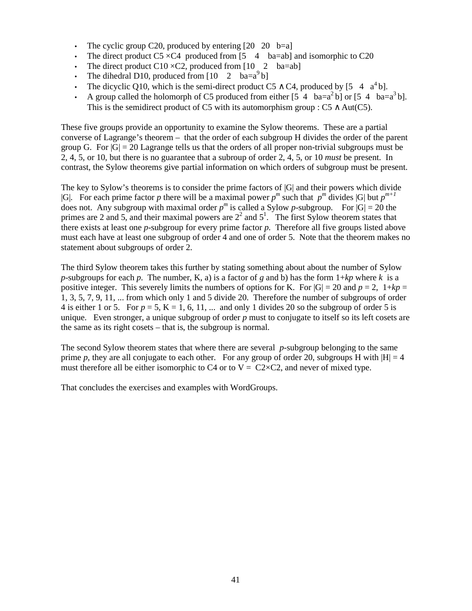- The cyclic group C20, produced by entering  $\begin{bmatrix} 20 & 20 & b = a \end{bmatrix}$
- The direct product  $CS \times C4$  produced from [5 4 ba=ab] and isomorphic to C20
- The direct product C10  $\times$ C2, produced from [10 2 ba=ab]
- The dihedral D10, produced from  $\begin{bmatrix} 10 & 2 & ba=a^9b \end{bmatrix}$
- The dicyclic Q10, which is the semi-direct product C5  $\wedge$  C4, produced by [5 4 a<sup>4</sup> b].
- A group called the holomorph of C5 produced from either  $[5 \ 4 \ \text{ba} = a^2b]$  or  $[5 \ 4 \ \text{ba} = a^3b]$ . This is the semidirect product of C5 with its automorphism group :  $C5 \wedge Aut(C5)$ .

These five groups provide an opportunity to examine the Sylow theorems. These are a partial converse of Lagrange's theorem – that the order of each subgroup H divides the order of the parent group G. For  $|G| = 20$  Lagrange tells us that the orders of all proper non-trivial subgroups must be 2, 4, 5, or 10, but there is no guarantee that a subroup of order 2, 4, 5, or 10 *must* be present. In contrast, the Sylow theorems give partial information on which orders of subgroup must be present.

The key to Sylow's theorems is to consider the prime factors of |G| and their powers which divide |G|. For each prime factor *p* there will be a maximal power  $p^m$  such that  $p^m$  divides |G| but  $p^{m+1}$ does not. Any subgroup with maximal order  $p^m$  is called a Sylow p-subgroup. For  $|G| = 20$  the primes are 2 and 5, and their maximal powers are  $2<sup>2</sup>$  and  $5<sup>1</sup>$ . The first Sylow theorem states that there exists at least one *p*-subgroup for every prime factor *p*. Therefore all five groups listed above must each have at least one subgroup of order 4 and one of order 5. Note that the theorem makes no statement about subgroups of order 2.

The third Sylow theorem takes this further by stating something about about the number of Sylow *p*-subgroups for each *p*. The number, K, a) is a factor of *g* and b) has the form  $1+kp$  where *k* is a positive integer. This severely limits the numbers of options for K. For  $|G| = 20$  and  $p = 2$ ,  $1 + kp =$ 1, 3, 5, 7, 9, 11, ... from which only 1 and 5 divide 20. Therefore the number of subgroups of order 4 is either 1 or 5. For  $p = 5$ ,  $K = 1, 6, 11, ...$  and only 1 divides 20 so the subgroup of order 5 is unique. Even stronger, a unique subgroup of order *p* must to conjugate to itself so its left cosets are the same as its right cosets – that is, the subgroup is normal.

The second Sylow theorem states that where there are several *p*-subgroup belonging to the same prime *p*, they are all conjugate to each other. For any group of order 20, subgroups H with  $|H| = 4$ must therefore all be either isomorphic to C4 or to  $V = C2 \times C2$ , and never of mixed type.

That concludes the exercises and examples with WordGroups.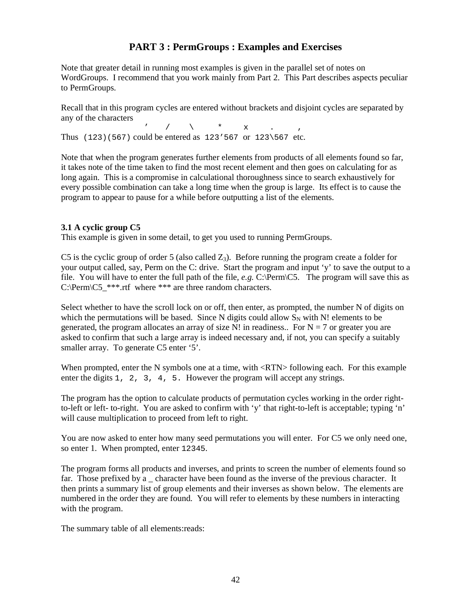# **PART 3 : PermGroups : Examples and Exercises**

Note that greater detail in running most examples is given in the parallel set of notes on WordGroups. I recommend that you work mainly from Part 2. This Part describes aspects peculiar to PermGroups.

Recall that in this program cycles are entered without brackets and disjoint cycles are separated by any of the characters

 $\prime$  / \ \* x . , Thus (123)(567) could be entered as 123'567 or 123\567 etc.

Note that when the program generates further elements from products of all elements found so far, it takes note of the time taken to find the most recent element and then goes on calculating for as long again. This is a compromise in calculational thoroughness since to search exhaustively for every possible combination can take a long time when the group is large. Its effect is to cause the program to appear to pause for a while before outputting a list of the elements.

# **3.1 A cyclic group C5**

This example is given in some detail, to get you used to running PermGroups.

C5 is the cyclic group of order 5 (also called  $Z_3$ ). Before running the program create a folder for your output called, say, Perm on the C: drive. Start the program and input 'y' to save the output to a file. You will have to enter the full path of the file, *e.g.* C:\Perm\C5. The program will save this as C:\Perm\C5\_\*\*\*.rtf where \*\*\* are three random characters.

Select whether to have the scroll lock on or off, then enter, as prompted, the number N of digits on which the permutations will be based. Since N digits could allow  $S_N$  with N! elements to be generated, the program allocates an array of size N! in readiness.. For  $N = 7$  or greater you are asked to confirm that such a large array is indeed necessary and, if not, you can specify a suitably smaller array. To generate C5 enter '5'.

When prompted, enter the N symbols one at a time, with  $\langle$ RTN> following each. For this example enter the digits 1, 2, 3, 4, 5. However the program will accept any strings.

The program has the option to calculate products of permutation cycles working in the order rightto-left or left- to-right. You are asked to confirm with 'y' that right-to-left is acceptable; typing 'n' will cause multiplication to proceed from left to right.

You are now asked to enter how many seed permutations you will enter. For C5 we only need one, so enter 1. When prompted, enter 12345.

The program forms all products and inverses, and prints to screen the number of elements found so far. Those prefixed by a character have been found as the inverse of the previous character. It then prints a summary list of group elements and their inverses as shown below. The elements are numbered in the order they are found. You will refer to elements by these numbers in interacting with the program.

The summary table of all elements:reads: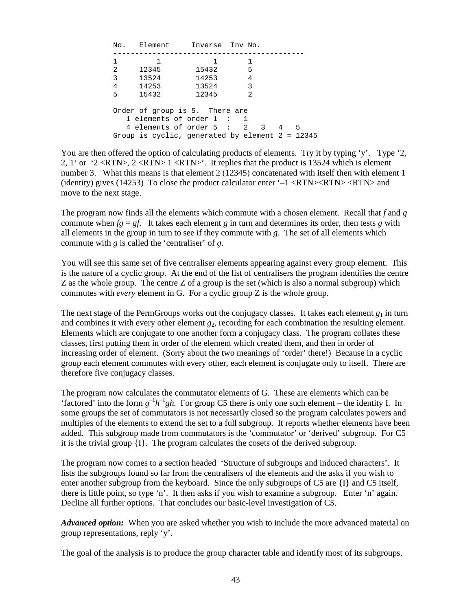|   | No. Element Inverse Inv No.                                                  |       |                          |        |  |  |  |  |  |  |  |
|---|------------------------------------------------------------------------------|-------|--------------------------|--------|--|--|--|--|--|--|--|
|   | 1                                                                            | 1.    |                          |        |  |  |  |  |  |  |  |
| 2 | 12345                                                                        | 15432 | - 5                      |        |  |  |  |  |  |  |  |
| 3 | 13524                                                                        | 14253 | 4                        |        |  |  |  |  |  |  |  |
| 4 | 14253                                                                        | 13524 | $\overline{\phantom{a}}$ |        |  |  |  |  |  |  |  |
| 5 | 15432                                                                        | 12345 | 2                        |        |  |  |  |  |  |  |  |
|   | Order of group is 5. There are<br>1 elements of order 1:<br>-1               |       |                          |        |  |  |  |  |  |  |  |
|   | 4 elements of order 5 :<br>Group is cyclic, generated by element $2 = 12345$ |       | 2<br>$\overline{3}$      | 5<br>4 |  |  |  |  |  |  |  |

You are then offered the option of calculating products of elements. Try it by typing 'y'. Type '2, 2, 1' or '2 <RTN>, 2 <RTN> 1 <RTN>'. It replies that the product is 13524 which is element number 3. What this means is that element 2 (12345) concatenated with itself then with element 1 (identity) gives (14253) To close the product calculator enter ' $-1$  <RTN><RTN> <RTN> and move to the next stage.

The program now finds all the elements which commute with a chosen element. Recall that *f* and *g* commute when  $fg = gf$ . It takes each element *g* in turn and determines its order, then tests *g* with all elements in the group in turn to see if they commute with *g*. The set of all elements which commute with *g* is called the 'centraliser' of *g*.

You will see this same set of five centraliser elements appearing against every group element. This is the nature of a cyclic group. At the end of the list of centralisers the program identifies the centre Z as the whole group. The centre Z of a group is the set (which is also a normal subgroup) which commutes with *every* element in G. For a cyclic group Z is the whole group.

The next stage of the PermGroups works out the conjugacy classes. It takes each element  $g_1$  in turn and combines it with every other element  $g_2$ , recording for each combination the resulting element. Elements which are conjugate to one another form a conjugacy class. The program collates these classes, first putting them in order of the element which created them, and then in order of increasing order of element. (Sorry about the two meanings of 'order' there!) Because in a cyclic group each element commutes with every other, each element is conjugate only to itself. There are therefore five conjugacy classes.

The program now calculates the commutator elements of G. These are elements which can be 'factored' into the form  $g^{-1}h^{-1}gh$ . For group C5 there is only one such element – the identity I. In some groups the set of commutators is not necessarily closed so the program calculates powers and multiples of the elements to extend the set to a full subgroup. It reports whether elements have been added. This subgroup made from commutators is the 'commutator' or 'derived' subgroup. For C5 it is the trivial group  $\{I\}$ . The program calculates the cosets of the derived subgroup.

The program now comes to a section headed 'Structure of subgroups and induced characters'. It lists the subgroups found so far from the centralisers of the elements and the asks if you wish to enter another subgroup from the keyboard. Since the only subgroups of C5 are {I} and C5 itself, there is little point, so type 'n'. It then asks if you wish to examine a subgroup. Enter 'n' again. Decline all further options. That concludes our basic-level investigation of C5.

*Advanced option:* When you are asked whether you wish to include the more advanced material on group representations, reply 'y'.

The goal of the analysis is to produce the group character table and identify most of its subgroups.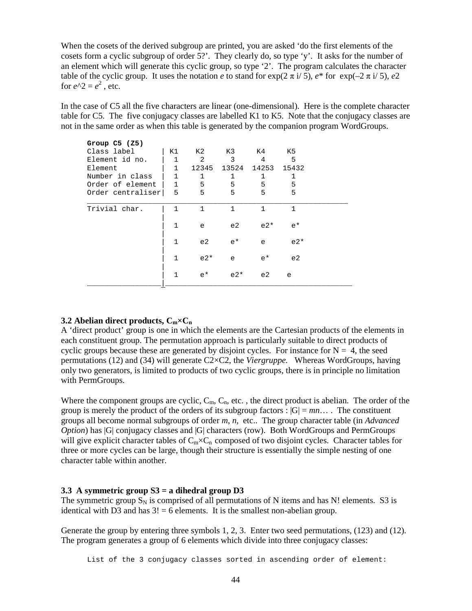When the cosets of the derived subgroup are printed, you are asked 'do the first elements of the cosets form a cyclic subgroup of order 5?'. They clearly do, so type 'y'. It asks for the number of an element which will generate this cyclic group, so type '2'. The program calculates the character table of the cyclic group. It uses the notation *e* to stand for  $\exp(2 \pi i / 5)$ ,  $e^*$  for  $\exp(-2 \pi i / 5)$ ,  $e^2$ for  $e^{\lambda}2 = e^2$ , etc.

In the case of C5 all the five characters are linear (one-dimensional). Here is the complete character table for C5. The five conjugacy classes are labelled K1 to K5. Note that the conjugacy classes are not in the same order as when this table is generated by the companion program WordGroups.

| Group $C5$ ( $Z5$ ) |              |              |              |       |              |  |
|---------------------|--------------|--------------|--------------|-------|--------------|--|
| Class label         | K1           | K2 .         | K3           | K4 -  | K5           |  |
| Element id no.      |              | 2            | $\mathbf{3}$ | 4     | 5            |  |
| Element             | $\mathbf{1}$ | 12345        | 13524        | 14253 | 15432        |  |
| Number in class     | 1            | 1            | 1            | 1     | 1            |  |
| Order of element    | $\mathbf{1}$ | 5            | 5            | 5     | 5            |  |
| Order centraliser   | 5            | 5            | 5            | 5     | 5            |  |
| Trivial char.       | 1            | $\mathbf{1}$ | 1            | 1     | $\mathbf{1}$ |  |
|                     | 1            | e            | e2           | $e2*$ | $e^*$        |  |
|                     | $\mathbf{1}$ | e2           | $e^{\star}$  | e     | $e2*$        |  |
|                     | 1            | $e2*$        | e            | $e^*$ | e2           |  |
|                     | $\mathbf{1}$ | $e^{\star}$  | $e2*$        | e2    | e            |  |
|                     |              |              |              |       |              |  |

### **3.2 Abelian direct products, Cm×C<sup>n</sup>**

A 'direct product' group is one in which the elements are the Cartesian products of the elements in each constituent group. The permutation approach is particularly suitable to direct products of cyclic groups because these are generated by disjoint cycles. For instance for  $N = 4$ , the seed permutations (12) and (34) will generate C2×C2, the *Viergruppe.* Whereas WordGroups, having only two generators, is limited to products of two cyclic groups, there is in principle no limitation with PermGroups.

Where the component groups are cyclic,  $C_m$ ,  $C_n$ , etc., the direct product is abelian. The order of the group is merely the product of the orders of its subgroup factors :  $|G| = mn...$  The constituent groups all become normal subgroups of order *m*, *n*, etc.. The group character table (in *Advanced Option*) has  $|G|$  conjugacy classes and  $|G|$  characters (row). Both WordGroups and PermGroups will give explicit character tables of  $C_m \times C_n$  composed of two disjoint cycles. Character tables for three or more cycles can be large, though their structure is essentially the simple nesting of one character table within another.

#### **3.3 A symmetric group S3 = a dihedral group D3**

The symmetric group  $S_N$  is comprised of all permutations of N items and has N! elements. S3 is identical with D3 and has  $3! = 6$  elements. It is the smallest non-abelian group.

Generate the group by entering three symbols 1, 2, 3. Enter two seed permutations, (123) and (12). The program generates a group of 6 elements which divide into three conjugacy classes:

List of the 3 conjugacy classes sorted in ascending order of element: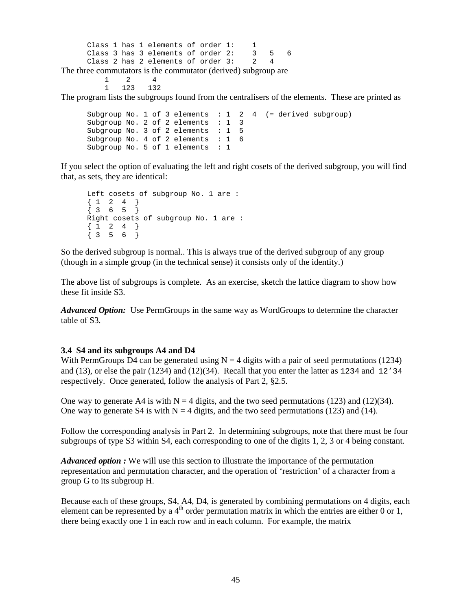Class 1 has 1 elements of order 1: 1 Class 3 has 3 elements of order 2: 3 5 6 Class 2 has 2 elements of order 3: 2 4 The three commutators is the commutator (derived) subgroup are

> 1 2 4 1 123 132

The program lists the subgroups found from the centralisers of the elements. These are printed as

Subgroup No. 1 of 3 elements : 1 2 4 (= derived subgroup) Subgroup No. 2 of 2 elements : 1 3 Subgroup No. 3 of 2 elements  $: 1, 5$ <br>Subgroup No. 4 of 2 elements  $: 1, 6$ Subgroup No. 4 of 2 elements : 1 Subgroup No. 5 of 1 elements : 1

If you select the option of evaluating the left and right cosets of the derived subgroup, you will find that, as sets, they are identical:

```
Left cosets of subgroup No. 1 are : 
{1 \ 2 \ 4}{ 3 6 5 } 
Right cosets of subgroup No. 1 are : 
{1 \ 2 \ 4}\{3\ 5\ 6\}
```
So the derived subgroup is normal.. This is always true of the derived subgroup of any group (though in a simple group (in the technical sense) it consists only of the identity.)

The above list of subgroups is complete. As an exercise, sketch the lattice diagram to show how these fit inside S3.

*Advanced Option:* Use PermGroups in the same way as WordGroups to determine the character table of S3.

#### **3.4 S4 and its subgroups A4 and D4**

With PermGroups D4 can be generated using  $N = 4$  digits with a pair of seed permutations (1234) and (13), or else the pair (1234) and (12)(34). Recall that you enter the latter as 1234 and 12'34 respectively. Once generated, follow the analysis of Part 2, §2.5.

One way to generate A4 is with  $N = 4$  digits, and the two seed permutations (123) and (12)(34). One way to generate S4 is with  $N = 4$  digits, and the two seed permutations (123) and (14).

Follow the corresponding analysis in Part 2. In determining subgroups, note that there must be four subgroups of type S3 within S4, each corresponding to one of the digits 1, 2, 3 or 4 being constant.

*Advanced option :* We will use this section to illustrate the importance of the permutation representation and permutation character, and the operation of 'restriction' of a character from a group G to its subgroup H.

Because each of these groups, S4, A4, D4, is generated by combining permutations on 4 digits, each element can be represented by a  $4<sup>th</sup>$  order permutation matrix in which the entries are either 0 or 1, there being exactly one 1 in each row and in each column. For example, the matrix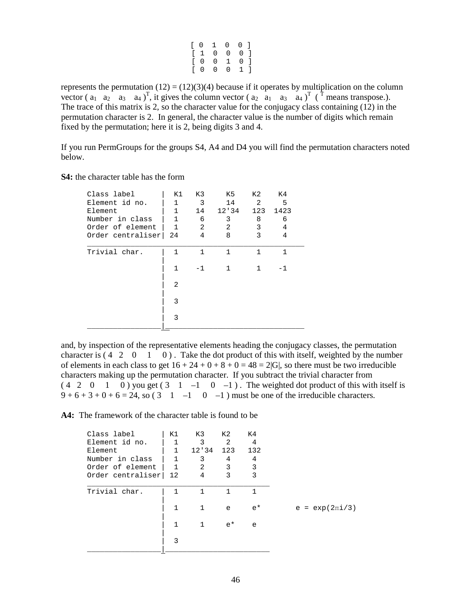|  | $\begin{bmatrix} 0 & 1 & 0 & 0 \end{bmatrix}$ |  |  |
|--|-----------------------------------------------|--|--|
|  | $\begin{bmatrix} 1 & 0 & 0 & 0 \end{bmatrix}$ |  |  |
|  | $\begin{bmatrix} 0 & 0 & 1 & 0 \end{bmatrix}$ |  |  |
|  | [0 0 0 1]                                     |  |  |

represents the permutation  $(12) = (12)(3)(4)$  because if it operates by multiplication on the column vector ( $a_1 \ a_2 \ a_3 \ a_4$ )<sup>T</sup>, it gives the column vector ( $a_2 \ a_1 \ a_3 \ a_4$ )<sup>T</sup> (<sup> $\uparrow$ </sup> means transpose.). The trace of this matrix is 2, so the character value for the conjugacy class containing (12) in the permutation character is 2. In general, the character value is the number of digits which remain fixed by the permutation; here it is 2, being digits 3 and 4.

If you run PermGroups for the groups S4, A4 and D4 you will find the permutation characters noted below.

#### **S4:** the character table has the form

| Class label       | K1             | K3           | K5    | K2  | K4           |  |
|-------------------|----------------|--------------|-------|-----|--------------|--|
| Element id no.    | $\mathbf{1}$   | 3            | 14    | 2   | 5            |  |
| Element           | 1              | 14           | 12'34 | 123 | 1423         |  |
| Number in class   | 1              | 6            | 3     | 8   | 6            |  |
| Order of element  | $\mathbf{1}$   | 2            | 2     | 3   | 4            |  |
| Order centraliser | 24             | 4            | 8     | 3   | 4            |  |
| Trivial char.     | 1              | $\mathbf{1}$ | 1     | 1   | $\mathbf{1}$ |  |
|                   | 1              | $-1$         | 1     | 1   | -1           |  |
|                   | $\overline{2}$ |              |       |     |              |  |
|                   | 3              |              |       |     |              |  |
|                   | 3              |              |       |     |              |  |
|                   |                |              |       |     |              |  |

and, by inspection of the representative elements heading the conjugacy classes, the permutation character is  $(4 \ 2 \ 0 \ 1 \ 0)$ . Take the dot product of this with itself, weighted by the number of elements in each class to get  $16 + 24 + 0 + 8 + 0 = 48 = 2|G|$ , so there must be two irreducible characters making up the permutation character. If you subtract the trivial character from  $(4 \ 2 \ 0 \ 1 \ 0)$  you get  $(3 \ 1 \ -1 \ 0 \ -1)$ . The weighted dot product of this with itself is  $9 + 6 + 3 + 0 + 6 = 24$ , so  $(3 \quad 1 \quad -1 \quad 0 \quad -1)$  must be one of the irreducible characters.

**A4:** The framework of the character table is found to be

| Class label       | K1           | K3           | K 2          | K4    |                     |
|-------------------|--------------|--------------|--------------|-------|---------------------|
| Element id no.    | 1            | 3            | 2            | 4     |                     |
| Element           | $\mathbf{1}$ | 12'34        | 123          | 132   |                     |
| Number in class   | $\mathbf{1}$ | 3            | 4            | 4     |                     |
| Order of element  | $\mathbf{1}$ | 2            | 3            | 3     |                     |
| Order centraliser | 12           | 4            | 3            | 3     |                     |
|                   |              |              |              |       |                     |
| Trivial char.     | 1            | $\mathbf{1}$ | $\mathbf{1}$ | 1     |                     |
|                   |              |              |              |       |                     |
|                   | 1            | $\mathbf{1}$ | e            | $e^*$ | $e = exp(2\pi i/3)$ |
|                   |              |              |              |       |                     |
|                   | $\mathbf{1}$ | 1            | $e^{\star}$  | e     |                     |
|                   |              |              |              |       |                     |
|                   | 3            |              |              |       |                     |
|                   |              |              |              |       |                     |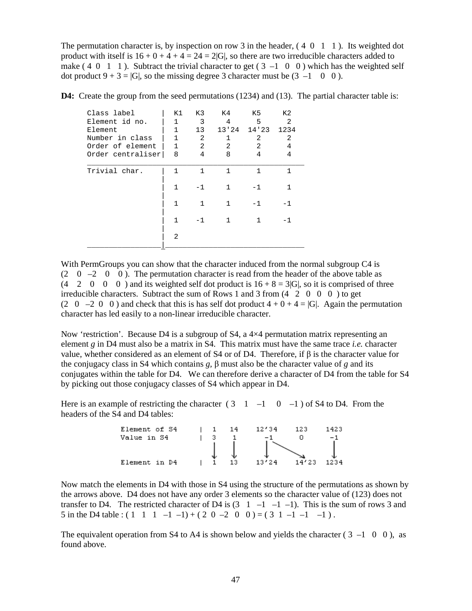The permutation character is, by inspection on row 3 in the header,  $(4\ 0\ 1\ 1)$ . Its weighted dot product with itself is  $16 + 0 + 4 + 4 = 24 = 2|G|$ , so there are two irreducible characters added to make  $(4 \ 0 \ 1 \ 1)$ . Subtract the trivial character to get  $(3 \ -1 \ 0 \ 0)$  which has the weighted self dot product  $9 + 3 = |G|$ , so the missing degree 3 character must be  $(3 -1 0 0)$ .

**D4:** Create the group from the seed permutations (1234) and (13). The partial character table is:

| K1             | K3              | K4           | K 5   | K <sub>2</sub> |
|----------------|-----------------|--------------|-------|----------------|
|                | 3               | 4            | 5     | 2              |
| 1              | 13 <sup>°</sup> | 13'24        | 14'23 | 1234           |
| 1              | 2               | 1            | 2     | 2              |
| 1              | 2               | 2            | 2     | 4              |
| 8              | 4               | 8            | 4     | 4              |
| 1              | $\mathbf{1}$    | $\mathbf{1}$ | 1     | 1              |
| 1              | $-1$            | 1            | $-1$  | 1              |
| 1              | $\mathbf{1}$    | 1            | $-1$  | $-1$           |
| 1              | $-1$            | 1            | 1     | -1             |
| $\mathfrak{D}$ |                 |              |       |                |
|                | $\mathbf{1}$    |              |       |                |

With PermGroups you can show that the character induced from the normal subgroup C4 is  $(2 \quad 0 \quad -2 \quad 0 \quad 0)$ . The permutation character is read from the header of the above table as  $(4 \quad 2 \quad 0 \quad 0 \quad 0)$  and its weighted self dot product is  $16 + 8 = 3|G|$ , so it is comprised of three irreducible characters. Subtract the sum of Rows 1 and 3 from  $(4 \quad 2 \quad 0 \quad 0)$  to get (2 0 –2 0 0) and check that this is has self dot product  $4 + 0 + 4 = |G|$ . Again the permutation character has led easily to a non-linear irreducible character.

Now 'restriction'. Because D4 is a subgroup of S4, a  $4\times4$  permutation matrix representing an element *g* in D4 must also be a matrix in S4. This matrix must have the same trace *i.e.* character value, whether considered as an element of S4 or of D4. Therefore, if β is the character value for the conjugacy class in S4 which contains *g,* β must also be the character value of *g* and its conjugates within the table for D4. We can therefore derive a character of D4 from the table for S4 by picking out those conjugacy classes of S4 which appear in D4.

Here is an example of restricting the character  $(3 \quad 1 \quad -1 \quad 0 \quad -1)$  of S4 to D4. From the headers of the S4 and D4 tables:

| Element of S4 |  | 14 | 12'34 | 123   | 1423 |
|---------------|--|----|-------|-------|------|
| Value in S4   |  |    |       |       | - 1  |
|               |  |    |       |       |      |
| Element in D4 |  |    | 13124 | 14'23 | 1234 |

Now match the elements in D4 with those in S4 using the structure of the permutations as shown by the arrows above. D4 does not have any order 3 elements so the character value of (123) does not transfer to D4. The restricted character of D4 is  $(3 \ 1 \ -1 \ -1 \ -1)$ . This is the sum of rows 3 and 5 in the D4 table :  $(1 \ 1 \ 1 \ -1 \ -1) + (2 \ 0 \ -2 \ 0 \ 0) = (3 \ 1 \ -1 \ -1)$ .

The equivalent operation from S4 to A4 is shown below and yields the character ( $3 -1 \quad 0 \quad 0$ ), as found above.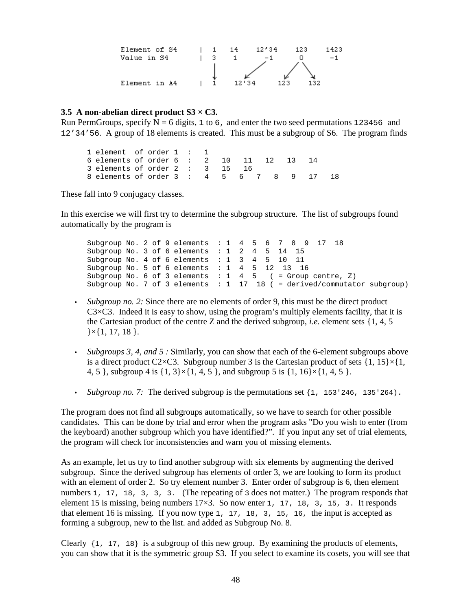

### **3.5 A non-abelian direct product S3 × C3.**

Run PermGroups, specify  $N = 6$  digits, 1 to 6, and enter the two seed permutations 123456 and 12'34'56. A group of 18 elements is created. This must be a subgroup of S6. The program finds

1 element of order 1 : 1 6 elements of order 6 : 2 10 11 12 13 14 3 elements of order 2 : 3 15 16 8 elements of order 3 : 4 5 6 7 8 9 17 18

These fall into 9 conjugacy classes.

In this exercise we will first try to determine the subgroup structure. The list of subgroups found automatically by the program is

Subgroup No. 2 of 9 elements : 1 4 5 6 7 8 9 17 18 Subgroup No. 3 of 6 elements : 1 2 4 5 14 15 Subgroup No. 4 of 6 elements : 1 3 4 5 10 11 Subgroup No. 5 of 6 elements : 1 4 5 12 13 16 Subgroup No. 6 of 3 elements :  $1 \quad 4 \quad 5 \quad (= Group centre, Z)$ Subgroup No. 7 of 3 elements : 1 17 18 ( = derived/commutator subgroup)

- *Subgroup no. 2:* Since there are no elements of order 9, this must be the direct product  $C3 \times C3$ . Indeed it is easy to show, using the program's multiply elements facility, that it is the Cartesian product of the centre Z and the derived subgroup, *i.e.* element sets {1, 4, 5  $\{ \times \{ 1, 17, 18 \} \}.$
- *Subgroups 3, 4, and 5 :* Similarly, you can show that each of the 6-element subgroups above is a direct product C2×C3. Subgroup number 3 is the Cartesian product of sets  $\{1, 15\} \times \{1,$ 4, 5 }, subgroup 4 is  $\{1, 3\} \times \{1, 4, 5\}$ , and subgroup 5 is  $\{1, 16\} \times \{1, 4, 5\}$ .
- *Subgroup no.* 7: The derived subgroup is the permutations set  $\{1, 153 \, 246, 135 \, 264\}$ .

The program does not find all subgroups automatically, so we have to search for other possible candidates. This can be done by trial and error when the program asks "Do you wish to enter (from the keyboard) another subgroup which you have identified?". If you input any set of trial elements, the program will check for inconsistencies and warn you of missing elements.

As an example, let us try to find another subgroup with six elements by augmenting the derived subgroup. Since the derived subgroup has elements of order 3, we are looking to form its product with an element of order 2. So try element number 3. Enter order of subgroup is 6, then element numbers 1, 17, 18, 3, 3, 3. (The repeating of 3 does not matter.) The program responds that element 15 is missing, being numbers  $17\times3$ . So now enter 1, 17, 18, 3, 15, 3. It responds that element 16 is missing. If you now type 1, 17, 18, 3, 15, 16, the input is accepted as forming a subgroup, new to the list. and added as Subgroup No. 8.

Clearly  $\{1, 17, 18\}$  is a subgroup of this new group. By examining the products of elements, you can show that it is the symmetric group S3. If you select to examine its cosets, you will see that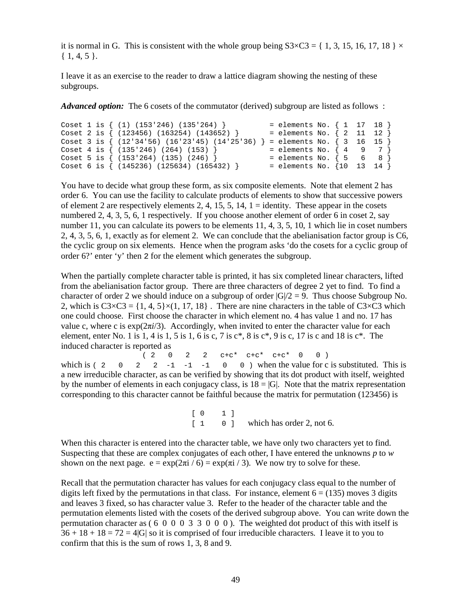it is normal in G. This is consistent with the whole group being  $S3 \times C3 = \{ 1, 3, 15, 16, 17, 18 \} \times$  $\{1, 4, 5\}.$ 

I leave it as an exercise to the reader to draw a lattice diagram showing the nesting of these subgroups.

*Advanced option:* The 6 cosets of the commutator (derived) subgroup are listed as follows :

```
Coset 1 is \{ (1) (153'246) (135'264) \} = elements No. \{ 1 \ 17 \ 18 \}<br>Coset 2 is \{ (123456) (163254) (143652) \} = elements No. \{ 2 \ 11 \ 12 \}Coset 2 is \{ (123456) (163254) (143652) }
Coset 3 is \{ (12'34'56) (16'23'45) (14'25'36) \} = elements No. \{ 3 \ 16 \ 15 \}Coset 4 is \{ (135'246) (264) (153) \} = elements No. \{ 4 \ 9 \ 7 \}<br>Coset 5 is \{ (153'264) (135) (246) \} = elements No. \{ 5 \ 6 \ 8 \}Coset 5 is \{ (153'264) (135) (246) \} = elements No. \{ 5 6 8 \}<br>Coset 6 is \{ (145236) (125634) (165432) } = elements No. \{10 13 14 \}Coset 6 is \{ (145236) (125634) (165432) \} = elements No. \{10 13
```
You have to decide what group these form, as six composite elements. Note that element 2 has order 6. You can use the facility to calculate products of elements to show that successive powers of element 2 are respectively elements 2, 4, 15, 5, 14, 1 = identity. These appear in the cosets numbered 2, 4, 3, 5, 6, 1 respectively. If you choose another element of order 6 in coset 2, say number 11, you can calculate its powers to be elements 11, 4, 3, 5, 10, 1 which lie in coset numbers 2, 4, 3, 5, 6, 1, exactly as for element 2. We can conclude that the abelianisation factor group is C6, the cyclic group on six elements. Hence when the program asks 'do the cosets for a cyclic group of order 6?' enter 'y' then 2 for the element which generates the subgroup.

When the partially complete character table is printed, it has six completed linear characters, lifted from the abelianisation factor group. There are three characters of degree 2 yet to find. To find a character of order 2 we should induce on a subgroup of order  $|G|/2 = 9$ . Thus choose Subgroup No. 2, which is  $C3 \times C3 = \{1, 4, 5\} \times (1, 17, 18)$ . There are nine characters in the table of  $C3 \times C3$  which one could choose. First choose the character in which element no. 4 has value 1 and no. 17 has value c, where c is  $\exp(2\pi i/3)$ . Accordingly, when invited to enter the character value for each element, enter No. 1 is 1, 4 is 1, 5 is 1, 6 is c, 7 is  $c^*$ , 8 is  $c^*$ , 9 is c, 17 is c and 18 is  $c^*$ . The induced character is reported as  $(2, 0)$ 

 $(0, 2, 2, c+c^* c+c^* c+c^* 0, 0)$ which is ( 2 0 2 2 -1 -1 -1 0 0 ) when the value for c is substituted. This is a new irreducible character, as can be verified by showing that its dot product with itself, weighted by the number of elements in each conjugacy class, is  $18 = |G|$ . Note that the matrix representation corresponding to this character cannot be faithful because the matrix for permutation (123456) is

> $[0 1]$ [ 1 0 ] which has order 2, not 6.

When this character is entered into the character table, we have only two characters yet to find. Suspecting that these are complex conjugates of each other, I have entered the unknowns *p* to *w* shown on the next page.  $e = \exp(2\pi i / 6) = \exp(\pi i / 3)$ . We now try to solve for these.

Recall that the permutation character has values for each conjugacy class equal to the number of digits left fixed by the permutations in that class. For instance, element  $6 = (135)$  moves 3 digits and leaves 3 fixed, so has character value 3. Refer to the header of the character table and the permutation elements listed with the cosets of the derived subgroup above. You can write down the permutation character as  $(6\ 0\ 0\ 0\ 3\ 3\ 0\ 0\ 0)$ . The weighted dot product of this with itself is  $36 + 18 + 18 = 72 = 4|G|$  so it is comprised of four irreducible characters. I leave it to you to confirm that this is the sum of rows 1, 3, 8 and 9.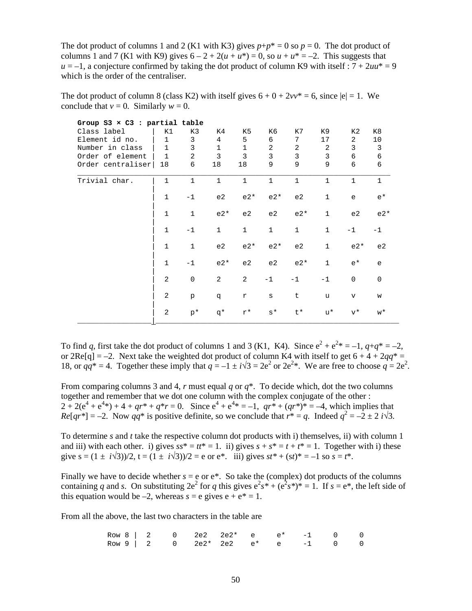The dot product of columns 1 and 2 (K1 with K3) gives  $p+p^* = 0$  so  $p = 0$ . The dot product of columns 1 and 7 (K1 with K9) gives  $6 - 2 + 2(u + u^*) = 0$ , so  $u + u^* = -2$ . This suggests that  $u = -1$ , a conjecture confirmed by taking the dot product of column K9 with itself :  $7 + 2uu^* = 9$ which is the order of the centraliser.

The dot product of column 8 (class K2) with itself gives  $6 + 0 + 2vv^* = 6$ , since  $|e| = 1$ . We conclude that  $v = 0$ . Similarly  $w = 0$ .

| Group $S3 \times C3$ : partial table |              |                |                |                |                |                |              |              |              |
|--------------------------------------|--------------|----------------|----------------|----------------|----------------|----------------|--------------|--------------|--------------|
| Class label                          | К1           | K3             | K4             | K5             | K6             | K7             | K9           | К2           | K8           |
| Element id no.                       | $\mathbf 1$  | 3              | 4              | 5              | 6              | 7              | 17           | 2            | 10           |
| Number in class                      | $\mathbf{1}$ | 3              | 1              | 1              | 2              | $\overline{2}$ | 2            | 3            | 3            |
| Order of element                     | $\mathbf{1}$ | $\overline{a}$ | 3              | 3              | $\mathbf{3}$   | 3              | $\mathbf{3}$ | 6            | $\epsilon$   |
| Order centraliser                    | 18           | 6              | 18             | 18             | 9              | 9              | 9            | 6            | 6            |
| Trivial char.                        | $\mathbf{1}$ | $\mathbf{1}$   | $\mathbf{1}$   | $\mathbf{1}$   | $\mathbf{1}$   | $\mathbf{1}$   | $\mathbf{1}$ | $\mathbf{1}$ | $\mathbf{1}$ |
|                                      | $\mathbf{1}$ | $-1$           | e2             | $e2*$          | $e2*$          | e2             | $\mathbf{1}$ | e            | $e^*$        |
|                                      | $\mathbf{1}$ | $\mathbf{1}$   | $e2*$          | e <sub>2</sub> | e2             | $e2*$          | $\mathbf{1}$ | e2           | $e2*$        |
|                                      | $\mathbf{1}$ | $-1$           | $\mathbf{1}$   | $\mathbf{1}$   | $\mathbf{1}$   | $\mathbf{1}$   | $\mathbf{1}$ | $-1$         | $-1$         |
|                                      | $\mathbf{1}$ | $\mathbf{1}$   | e2             | $e2*$          | $e2*$          | e <sub>2</sub> | $\mathbf{1}$ | $e2*$        | e2           |
|                                      | $\mathbf{1}$ | $-1$           | $e2*$          | e <sub>2</sub> | e <sub>2</sub> | $e2*$          | $\mathbf{1}$ | $e^*$        | e            |
|                                      | 2            | $\mathbf 0$    | $\overline{a}$ | $\overline{a}$ | $-1$           | $-1$           | $-1$         | $\Omega$     | $\Omega$     |
|                                      | 2            | p              | p              | r              | $\rm s$        | t              | u            | $\mathbf v$  | W            |
|                                      | 2            | $p^*$          | q*             | $r^{\star}$    | $s^{\star}$    | t*             | u*           | $v^{\star}$  | $W^*$        |

To find *q*, first take the dot product of columns 1 and 3 (K1, K4). Since  $e^2 + e^{2*} = -1$ ,  $q + q^* = -2$ , or 2Re[q] = –2. Next take the weighted dot product of column K4 with itself to get  $6 + 4 + 2qq^* =$ 18, or  $qq^* = 4$ . Together these imply that  $q = -1 \pm i\sqrt{3} = 2e^2$  or  $2e^{2*}$ . We are free to choose  $q = 2e^2$ .

From comparing columns 3 and 4, *r* must equal *q* or *q*\*. To decide which, dot the two columns together and remember that we dot one column with the complex conjugate of the other :  $2 + 2(e^4 + e^{4*}) + 4 + qr^* + q^*r = 0$ . Since  $e^4 + e^{4*} = -1$ ,  $qr^* + (qr^*)^* = -4$ , which implies that  $Re[qr^*] = -2$ . Now  $qq^*$  is positive definite, so we conclude that  $r^* = q$ . Indeed  $q^2 = -2 \pm 2 i\sqrt{3}$ .

To determine *s* and *t* take the respective column dot products with i) themselves, ii) with column 1 and iii) with each other. i) gives  $ss^* = tt^* = 1$ . ii) gives  $s + s^* = t + t^* = 1$ . Together with i) these give  $s = (1 \pm i\sqrt{3})/2$ ,  $t = (1 \pm i\sqrt{3})/2 = e$  or  $e^*$ . iii) gives  $st^* + (st)^* = -1$  so  $s = t^*$ .

Finally we have to decide whether  $s = e$  or  $e^*$ . So take the (complex) dot products of the columns containing *q* and *s*. On substituting  $2e^2$  for *q* this gives  $e^2s^* + (e^2s^*)^* = 1$ . If  $s = e^*$ , the left side of this equation would be  $-2$ , whereas  $s = e$  gives  $e + e^* = 1$ .

From all the above, the last two characters in the table are

|  |  | Row 8   2 0 2e2 2e2* e e* -1 0 0 |  |  |  |
|--|--|----------------------------------|--|--|--|
|  |  | Row 9   2 0 2e2* 2e2 e* e -1 0 0 |  |  |  |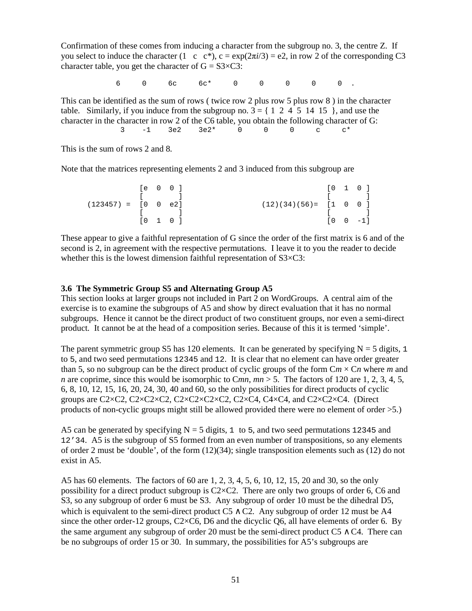Confirmation of these comes from inducing a character from the subgroup no. 3, the centre Z. If you select to induce the character (1 c c<sup>\*</sup>), c =  $\exp(2\pi i/3) = e^2$ , in row 2 of the corresponding C3 character table, you get the character of  $G = S3 \times C3$ :

 $6$  0 6c 6c\* 0 0 0 0 0 0 .

This can be identified as the sum of rows ( twice row 2 plus row 5 plus row 8 ) in the character table. Similarly, if you induce from the subgroup no. 3 = { 1 2 4 5 14 15 }, and use the character in the character in row 2 of the C6 table, you obtain the following character of G: 3  $-1$  3e2 3e2\* 0 0 0 c c\*

This is the sum of rows 2 and 8.

Note that the matrices representing elements 2 and 3 induced from this subgroup are

|                           |  | $[e \ 0 \ 0]$                             |                              |  | $\begin{bmatrix} 0 & 1 & 0 \end{bmatrix}$ |
|---------------------------|--|-------------------------------------------|------------------------------|--|-------------------------------------------|
|                           |  |                                           |                              |  |                                           |
| $(123457) = [0 \ 0 \ e2]$ |  |                                           | $(12)(34)(56) = [1 \ 0 \ 0]$ |  |                                           |
|                           |  |                                           |                              |  |                                           |
|                           |  | $\begin{bmatrix} 0 & 1 & 0 \end{bmatrix}$ |                              |  | $[0 \ 0 \ -1]$                            |

These appear to give a faithful representation of G since the order of the first matrix is 6 and of the second is 2, in agreement with the respective permutations. I leave it to you the reader to decide whether this is the lowest dimension faithful representation of  $S3 \times C3$ :

#### **3.6 The Symmetric Group S5 and Alternating Group A5**

This section looks at larger groups not included in Part 2 on WordGroups. A central aim of the exercise is to examine the subgroups of A5 and show by direct evaluation that it has no normal subgroups. Hence it cannot be the direct product of two constituent groups, nor even a semi-direct product. It cannot be at the head of a composition series. Because of this it is termed 'simple'.

The parent symmetric group S5 has 120 elements. It can be generated by specifying  $N = 5$  digits, 1 to 5, and two seed permutations 12345 and 12. It is clear that no element can have order greater than 5, so no subgroup can be the direct product of cyclic groups of the form  $Cm \times Cn$  where *m* and *n* are coprime, since this would be isomorphic to C*mn*,  $mn > 5$ . The factors of 120 are 1, 2, 3, 4, 5, 6, 8, 10, 12, 15, 16, 20, 24, 30, 40 and 60, so the only possibilities for direct products of cyclic groups are C2×C2, C2×C2×C2, C2×C2×C2×C2, C2×C4, C4×C4, and C2×C2×C4. (Direct products of non-cyclic groups might still be allowed provided there were no element of order >5.)

A5 can be generated by specifying  $N = 5$  digits, 1 to 5, and two seed permutations 12345 and 12'34. A5 is the subgroup of S5 formed from an even number of transpositions, so any elements of order 2 must be 'double', of the form (12)(34); single transposition elements such as (12) do not exist in A5.

A5 has 60 elements. The factors of 60 are 1, 2, 3, 4, 5, 6, 10, 12, 15, 20 and 30, so the only possibility for a direct product subgroup is  $C2 \times C2$ . There are only two groups of order 6, C6 and S3, so any subgroup of order 6 must be S3. Any subgroup of order 10 must be the dihedral D5, which is equivalent to the semi-direct product C5  $\land$  C2. Any subgroup of order 12 must be A4 since the other order-12 groups, C2×C6, D6 and the dicyclic Q6, all have elements of order 6. By the same argument any subgroup of order 20 must be the semi-direct product  $CS \wedge C4$ . There can be no subgroups of order 15 or 30. In summary, the possibilities for A5's subgroups are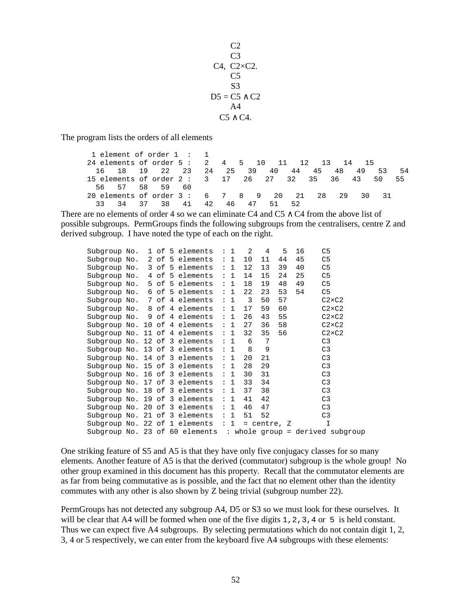$C<sub>2</sub>$  $C<sub>3</sub>$ C4, C2×C2.  $C<sub>5</sub>$ S3  $D5 = C5 \wedge C2$  $A<sub>4</sub>$ C5 ∧ C4.

The program lists the orders of all elements

1 element of order 1 : 1<br>4 elements of order 5 : 2 24 elements of order 5 : 2 4 5 10 11 12 13 14 15 16 18 19 22 23 24 25 39 40 44 45 48 49 53 54 15 elements of order 2 : 3 17 26 27 32 35 36 43 50 55 56 57 58 59 60 20 elements of order 3 : 6 7 8 9 20 21 28 29 30 31 33 34 37 38 41 42 46 47 51 52

There are no elements of order 4 so we can eliminate C4 and C5  $\land$  C4 from the above list of possible subgroups. PermGroups finds the following subgroups from the centralisers, centre Z and derived subgroup. I have noted the type of each on the right.

| Subgroup No. |  |  | $1$ of 5 elements : 1                  |     | 2  | 4               | 5  | 16 | C5                                                              |
|--------------|--|--|----------------------------------------|-----|----|-----------------|----|----|-----------------------------------------------------------------|
|              |  |  | Subgroup No. $2$ of 5 elements : 1     |     | 10 | 11              | 44 | 45 | C5                                                              |
|              |  |  | Subgroup No. $3$ of 5 elements : 1     |     | 12 | 13              | 39 | 40 | C <sub>5</sub>                                                  |
|              |  |  | Subgroup No. $4$ of 5 elements : 1     |     | 14 | 15              | 24 | 25 | C5                                                              |
|              |  |  | Subgroup No. 5 of 5 elements           | : 1 | 18 | 19              | 48 | 49 | C5                                                              |
|              |  |  | Subgroup No. $6$ of 5 elements : 1     |     | 22 | 23              | 53 | 54 | C5                                                              |
|              |  |  | Subgroup No. $7$ of 4 elements $: 1$ 3 |     |    | 50              | 57 |    | $C2\times C2$                                                   |
|              |  |  | Subgroup No. 8 of 4 elements           | : 1 | 17 | 59              | 60 |    | $C2\times C2$                                                   |
|              |  |  | Subgroup No. $9$ of 4 elements : 1     |     | 26 | 43              | 55 |    | $C2\times C2$                                                   |
|              |  |  | Subgroup No. 10 of 4 elements : $1$    |     | 27 | 36              | 58 |    | $C2\times C2$                                                   |
|              |  |  | Subgroup No. 11 of 4 elements : $1$    |     | 32 | 35              | 56 |    | $C2\times C2$                                                   |
|              |  |  | Subgroup No. 12 of 3 elements : $1$    |     | 6  | 7               |    |    | C3                                                              |
|              |  |  | Subgroup No. 13 of 3 elements : $1$    |     | 8  | 9               |    |    | C <sub>3</sub>                                                  |
|              |  |  | Subgroup No. 14 of 3 elements $: 1$    |     | 20 | 21              |    |    | C <sub>3</sub>                                                  |
|              |  |  | Subgroup No. 15 of 3 elements : $1$    |     | 28 | 29              |    |    | C <sub>3</sub>                                                  |
|              |  |  | Subgroup No. 16 of 3 elements : $1$    |     | 30 | 31              |    |    | C <sub>3</sub>                                                  |
|              |  |  | Subgroup No. 17 of 3 elements : $1$    |     | 33 | 34              |    |    | C <sub>3</sub>                                                  |
|              |  |  | Subgroup No. 18 of 3 elements : $1$    |     | 37 | 38              |    |    | C <sub>3</sub>                                                  |
|              |  |  | Subgroup No. 19 of 3 elements : $1$    |     | 41 | 42              |    |    | C <sub>3</sub>                                                  |
|              |  |  | Subgroup No. 20 of 3 elements : $1$    |     | 46 | 47              |    |    | C <sub>3</sub>                                                  |
|              |  |  | Subgroup No. 21 of 3 elements $: 1$    |     | 51 | 52              |    |    | C <sub>3</sub>                                                  |
|              |  |  | Subgroup No. 22 of 1 elements $: 1$    |     |    | $=$ centre, $Z$ |    |    | I                                                               |
|              |  |  |                                        |     |    |                 |    |    | Subgroup No. 23 of 60 elements : whole group = derived subgroup |

One striking feature of S5 and A5 is that they have only five conjugacy classes for so many elements. Another feature of A5 is that the derived (commutator) subgroup is the whole group! No other group examined in this document has this property. Recall that the commutator elements are as far from being commutative as is possible, and the fact that no element other than the identity commutes with any other is also shown by Z being trivial (subgroup number 22).

PermGroups has not detected any subgroup A4, D5 or S3 so we must look for these ourselves. It will be clear that A4 will be formed when one of the five digits 1, 2, 3, 4 or 5 is held constant. Thus we can expect five A4 subgroups. By selecting permutations which do not contain digit 1, 2, 3, 4 or 5 respectively, we can enter from the keyboard five A4 subgroups with these elements: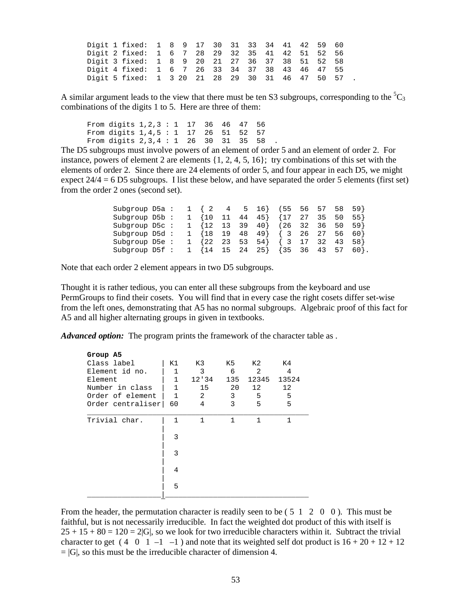|  | Digit 1 fixed: 1 8 9 17 30 31 33 34 41 42 59 60   |  |  |  |  |  |  |  |
|--|---------------------------------------------------|--|--|--|--|--|--|--|
|  | Digit 2 fixed: 1 6 7 28 29 32 35 41 42 51 52 56   |  |  |  |  |  |  |  |
|  | Digit 3 fixed: 1 8 9 20 21 27 36 37 38 51 52 58   |  |  |  |  |  |  |  |
|  | Digit 4 fixed: 1 6 7 26 33 34 37 38 43 46 47 55   |  |  |  |  |  |  |  |
|  | Digit 5 fixed: 1 3 20 21 28 29 30 31 46 47 50 57. |  |  |  |  |  |  |  |

A similar argument leads to the view that there must be ten S3 subgroups, corresponding to the  ${}^{5}C_{3}$ combinations of the digits 1 to 5. Here are three of them:

From digits 1,2,3 : 1 17 36 46 47 56 From digits 1,4,5 : 1 17 26 51 52 57 From digits 2, 3, 4 : 1 26 30 31 35 58

The D5 subgroups must involve powers of an element of order 5 and an element of order 2. For instance, powers of element 2 are elements  $\{1, 2, 4, 5, 16\}$ ; try combinations of this set with the elements of order 2. Since there are 24 elements of order 5, and four appear in each D5, we might expect  $24/4 = 6$  D5 subgroups. I list these below, and have separated the order 5 elements (first set) from the order 2 ones (second set).

| Subgroup D5a: $1 \{2 \ 4 \ 5 \ 16\}$ (55 56 57 58 59}               |  |  |  |  |  |      |
|---------------------------------------------------------------------|--|--|--|--|--|------|
| Subgroup D5b: $1 \{10$ 11 44 45} $\{17$ 27 35 50                    |  |  |  |  |  | 55 } |
| Subgroup D5c: $1 \{12 \ 13 \ 39 \ 40\}$ (26 32 36 50 59)            |  |  |  |  |  |      |
| Subgroup D5d: $1 \{18 \ 19 \ 48 \ 49\}$ $\{3 \ 26 \ 27 \ 56 \ 60\}$ |  |  |  |  |  |      |
| Subgroup D5e: $1 \{22 \ 23 \ 53 \ 54\}$ $\{3 \ 17 \ 32 \ 43 \ 58\}$ |  |  |  |  |  |      |
| Subgroup D5f : 1 {14 15 24 25} {35 36 43 57                         |  |  |  |  |  | 60}. |

Note that each order 2 element appears in two D5 subgroups.

Thought it is rather tedious, you can enter all these subgroups from the keyboard and use PermGroups to find their cosets. You will find that in every case the right cosets differ set-wise from the left ones, demonstrating that A5 has no normal subgroups. Algebraic proof of this fact for A5 and all higher alternating groups in given in textbooks.

*Advanced option:* The program prints the framework of the character table as .

| Group A5          |              |       |     |       |       |
|-------------------|--------------|-------|-----|-------|-------|
| Class label       | K1           | K3 .  | K5  | K2    | K4    |
| Element id no.    | 1            | 3     | 6   | 2     | 4     |
| Element           | 1            | 12'34 | 135 | 12345 | 13524 |
| Number in class   | $\mathbf{1}$ | 15    | 20  | 12    | 12    |
| Order of element  | $\mathbf{1}$ | 2     | 3   | 5     | 5     |
| Order centraliser | 60           | 4     | 3   | 5     | 5     |
| Trivial char.     | 1            | 1     | 1   | 1     | 1     |
|                   | 3            |       |     |       |       |
|                   | 3            |       |     |       |       |
|                   | 4            |       |     |       |       |
|                   | 5            |       |     |       |       |
|                   |              |       |     |       |       |

From the header, the permutation character is readily seen to be (5 1 2 0 0). This must be faithful, but is not necessarily irreducible. In fact the weighted dot product of this with itself is  $25 + 15 + 80 = 120 = 2|G|$ , so we look for two irreducible characters within it. Subtract the trivial character to get  $(4 \ 0 \ 1 \ -1 \ -1)$  and note that its weighted self dot product is  $16 + 20 + 12 + 12$  $= |G|$ , so this must be the irreducible character of dimension 4.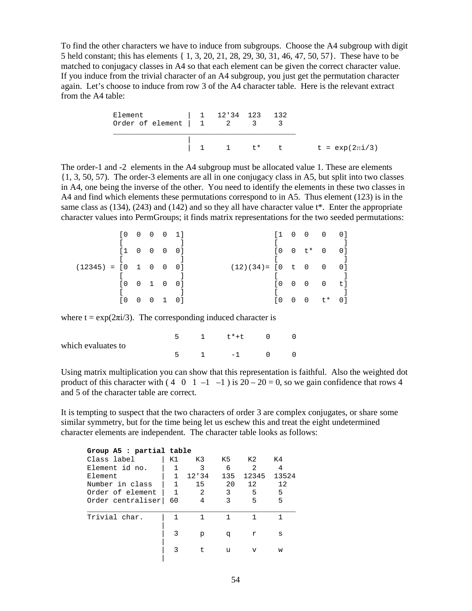To find the other characters we have to induce from subgroups. Choose the A4 subgroup with digit 5 held constant; this has elements { 1, 3, 20, 21, 28, 29, 30, 31, 46, 47, 50, 57}. These have to be matched to conjugacy classes in A4 so that each element can be given the correct character value. If you induce from the trivial character of an A4 subgroup, you just get the permutation character again. Let's choose to induce from row 3 of the A4 character table. Here is the relevant extract from the A4 table:

| Element 1 12'34 123 132<br>Order of element $\begin{vmatrix} 1 & 2 & 3 \end{vmatrix}$ |  |  |                                 |
|---------------------------------------------------------------------------------------|--|--|---------------------------------|
|                                                                                       |  |  | 1 1 $t^*$ t t = $exp(2\pi i/3)$ |

The order-1 and -2 elements in the A4 subgroup must be allocated value 1. These are elements {1, 3, 50, 57). The order-3 elements are all in one conjugacy class in A5, but split into two classes in A4, one being the inverse of the other. You need to identify the elements in these two classes in A4 and find which elements these permutations correspond to in A5. Thus element (123) is in the same class as  $(134)$ ,  $(243)$  and  $(142)$  and so they all have character value t\*. Enter the appropriate character values into PermGroups; it finds matrix representations for the two seeded permutations:

|                                 |                       | $[0 \ 0 \ 0 \ 0 \ 1]$ |  |                                 |        | $[1 \ 0 \ 0 \ 0 \ 0]$     |  |
|---------------------------------|-----------------------|-----------------------|--|---------------------------------|--------|---------------------------|--|
|                                 |                       |                       |  |                                 |        |                           |  |
|                                 | $[1 \ 0 \ 0 \ 0 \ 0]$ |                       |  |                                 |        | $[0 \t 0 \t + \t 0 \t 0]$ |  |
|                                 |                       |                       |  |                                 |        |                           |  |
| $(12345) = [0 \ 1 \ 0 \ 0 \ 0]$ |                       |                       |  | $(12)(34) = [0 \t 0 \t 0 \t 0]$ |        |                           |  |
|                                 |                       |                       |  |                                 |        |                           |  |
|                                 | $[0 \ 0 \ 1 \ 0 \ 0]$ |                       |  |                                 |        | $[0 \ 0 \ 0 \ 0 \ t]$     |  |
|                                 |                       |                       |  |                                 |        |                           |  |
|                                 | I 0                   | 0 0 1 0 1             |  | I O                             | $\Box$ | 0 t* 01                   |  |

where  $t = \exp(2\pi i/3)$ . The corresponding induced character is

| which evaluates to |  | 1 t*+t 0 |  |
|--------------------|--|----------|--|
|                    |  | $-1$ 0   |  |

Using matrix multiplication you can show that this representation is faithful. Also the weighted dot product of this character with  $(4 \ 0 \ 1 \ -1 \ -1)$  is  $20 - 20 = 0$ , so we gain confidence that rows 4 and 5 of the character table are correct.

It is tempting to suspect that the two characters of order 3 are complex conjugates, or share some similar symmetry, but for the time being let us eschew this and treat the eight undetermined character elements are independent. The character table looks as follows:

| Group A5 : partial table |    |       |     |                |       |  |
|--------------------------|----|-------|-----|----------------|-------|--|
| Class label              | K1 | K3    | K 5 | K 2            | K4    |  |
| Element id no.           |    | 3     | 6   | $\mathfrak{D}$ | 4     |  |
| Element                  | 1  | 12'34 | 135 | 12345          | 13524 |  |
| Number in class          | 1  | 15    | 20  | 12             | 12    |  |
| Order of element         | 1  | 2     | 3   | 5              | 5     |  |
| Order centraliser        | 60 | 4     | ζ   | 5              | 5     |  |
| Trivial char.            |    |       |     |                |       |  |
|                          | 3  | р     | q   | r              | S     |  |
|                          | 3  | t.    | u   | $\overline{V}$ | w     |  |
|                          |    |       |     |                |       |  |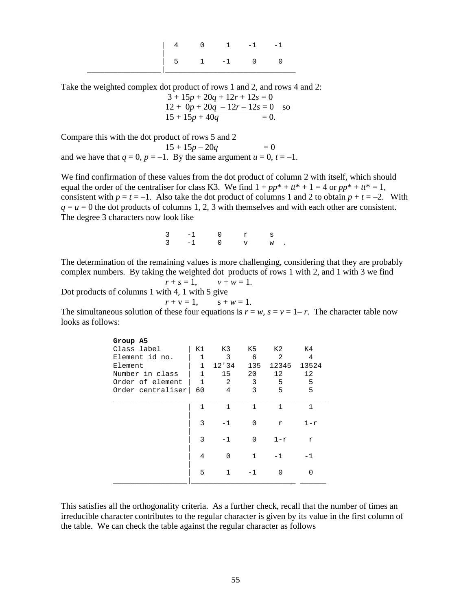|  | $4 \qquad 0 \qquad 1 \qquad -1$ |  |  |
|--|---------------------------------|--|--|
|  | $5 \t 1 \t -1 \t 0 \t 0$        |  |  |

Take the weighted complex dot product of rows 1 and 2, and rows 4 and 2:

 $3 + 15p + 20q + 12r + 12s = 0$  $12 + 0p + 20q - 12r - 12s = 0$  so  $15 + 15p + 40q = 0.$ 

|  | $15 + 15p + 15q$ |  | $\sim$ |
|--|------------------|--|--------|
|  |                  |  |        |
|  |                  |  |        |

Compare this with the dot product of rows 5 and 2  $15 + 15p - 20q = 0$ 

and we have that  $q = 0$ ,  $p = -1$ . By the same argument  $u = 0$ ,  $t = -1$ .

We find confirmation of these values from the dot product of column 2 with itself, which should equal the order of the centraliser for class K3. We find  $1 + pp^* + tt^* + 1 = 4$  or  $pp^* + tt^* = 1$ , consistent with  $p = t = -1$ . Also take the dot product of columns 1 and 2 to obtain  $p + t = -2$ . With  $q = u = 0$  the dot products of columns 1, 2, 3 with themselves and with each other are consistent. The degree 3 characters now look like

 3 -1 0 r s  $3 -1 0$  v w.

The determination of the remaining values is more challenging, considering that they are probably complex numbers. By taking the weighted dot products of rows 1 with 2, and 1 with 3 we find

$$
r+s=1, \qquad v+w=1.
$$

Dot products of columns 1 with 4, 1 with 5 give

$$
r + v = 1
$$
,  $s + w = 1$ .

The simultaneous solution of these four equations is  $r = w$ ,  $s = v = 1 - r$ . The character table now looks as follows:

| Group A5          |              |       |              |                   |       |
|-------------------|--------------|-------|--------------|-------------------|-------|
| Class label       | K1           | K3    | K5           | K2                | K4    |
| Element id no.    |              | 3     | 6            | 2                 | 4     |
| Element           | $\mathbf{1}$ | 12'34 | 135          | 12345             | 13524 |
| Number in class   | 1            | 15    | 20           | $12 \overline{ }$ | 12    |
| Order of element  | $\mathbf{1}$ | 2     | 3            | 5                 | 5     |
| Order centraliser | 60           | 4     | 3            | 5                 | 5     |
|                   |              |       |              |                   |       |
|                   | 1            | 1     | $\mathbf{1}$ | 1                 | 1     |
|                   |              |       |              |                   |       |
|                   | 3            | $-1$  | <sup>n</sup> | r                 | $1-r$ |
|                   |              |       |              |                   |       |
|                   | 3            | $-1$  | <sup>n</sup> | $1-r$             | r     |
|                   |              |       |              |                   |       |
|                   | 4            | U     | $\mathbf{1}$ | -1                | - 1   |
|                   |              |       |              |                   |       |
|                   | 5            |       | - 1          |                   |       |
|                   |              |       |              |                   |       |

This satisfies all the orthogonality criteria. As a further check, recall that the number of times an irreducible character contributes to the regular character is given by its value in the first column of the table. We can check the table against the regular character as follows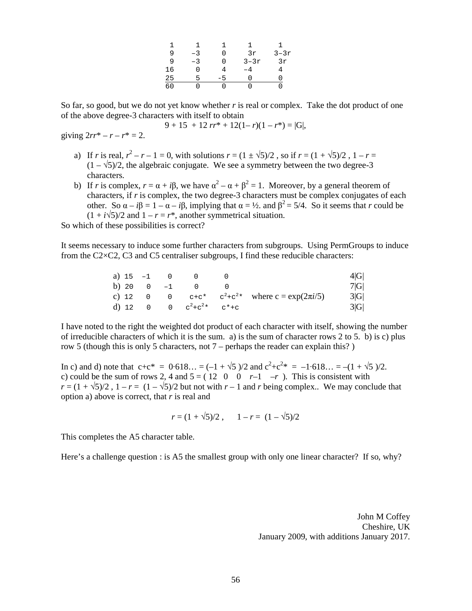|      |                  |                | 1 1 1      |               |
|------|------------------|----------------|------------|---------------|
| 9    | $-3$             |                |            | 0 $3r$ $3-3r$ |
| q    | $-3$             |                | 0 $3 - 3r$ | 3r            |
|      | 16 -<br>$\Omega$ | 4              | $-4$       |               |
| 25   | 5                | $-5$           | 0          |               |
| 50 L | $\cap$           | $\overline{0}$ |            |               |

So far, so good, but we do not yet know whether *r* is real or complex. Take the dot product of one of the above degree-3 characters with itself to obtain

$$
9 + 15 + 12 \, rr^* + 12(1 - r)(1 - r^*) = |G|,
$$

giving  $2rr^{*} - r - r^{*} = 2$ .

- a) If *r* is real,  $r^2 r 1 = 0$ , with solutions  $r = (1 \pm \sqrt{5})/2$ , so if  $r = (1 + \sqrt{5})/2$ ,  $1 r =$  $(1 - \sqrt{5})/2$ , the algebraic conjugate. We see a symmetry between the two degree-3 characters.
- b) If *r* is complex,  $r = \alpha + i\beta$ , we have  $\alpha^2 \alpha + \beta^2 = 1$ . Moreover, by a general theorem of characters, if *r* is complex, the two degree-3 characters must be complex conjugates of each other. So  $\alpha - i\beta = 1 - \alpha - i\beta$ , implying that  $\alpha = \frac{1}{2}$  and  $\beta^2 = \frac{5}{4}$ . So it seems that *r* could be  $(1 + i\sqrt{5})/2$  and  $1 - r = r^*$ , another symmetrical situation.

So which of these possibilities is correct?

It seems necessary to induce some further characters from subgroups. Using PermGroups to induce from the C2 $\times$ C2, C3 and C5 centraliser subgroups, I find these reducible characters:

| a) $15 - 1$ |              |                       |          |                                              | 4 G |
|-------------|--------------|-----------------------|----------|----------------------------------------------|-----|
|             | b) 20 0 $-1$ | $\cup$                |          |                                              | 7 G |
|             | $C)$ 12 0 0  |                       |          | $c+c^*$ $c^2+c^2$ where $c = \exp(2\pi i/5)$ | 3 G |
|             |              | d) 12 0 0 $c^2 + c^2$ | $C^*$ +C |                                              | 3 G |

I have noted to the right the weighted dot product of each character with itself, showing the number of irreducible characters of which it is the sum. a) is the sum of character rows 2 to 5. b) is c) plus row 5 (though this is only 5 characters, not 7 – perhaps the reader can explain this? )

In c) and d) note that  $c+c^* = 0.618... = (-1 + \sqrt{5})/2$  and  $c^2+c^{2*} = -1.618... = -(1 + \sqrt{5})/2$ . c) could be the sum of rows 2, 4 and  $5 = (12 \ 0 \ 0 \ r-1 \ -r)$ . This is consistent with  $r = (1 + \sqrt{5})/2$ ,  $1 - r = (1 - \sqrt{5})/2$  but not with  $r - 1$  and *r* being complex.. We may conclude that option a) above is correct, that *r* is real and

$$
r = (1 + \sqrt{5})/2
$$
,  $1 - r = (1 - \sqrt{5})/2$ 

This completes the A5 character table.

Here's a challenge question : is A5 the smallest group with only one linear character? If so, why?

John M Coffey Cheshire, UK January 2009, with additions January 2017.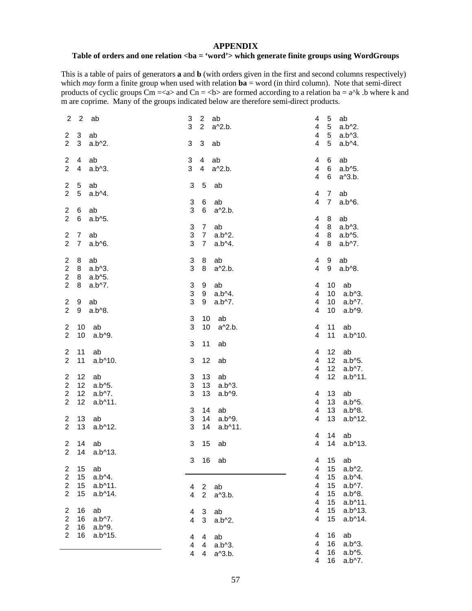#### **APPENDIX**

#### Table of orders and one relation <br />ba = 'word'> which generate finite groups using WordGroups

This is a table of pairs of generators **a** and **b** (with orders given in the first and second columns respectively) which *may* form a finite group when used with relation  $\mathbf{ba} =$  word (in third column). Note that semi-direct products of cyclic groups  $\text{Cm} = \langle a \rangle$  and  $\text{Cn} = \langle b \rangle$  are formed according to a relation ba = a<sup> $\land$ </sup>k .b where k and m are coprime. Many of the groups indicated below are therefore semi-direct products.

| $\overline{2}$                   | $\sqrt{2}$       | ab                    | 3 | $\overline{2}$ |                 | ab                  | 4                   | 5                | ab                             |
|----------------------------------|------------------|-----------------------|---|----------------|-----------------|---------------------|---------------------|------------------|--------------------------------|
|                                  |                  |                       | 3 |                | $\overline{2}$  | a^2.b.              | 4                   | 5 <sub>5</sub>   | $a.b^2.$                       |
| $\overline{2}$                   | 3                | ab                    |   |                |                 |                     | 4                   | 5 <sup>5</sup>   | $a.b^3$ .                      |
| $\overline{2}$                   | 3                | $a.b^2$ .             | 3 |                | 3               | ab                  | 4                   | 5                | a.b^4.                         |
| $\overline{a}$                   | 4                | ab                    | 3 |                | $\overline{4}$  | ab                  | $\overline{4}$      | 6                | ab                             |
| $\overline{2}$                   | 4                | $a.b^3$ .             | 3 |                | $\overline{4}$  | a^2.b.              | $\overline{4}$      | 6 <sup>1</sup>   | a.b^5.                         |
|                                  |                  |                       |   |                |                 |                     | 4                   | 6                | a <sup><math>3.b.</math></sup> |
| $\overline{a}$                   | 5                | ab                    | 3 |                | 5               | ab                  |                     |                  |                                |
| $\overline{2}$                   | 5                | $a.b^A$ .             |   |                |                 |                     | 4                   | $\overline{7}$   | ab                             |
|                                  |                  |                       |   | 3              | 6               | ab                  | $\overline{4}$      | 7 <sup>1</sup>   | a.b^6.                         |
| $\overline{2}$                   |                  |                       |   | 3              | 6               |                     |                     |                  |                                |
| $\overline{2}$                   | 6                | ab                    |   |                |                 | a <sup>^2.b.</sup>  |                     |                  |                                |
|                                  | 6                | a.b^5.                |   |                |                 |                     | 4                   | 8                | ab                             |
|                                  |                  |                       |   | 3              | $7\overline{ }$ | ab                  | 4                   | 8                | $a.b^3$ .                      |
| $\overline{2}$                   | $\overline{7}$   | ab                    |   | 3              | $7\overline{ }$ | $a.b^2$ .           | 4                   | 8                | a.b^5.                         |
| $\overline{2}$                   | $\overline{7}$   | $a.b^06.$             |   | 3              | $7^{\circ}$     | $a.b^A$ .           | 4                   | 8                | a.b^7.                         |
| $\overline{2}$                   |                  | 8 ab                  |   | 3              | 8               | ab                  | 4                   | 9                | ab                             |
| $\overline{a}$                   |                  |                       |   | 3              |                 |                     | 4                   | 9                |                                |
|                                  |                  | 8 a.b <sup>1</sup> 3. |   |                | 8               | a^2.b.              |                     |                  | a.b^8.                         |
| $\overline{a}$                   | 8                | a.b^5.                |   |                |                 |                     |                     |                  |                                |
| $\overline{2}$                   | 8                | $a.b^{\wedge}7.$      |   | 3              | 9               | ab                  | 4                   | 10               | ab                             |
|                                  |                  |                       |   | 3              | 9               | $a.b^A$ .           | 4                   | 10 <sup>1</sup>  | a.b^3.                         |
| $\overline{a}$                   | 9                | ab                    |   | 3              | 9               | $a.b^{\wedge}7.$    | $\overline{4}$      | 10               | $a.b^{\wedge}7.$               |
| $\overline{2}$                   | 9                | $a.b^0.8$ .           |   |                |                 |                     | 4                   | 10               | a.b^9.                         |
|                                  |                  |                       |   | 3              | 10              | ab                  |                     |                  |                                |
| $\overline{2}$                   | 10               | ab                    |   | 3              | 10              | a <sup>^2</sup> .b. | 4                   | 11               | ab                             |
| $\overline{2}$                   | 10               | a.b^9.                |   |                |                 |                     | 4                   | 11               | a.b^10.                        |
|                                  |                  |                       | 3 |                | 11              | ab                  |                     |                  |                                |
| $\overline{2}$                   | 11               | ab                    |   |                |                 |                     | 4                   | 12 <sub>2</sub>  | ab                             |
| $\overline{2}$                   | 11               | a.b^10.               | 3 |                | 12              | ab                  | 4                   | 12               | $a.b^05.$                      |
|                                  |                  |                       |   |                |                 |                     | $\overline{4}$      | 12 <sup>°</sup>  | $a.b^{\wedge}7.$               |
| $\overline{2}$                   | 12 <sup>7</sup>  | ab                    |   | 3              | 13              | ab                  | 4                   | 12               | $a.b^{\wedge}11.$              |
| $\overline{a}$                   | 12 <sup>7</sup>  | $a.b^{\wedge}5.$      |   | 3              | 13 <sup>°</sup> | $a.b^3$ .           |                     |                  |                                |
| $\mathbf{2}$                     | 12 <sup>°</sup>  | $a.b^7$ .             |   | 3              | 13              | $a.b^{0}.$          | 4                   | 13               | ab                             |
| $\overline{2}$                   | 12               | a.b^11.               |   |                |                 |                     | 4                   | 13 <sup>°</sup>  | $a.b^05.$                      |
|                                  |                  |                       |   | 3              | 14              | ab                  | 4                   | 13               | $a.b^0.8$ .                    |
| $\overline{2}$                   | 13 <sup>7</sup>  | ab                    |   | 3              | 14              | a.b^9.              | 4                   | 13               | a.b^12.                        |
| $\overline{2}$                   | 13               | $a.b^{\wedge}12.$     |   | 3              | 14              | a.b^11.             |                     |                  |                                |
|                                  |                  |                       |   |                |                 |                     |                     |                  |                                |
|                                  | 14               |                       |   |                |                 |                     | 4<br>$\overline{4}$ | 14               | ab                             |
| $\overline{2}$<br>$\overline{2}$ |                  | ab                    |   | 3              | 15              | ab                  |                     | 14               | $a.b^13.$                      |
|                                  | 14               | a.b^13.               |   |                |                 |                     |                     |                  |                                |
|                                  |                  |                       |   |                |                 | 3 16 ab             |                     |                  | 4 15 ab                        |
| $\mathbf{2}$                     | 15               | ab                    |   |                |                 |                     | 4                   | 15               | $a.b^2.$                       |
| $\overline{2}$                   | 15               | $a.b^4$ .             |   |                |                 |                     | 4                   | 15               | a.b^4.                         |
| $\overline{2}$                   | 15 <sub>15</sub> | $a.b^{\wedge}11.$     |   | 4              | $\overline{2}$  | ab                  | 4                   | 15 <sub>15</sub> | $a.b^{\wedge}7.$               |
| $\overline{2}$                   | 15               | a.b^14.               |   | $\overline{4}$ | $\overline{2}$  | a^3.b.              | $\overline{4}$      | 15               | $a.b^0.8$ .                    |
|                                  |                  |                       |   |                |                 |                     | 4                   |                  | 15 a.b^11.                     |
| $\overline{2}$                   | 16               | ab                    |   | 4              | 3               | ab                  | 4                   | 15               | $a.b^{\wedge}13.$              |
| $\overline{2}$                   | 16               | $a.b^{\wedge}7.$      |   | $\overline{4}$ | 3               | $a.b^2.$            | 4                   | 15               | a.b^14.                        |
| $\overline{2}$                   | 16               | a.b^9.                |   |                |                 |                     |                     |                  |                                |
| $\overline{2}$                   | 16               | a.b^15.               |   | 4              | 4               | ab                  | 4                   | 16               | ab                             |
|                                  |                  |                       |   | $\overline{4}$ | $\overline{4}$  | $a.b^3$ .           | $\overline{4}$      |                  | 16 a.b^3.                      |
|                                  |                  |                       |   | 4              | 4               | a^3.b.              | 4                   | 16               | $a.b^05.$                      |
|                                  |                  |                       |   |                |                 |                     | 4                   | 16               | $a.b^{\wedge}7.$               |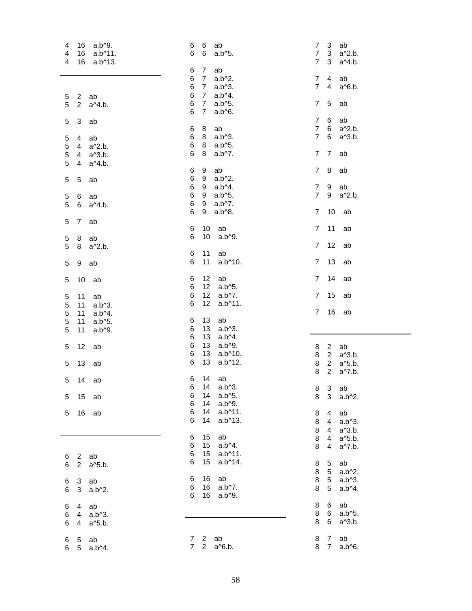| a.b^9.<br>16<br>4                                  | 6<br>ab<br>6                                         | 7 <sup>3</sup><br>ab                                    |
|----------------------------------------------------|------------------------------------------------------|---------------------------------------------------------|
| 16 a.b^11.<br>4                                    | 6<br>6<br>a.b^5.                                     | 3 <sup>7</sup><br>7 <sup>7</sup><br>a <sup>^2</sup> .b. |
| 16 a.b^13.<br>4                                    |                                                      | 7 <sup>1</sup><br>$\mathbf{3}$                          |
|                                                    |                                                      | a <sup><math>4.b</math></sup> .                         |
|                                                    | $\overline{7}$<br>ab<br>6                            |                                                         |
|                                                    | 6<br>$\overline{7}$<br>$a.b^2.$                      | 7 <sup>7</sup><br>$\overline{4}$<br>ab                  |
|                                                    | 6<br>$\overline{7}$<br>$a.b^3$ .                     | $7^{\circ}$<br>$\overline{4}$<br>a <sup>^6</sup> .b.    |
| $\overline{2}$<br>ab<br>5                          | 6<br>$7^{\circ}$<br>$a.b^A$ .                        |                                                         |
|                                                    | 6<br>$7^{\circ}$<br>$a.b^05.$                        | 7 <sup>7</sup><br>5<br>ab                               |
| 5<br>$2^{\circ}$<br>a <sup><math>4.</math>b.</sup> |                                                      |                                                         |
|                                                    | 6<br>$\overline{7}$<br>a.b^6.                        |                                                         |
| 3<br>5<br>ab                                       |                                                      | $\overline{7}$<br>6<br>ab                               |
|                                                    | 8<br>ab<br>6                                         | 7 6<br>a <sup>2.b.</sup>                                |
| $\overline{4}$<br>ab<br>5                          | 6<br>8<br>$a.b^3$ .                                  | 7 6<br>a^3.b.                                           |
|                                                    | 6<br>8<br>$a.b^05.$                                  |                                                         |
| 5<br>4 a <sup>^2</sup> .b.                         |                                                      |                                                         |
| 5<br>4 a <sup><math>3.b</math></sup> .             | 6<br>8<br>a.b^7.                                     | 7 7<br>ab                                               |
| 5<br>4 a <sup><math>4</math></sup> .b.             |                                                      |                                                         |
|                                                    | ab<br>6<br>9                                         | 78<br>ab                                                |
| 5<br>$\overline{5}$<br>ab                          | 9<br>6<br>$a.b^2$ .                                  |                                                         |
|                                                    | 6 <sup>1</sup><br>9<br>$a.b^4.$                      | 7 <sup>7</sup><br>9<br>ab                               |
|                                                    |                                                      |                                                         |
| 5<br>6 ab                                          | 9<br>$a.b^05.$<br>6                                  | 7 9<br>a <sup>^2</sup> .b.                              |
| 5<br>a <sup><math>4.</math>b.</sup><br>6           | 9<br>6<br>$a.b^7.$                                   |                                                         |
|                                                    | 6<br>9<br>a.b^8.                                     | 7 10 ab                                                 |
| 5<br>$\overline{7}$<br>ab                          |                                                      |                                                         |
|                                                    | 6<br>10<br>ab                                        | 11<br>$\overline{7}$<br>ab                              |
|                                                    |                                                      |                                                         |
| 5<br>8<br>ab                                       | 10<br>6<br>a.b^9.                                    |                                                         |
| 5<br>8 a <sup><math>\lambda</math></sup> 2.b.      |                                                      | 12<br>$\overline{7}$<br>ab                              |
|                                                    | 11<br>6<br>ab                                        |                                                         |
| 5<br>9<br>ab                                       | 6<br>11<br>a.b^10.                                   | $\overline{7}$<br>13<br>ab                              |
|                                                    |                                                      |                                                         |
|                                                    |                                                      |                                                         |
| 10<br>5<br>ab                                      | 12 <sup>2</sup><br>ab<br>6                           | 14<br>$7^{\circ}$<br>ab                                 |
|                                                    | 12 <sup>2</sup><br>a.b^5.<br>6                       |                                                         |
|                                                    | 12 <sup>7</sup><br>6<br>$a.b^7.$                     | 15<br>$\overline{7}$<br>ab                              |
|                                                    |                                                      |                                                         |
| 5<br>11<br>ab                                      |                                                      |                                                         |
| 5<br>11<br>$a.b^3$ .                               | 12 <sup>7</sup><br>6<br>a.b^11.                      |                                                         |
| 5<br>11<br>$a.b^4$ .                               |                                                      | $16$ ab<br>$7^{\circ}$                                  |
| 11                                                 | 6<br>13<br>ab                                        |                                                         |
| 5<br>a.b^5.                                        |                                                      |                                                         |
| 5<br>11<br>a.b^9.                                  | 6<br>13<br>$a.b^3$ .                                 |                                                         |
|                                                    | 6<br>13<br>$a.b^A$ .                                 |                                                         |
| 5<br>12<br>ab                                      | 6<br>13<br>$a.b^{0}.$                                | $2^{\circ}$<br>ab<br>8                                  |
|                                                    | 6<br>13 <sup>°</sup><br>a.b^10.                      | 8 2 a <sup><math>3.b.</math></sup>                      |
| 5                                                  | 6<br>13<br>$a.b^{\wedge}12.$                         |                                                         |
| 13<br>ab                                           |                                                      | 8 2 a <sup>1</sup> 5.b.                                 |
|                                                    |                                                      | 2 a <sup><math>\sqrt{7}</math></sup> .b.<br>8           |
| 5<br>14<br>ab                                      | 14 ab<br>6                                           |                                                         |
|                                                    | 6 14 a.b^3.                                          | 8 3<br>ab                                               |
| 15<br>5<br>ab                                      | 14<br>a.b^5.<br>6                                    | $\mathbf{3}$<br>8<br>$a.b^2.$                           |
|                                                    | 14<br>$a.b^{0}.$<br>6                                |                                                         |
|                                                    | 6<br>14<br>$a.b^{\wedge}11.$                         |                                                         |
| 16<br>5<br>ab                                      |                                                      | ab<br>8<br>4                                            |
|                                                    | 6<br>14<br>a.b^13.                                   | 8<br>$a.b^3$ .<br>$\overline{4}$                        |
|                                                    |                                                      | 8<br>a <sup><math>3.b.</math></sup><br>$\overline{4}$   |
|                                                    | 15<br>ab<br>6                                        | 8<br>a <sup>o</sup> 5.b.<br>$\overline{4}$              |
|                                                    | $a.b^4$ .<br>6<br>15                                 | $\overline{4}$                                          |
|                                                    |                                                      | 8<br>a^7.b.                                             |
| 2 ab<br>6                                          | 15<br>6<br>$a.b^{\wedge}11.$                         |                                                         |
| 2 a <sup>1</sup> 5.b.<br>6                         | 15<br>6<br>a.b^14.                                   | ab<br>8<br>5                                            |
|                                                    |                                                      | 5 <sup>5</sup><br>8<br>$a.b^2$ .                        |
|                                                    | 16<br>ab<br>6                                        | 8<br>5 <sup>5</sup><br>$a.b^3$ .                        |
| 3 ab<br>6                                          | 16<br>$a.b^{\wedge}7.$<br>6                          | 8<br>5                                                  |
| 6<br>$3$ a.b <sup><math>2</math></sup> .           |                                                      | $a.b^A$ .                                               |
|                                                    | 6<br>16<br>a.b^9.                                    |                                                         |
| 6<br>4 ab                                          |                                                      | 8<br>6<br>ab                                            |
| $4$ a.b^3.<br>6                                    |                                                      | $6\overline{6}$<br>8<br>a.b^5.                          |
| 6                                                  |                                                      | 8<br>6<br>a^3.b.                                        |
| 4 a <sup><math>5</math></sup> .b.                  |                                                      |                                                         |
|                                                    |                                                      |                                                         |
| 5 ab<br>6<br>5 a.b^4.<br>6                         | ab<br>7 2<br>$2^{\circ}$<br>7 <sup>7</sup><br>a^6.b. | 8 7<br>ab<br>8 7<br>a.b^6.                              |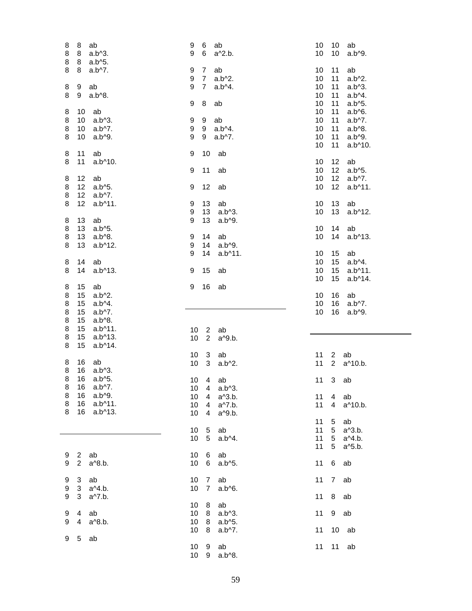| 8<br>8<br>ab<br>8<br>8<br>$a.b^3$ .<br>8<br>8<br>a.b^5. | 9<br>6<br>ab<br>6<br>9<br>a^2.b.            | ab<br>10<br>10<br>10<br>10<br>a.b^9.                   |
|---------------------------------------------------------|---------------------------------------------|--------------------------------------------------------|
| 8<br>$a.b^{\wedge}7.$<br>8                              | ab<br>9<br>$\overline{7}$                   | 10<br>11<br>ab                                         |
|                                                         | 9<br>$7\overline{ }$<br>$a.b^2$ .           | 11<br>10<br>$a.b^2.$                                   |
| 8<br>9<br>ab                                            | 9<br>$\overline{7}$<br>a.b^4.               | 10<br>11<br>$a.b^3$ .                                  |
| 8<br>9<br>a.b^8.                                        |                                             | 10<br>11<br>a.b^4.                                     |
|                                                         | 8<br>9<br>ab                                | 10<br>11<br>a.b^5.                                     |
| ab<br>8<br>10                                           |                                             | 10<br>11<br>a.b^6.                                     |
| 8<br>10<br>$a.b^3$ .                                    | 9<br>9<br>ab                                | 10<br>11<br>$a.b^{\wedge}7.$                           |
| 8<br>10<br>$a.b^{\wedge}7.$                             | 9<br>9<br>$a.b^A.$                          | 10<br>11<br>a.b^8.                                     |
| 8<br>10<br>a.b^9.                                       | 9<br>9<br>$a.b^{\wedge}7.$                  | 10<br>11<br>a.b^9.                                     |
|                                                         |                                             | 10<br>11<br>a.b^10.                                    |
| 8<br>11<br>ab                                           | 10<br>9<br>ab                               |                                                        |
| 8<br>11<br>a.b^10.                                      |                                             | 10<br>12<br>ab                                         |
|                                                         | 9<br>11<br>ab                               | 12<br>a.b^5.<br>10                                     |
| 8<br>12<br>ab                                           |                                             | 10<br>12 <sup>°</sup><br>a.b^7.                        |
| 8<br>12 <sub>2</sub><br>$a.b^{6}.$                      | 12<br>9<br>ab                               | 10<br>12<br>a.b^11.                                    |
| 8<br>12 <sup>°</sup><br>$a.b^{\wedge}7.$                |                                             |                                                        |
| 8<br>12<br>$a.b^{\wedge}11.$                            | 13<br>9<br>ab                               | 13<br>10<br>ab                                         |
|                                                         | 9<br>13<br>$a.b^3$ .                        | 13<br>10<br>$a.b^{\wedge}12.$                          |
| 13<br>ab<br>8                                           | 13<br>9<br>a.b^9.                           |                                                        |
| 8<br>13<br>$a.b^5$ .                                    |                                             | 14<br>10<br>ab                                         |
| 8<br>13<br>$a.b^0.8$ .                                  |                                             | 10<br>14                                               |
|                                                         | 14<br>ab<br>9<br>14                         | $a.b^{\wedge}13.$                                      |
| 8<br>13<br>$a.b^{\wedge}12.$                            | 9<br>a.b^9.<br>14<br>9                      |                                                        |
|                                                         | $a.b^{\wedge}11.$                           | ab<br>10<br>15                                         |
| 8<br>14<br>ab                                           |                                             | 10<br>15<br>$a.b^4$ .                                  |
| 8<br>14<br>a.b^13.                                      | 15<br>9<br>ab                               | 10<br>15 <sub>15</sub><br>a.b^11.                      |
|                                                         |                                             | 10<br>15<br>a.b^14.                                    |
| 8<br>15<br>ab                                           | 16<br>9<br>ab                               |                                                        |
|                                                         |                                             |                                                        |
| 8<br>15<br>$a.b^2$ .                                    |                                             | 10<br>16<br>ab                                         |
| 8<br>15<br>$a.b^A$ .                                    |                                             | 10<br>16<br>$a.b^{\wedge}7.$                           |
| 8<br>15<br>a.b^7.                                       |                                             | 10<br>16<br>a.b^9.                                     |
| 8<br>15<br>$a.b^0.8$ .                                  |                                             |                                                        |
| 8<br>15<br>a.b^11.                                      | 10<br>$\overline{2}$<br>ab                  |                                                        |
| 8<br>15<br>$a.b^13.$                                    | 10<br>$\overline{2}$<br>a^9.b.              |                                                        |
| 8<br>a.b^14.<br>15                                      |                                             |                                                        |
|                                                         |                                             | 11<br>$\mathbf{2}$                                     |
| 8<br>ab<br>16                                           | 10<br>3<br>ab                               | ab<br>$\overline{2}$                                   |
| 8<br>16<br>$a.b^3$ .                                    | 10<br>3<br>$a.b^2.$                         | 11<br>a^10.b.                                          |
| 8<br>16<br>a.b^5.                                       | $\overline{4}$                              |                                                        |
| 8<br>16 a.b^7.                                          | 10<br>ab                                    | 11<br>3<br>ab                                          |
| $a.b^{0}.$<br>8<br>16                                   | 10<br>4<br>$a.b^{\wedge}3.$<br>4            |                                                        |
| 8<br>16<br>$a.b^{\wedge}11.$                            | 10<br>a <sup>1</sup> 3.b.<br>$\overline{4}$ | 11<br>4 ab<br>$\overline{4}$                           |
| 8<br>16<br>$a.b^{\wedge}13.$                            | 10<br>a^7.b.<br>4                           | 11<br>a^10.b.                                          |
|                                                         | 10<br>a <sup>o</sup> 9.b.                   |                                                        |
|                                                         |                                             | 11<br>5<br>ab                                          |
|                                                         | ab<br>10<br>$5\phantom{.0}$                 | 11<br>5<br>a^3.b.                                      |
|                                                         | 10<br>$5\overline{)}$<br>a.b^4.             | 11<br>5 <sub>5</sub><br>a <sup><math>4.b.</math></sup> |
|                                                         |                                             | 11<br>5<br>a <sup>1</sup> 5.b.                         |
| 2 ab<br>9                                               | 10<br>ab<br>6                               |                                                        |
| 9<br>$2^{\circ}$<br>a <sup>^8</sup> .b.                 | 10<br>a.b^5.<br>6                           | 11<br>6<br>ab                                          |
|                                                         |                                             |                                                        |
| 9<br>3 ab                                               | ab<br>10 <sup>°</sup><br>$\overline{7}$     | 11<br>ab<br>$\overline{7}$                             |
| 3 a <sup><math>4.b</math></sup> .<br>9                  | 10<br>$\overline{7}$<br>$a.b^6.$            |                                                        |
| 9<br>3<br>a^7.b.                                        |                                             | 11<br>8 ab                                             |
|                                                         | 10 <sup>1</sup><br>ab<br>8                  |                                                        |
| 9<br>$\overline{4}$<br>ab                               | 10<br>8<br>$a.b^3$ .                        | 9 ab<br>11                                             |
| 9<br>$\overline{4}$<br>a <sup>^8.b.</sup>               | 10<br>8<br>$a.b^05.$                        |                                                        |
|                                                         | 10<br>8<br>$a.b^{\wedge}7.$                 | $10$ ab<br>11                                          |
| 9<br>5<br>ab                                            |                                             |                                                        |
|                                                         | 10<br>ab<br>9<br>10<br>a.b^8.<br>9          | $11$ ab<br>11                                          |

 $\overline{\phantom{a}}$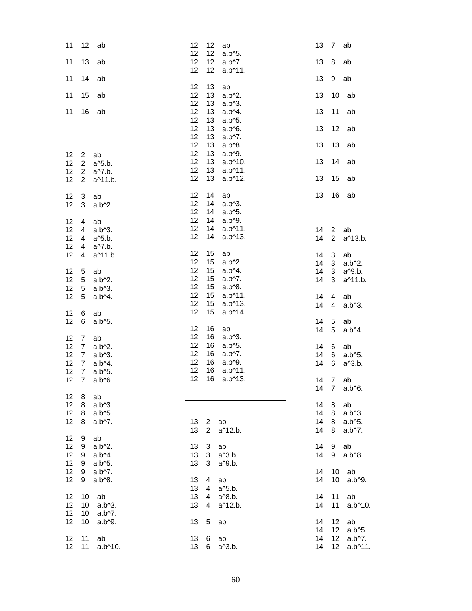| 11                | 12<br>ab                                                    | 12<br>12<br>ab<br>12<br>12<br>a.b^5.                           | 13 7<br>ab                                |
|-------------------|-------------------------------------------------------------|----------------------------------------------------------------|-------------------------------------------|
| 11                | 13<br>ab                                                    | 12<br>12<br>$a.b^{\wedge}7.$<br>12<br>12<br>$a.b^{\wedge}11.$  | 8<br>13<br>ab                             |
| 11                | 14<br>ab                                                    |                                                                | 13<br>9<br>ab                             |
| 11                | 15<br>ab                                                    | 12<br>13<br>ab<br>12<br>13<br>$a.b^2$ .                        | 13<br>10<br>ab                            |
| 11                | 16<br>ab                                                    | 12<br>13<br>$a.b^3$ .<br>12<br>13<br>a.b^4.                    | 11<br>13<br>ab                            |
|                   |                                                             | 12<br>13<br>a.b^5.<br>12<br>13<br>a.b^6.                       | 13<br>12<br>ab                            |
|                   |                                                             | 12<br>13<br>$a.b^{\wedge}7.$<br>12<br>13<br>$a.b^0.8.$         | 13<br>13<br>ab                            |
| $12 \overline{ }$ | $\overline{2}$<br>ab                                        | 12<br>13<br>$a.b^{0}.$                                         |                                           |
| 12<br>12          | $2^{\circ}$<br>a <sup>1</sup> 5.b.<br>$2^{\circ}$<br>a^7.b. | 12<br>13<br>$a.b^{\wedge}10.$<br>12<br>13<br>$a.b^{\wedge}11.$ | 13<br>14<br>ab                            |
| 12                | a^11.b.<br>$\overline{2}$                                   | 12<br>13<br>$a.b^{\wedge}12.$                                  | 13<br>15<br>ab                            |
| 12                | ab<br>3                                                     | 12<br>14<br>ab<br>12<br>14<br>$a.b^3$ .                        | 13<br>16<br>ab                            |
| 12                | $a.b^2.$<br>3                                               | 12<br>14<br>a.b^5.                                             |                                           |
| 12                | ab<br>4                                                     | 12<br>14<br>a.b^9.                                             |                                           |
| 12                | $a.b^3$ .<br>4                                              | 12<br>14<br>a.b^11.                                            | 14<br>$\overline{2}$<br>ab                |
| 12                | a <sup>1</sup> 5.b.<br>4                                    | 12<br>14<br>$a.b^{\wedge}13.$                                  | $\overline{2}$<br>14<br>a^13.b.           |
| 12                | a^7.b.<br>4                                                 |                                                                |                                           |
| 12                | a^11.b.<br>4                                                | 12<br>15<br>ab                                                 | $14 \quad 3$<br>ab                        |
|                   |                                                             | 12<br>15<br>$a.b^2$ .                                          | 14<br>3<br>$a.b^2.$                       |
| 12                | ab<br>5                                                     | 12<br>15<br>$a.b^4.$                                           | $\mathbf{3}$<br>14<br>a <sup>o</sup> 9.b. |
| 12                | 5<br>$a.b^2$ .                                              | 12<br>15<br>$a.b^{\wedge}7.$                                   | 14<br>3<br>a^11.b.                        |
| 12                | 5<br>$a.b^3$ .                                              | 12<br>15<br>a.b^8.                                             |                                           |
| 12                | $a.b^4$ .<br>5                                              | 12<br>15<br>$a.b^{\wedge}11.$                                  | 14<br>$\overline{4}$<br>ab                |
|                   |                                                             | 12<br>15<br>a.b^13.                                            | 14<br>$\overline{4}$<br>$a.b^3$ .         |
| 12                | ab<br>6                                                     | 12<br>15<br>a.b^14.                                            |                                           |
| 12                | 6<br>a.b^5.                                                 |                                                                | 14 5<br>ab                                |
|                   |                                                             | 12<br>16<br>ab                                                 | $5\phantom{.0}$<br>14<br>a.b^4.           |
| 12                | $\overline{7}$<br>ab                                        | 12<br>16<br>$a.b^3$ .                                          |                                           |
| 12                | $a.b^2.$<br>7                                               | 12<br>16<br>$a.b^{\wedge}5.$                                   | 14<br>6<br>ab                             |
| 12                | $a.b^3$ .<br>$\overline{7}$                                 | 12<br>16<br>$a.b^7.$                                           | 6<br>14<br>a.b^5.                         |
| 12                | $a.b^4$ .<br>$7\overline{ }$                                | 12<br>16<br>a.b^9.                                             | 14<br>6<br>a^3.b.                         |
| 12                | $\overline{7}$<br>a.b^5.                                    | 12<br>16<br>$a.b^{\wedge}11.$                                  |                                           |
| 12 <sub>2</sub>   | $\overline{7}$<br>a.b^6.                                    | 12<br>16<br>$a.b^{\wedge}13.$                                  | 14 7<br>ab                                |
|                   |                                                             |                                                                | 14<br>$\overline{7}$<br>a.b^6.            |
| 12                | ab<br>- 8                                                   |                                                                |                                           |
| 12                | 8 a.b <sup>1</sup> 3.                                       |                                                                | 14<br>8<br>ab                             |
| 12                | a.b^5.<br>8                                                 |                                                                | 14<br>8<br>$a.b^3$ .                      |
| 12                | $a.b^{\wedge}7.$<br>8                                       | 13 2<br>ab                                                     | 14<br>8<br>$a.b^5$ .                      |
|                   |                                                             | $\overline{2}$<br>13<br>a^12.b.                                | 14<br>8<br>$a.b^{\wedge}7.$               |
| 12                | ab<br>9                                                     |                                                                |                                           |
| 12                | $9$ a.b <sup><math>\Delta</math></sup> 2.                   | 13<br>3 <sup>1</sup><br>ab                                     | 14<br>9<br>ab                             |
| 12                | a.b^4.<br>9                                                 | 13<br>3 <sup>1</sup><br>$a^{3}$ .b.                            | 14<br>9<br>a.b^8.                         |
| 12                | a.b^5.<br>9                                                 | 13<br>3<br>a <sup>o</sup> 9.b.                                 |                                           |
| 12                | $a.b^{\wedge}7.$<br>9                                       |                                                                | 14<br>ab<br>10                            |
| 12                | a.b^8.<br>9                                                 | 13<br>4<br>ab                                                  | 14<br>10<br>a.b^9.                        |
|                   |                                                             | 13<br>$\overline{4}$<br>a <sup>1</sup> 5.b.                    |                                           |
| 12                | 10<br>ab                                                    | 13<br>$\overline{4}$<br>a <sup>1</sup> 8.b.                    | 14<br>11<br>ab                            |
| 12                | 10 <sup>1</sup><br>$a.b^3$ .                                | 13<br>4<br>a^12.b.                                             | 14<br>11<br>a.b^10.                       |
| 12                | $a.b^7.$<br>10                                              |                                                                |                                           |
| 12                | a.b^9.<br>10                                                | 13<br>5<br>ab                                                  | $12$ ab<br>14                             |
|                   |                                                             |                                                                | 12 a.b^5.<br>14                           |
| 12                | 11<br>ab                                                    | 13<br>6<br>ab                                                  | 12 a.b^7.<br>14                           |
| 12                | 11<br>$a.b^{\wedge}10.$                                     | 13<br>6<br>a <sup><math>3.b.</math></sup>                      | 12<br>14<br>a.b^11.                       |
|                   |                                                             |                                                                |                                           |